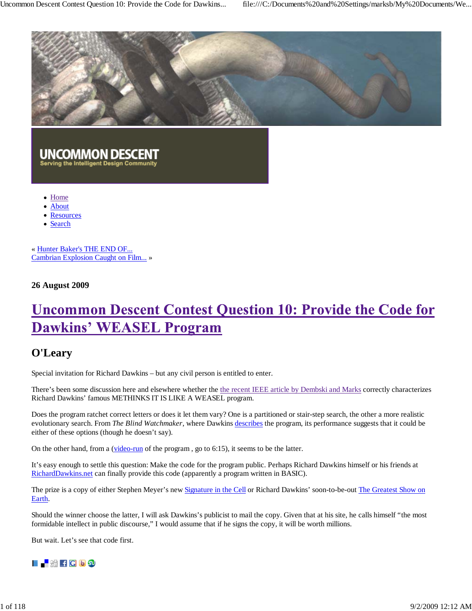

# **UNCOMMON DESCENT**<br>Serving the Intelligent Design Community

- Home
- About
- Resources
- Search

« Hunter Baker's THE END OF... Cambrian Explosion Caught on Film... »

## **26 August 2009**

## **Uncommon Descent Contest Question 10: Provide the Code for Dawkins' WEASEL Program**

## **O'Leary**

Special invitation for Richard Dawkins – but any civil person is entitled to enter.

There's been some discussion here and elsewhere whether the the recent IEEE article by Dembski and Marks correctly characterizes Richard Dawkins' famous METHINKS IT IS LIKE A WEASEL program.

Does the program ratchet correct letters or does it let them vary? One is a partitioned or stair-step search, the other a more realistic evolutionary search. From *The Blind Watchmaker*, where Dawkins describes the program, its performance suggests that it could be either of these options (though he doesn't say).

On the other hand, from a (video-run of the program , go to 6:15), it seems to be the latter.

It's easy enough to settle this question: Make the code for the program public. Perhaps Richard Dawkins himself or his friends at RichardDawkins.net can finally provide this code (apparently a program written in BASIC).

The prize is a copy of either Stephen Meyer's new Signature in the Cell or Richard Dawkins' soon-to-be-out The Greatest Show on Earth.

Should the winner choose the latter, I will ask Dawkins's publicist to mail the copy. Given that at his site, he calls himself "the most formidable intellect in public discourse," I would assume that if he signs the copy, it will be worth millions.

But wait. Let's see that code first.

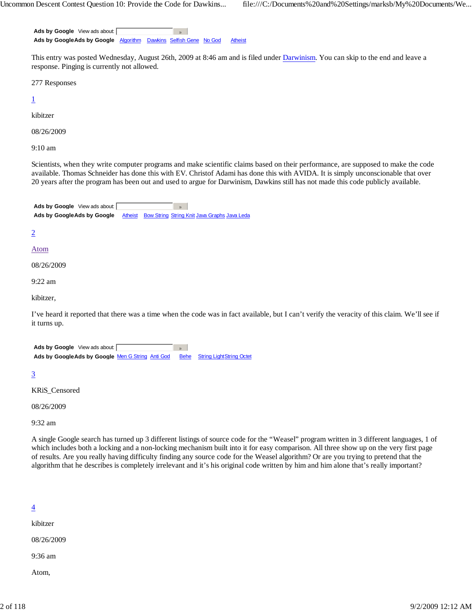**Ads by Google** View ads about:  $\mathcal{D}$ Ads by GoogleAds by Google Algorithm Dawkins Selfish Gene No God Atheist

This entry was posted Wednesday, August 26th, 2009 at 8:46 am and is filed under Darwinism. You can skip to the end and leave a response. Pinging is currently not allowed.

277 Responses

1

kibitzer

08/26/2009

9:10 am

Scientists, when they write computer programs and make scientific claims based on their performance, are supposed to make the code available. Thomas Schneider has done this with EV. Christof Adami has done this with AVIDA. It is simply unconscionable that over 20 years after the program has been out and used to argue for Darwinism, Dawkins still has not made this code publicly available.



2

#### Atom

08/26/2009

9:22 am

kibitzer,

I've heard it reported that there was a time when the code was in fact available, but I can't verify the veracity of this claim. We'll see if it turns up.

| <b>Ads by Google</b> View ads about:             |  |                                      |
|--------------------------------------------------|--|--------------------------------------|
| Ads by GoogleAds by Google Men G String Anti God |  | <b>Behe</b> String LightString Octet |

3

KRiS\_Censored

08/26/2009

9:32 am

A single Google search has turned up 3 different listings of source code for the "Weasel" program written in 3 different languages, 1 of which includes both a locking and a non-locking mechanism built into it for easy comparison. All three show up on the very first page of results. Are you really having difficulty finding any source code for the Weasel algorithm? Or are you trying to pretend that the algorithm that he describes is completely irrelevant and it's his original code written by him and him alone that's really important?

#### 4

kibitzer

08/26/2009

9:36 am

Atom,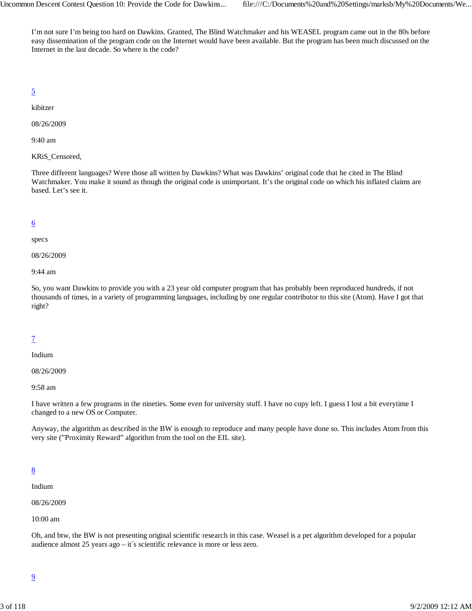I'm not sure I'm being too hard on Dawkins. Granted, The Blind Watchmaker and his WEASEL program came out in the 80s before easy dissemination of the program code on the Internet would have been available. But the program has been much discussed on the Internet in the last decade. So where is the code?

5

kibitzer

08/26/2009

9:40 am

KRiS\_Censored,

Three different languages? Were those all written by Dawkins? What was Dawkins' original code that he cited in The Blind Watchmaker. You make it sound as though the original code is unimportant. It's the original code on which his inflated claims are based. Let's see it.

## 6

specs

08/26/2009

9:44 am

So, you want Dawkins to provide you with a 23 year old computer program that has probably been reproduced hundreds, if not thousands of times, in a variety of programming languages, including by one regular contributor to this site (Atom). Have I got that right?

## 7

Indium

08/26/2009

9:58 am

I have written a few programs in the nineties. Some even for university stuff. I have no copy left. I guess I lost a bit everytime I changed to a new OS or Computer.

Anyway, the algorithm as described in the BW is enough to reproduce and many people have done so. This includes Atom from this very site ("Proximity Reward" algorithm from the tool on the EIL site).

## 8

Indium

08/26/2009

10:00 am

Oh, and btw, the BW is not presenting original scientific research in this case. Weasel is a pet algorithm developed for a popular audience almost 25 years ago – it´s scientific relevance is more or less zero.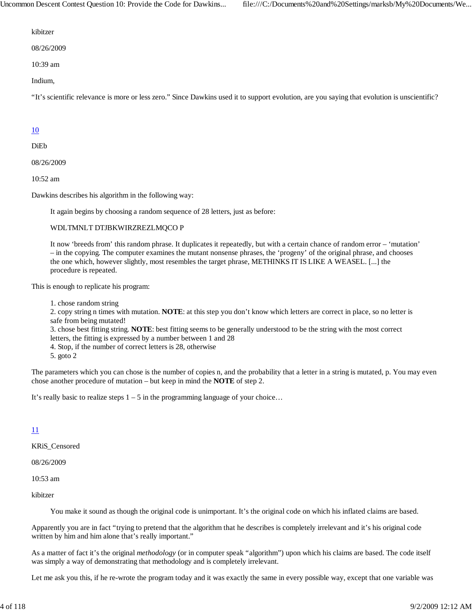Uncommon Descent Contest Question 10: Provide the Code for Dawkins... file:///C:/Documents%20and%20Settings/marksb/My%20Documents/We...

kibitzer

08/26/2009

10:39 am

Indium,

"It's scientific relevance is more or less zero." Since Dawkins used it to support evolution, are you saying that evolution is unscientific?

#### 10

DiEb

08/26/2009

10:52 am

Dawkins describes his algorithm in the following way:

It again begins by choosing a random sequence of 28 letters, just as before:

#### WDLTMNLT DTJBKWIRZREZLMQCO P

It now 'breeds from' this random phrase. It duplicates it repeatedly, but with a certain chance of random error – 'mutation' – in the copying. The computer examines the mutant nonsense phrases, the 'progeny' of the original phrase, and chooses the one which, however slightly, most resembles the target phrase, METHINKS IT IS LIKE A WEASEL. [...] the procedure is repeated.

This is enough to replicate his program:

1. chose random string

2. copy string n times with mutation. **NOTE**: at this step you don't know which letters are correct in place, so no letter is safe from being mutated!

3. chose best fitting string. **NOTE**: best fitting seems to be generally understood to be the string with the most correct letters, the fitting is expressed by a number between 1 and 28

4. Stop, if the number of correct letters is 28, otherwise

5. goto 2

The parameters which you can chose is the number of copies n, and the probability that a letter in a string is mutated, p. You may even chose another procedure of mutation – but keep in mind the **NOTE** of step 2.

It's really basic to realize steps  $1 - 5$  in the programming language of your choice...

#### 11

KRiS\_Censored

08/26/2009

10:53 am

kibitzer

You make it sound as though the original code is unimportant. It's the original code on which his inflated claims are based.

Apparently you are in fact "trying to pretend that the algorithm that he describes is completely irrelevant and it's his original code written by him and him alone that's really important."

As a matter of fact it's the original *methodology* (or in computer speak "algorithm") upon which his claims are based. The code itself was simply a way of demonstrating that methodology and is completely irrelevant.

Let me ask you this, if he re-wrote the program today and it was exactly the same in every possible way, except that one variable was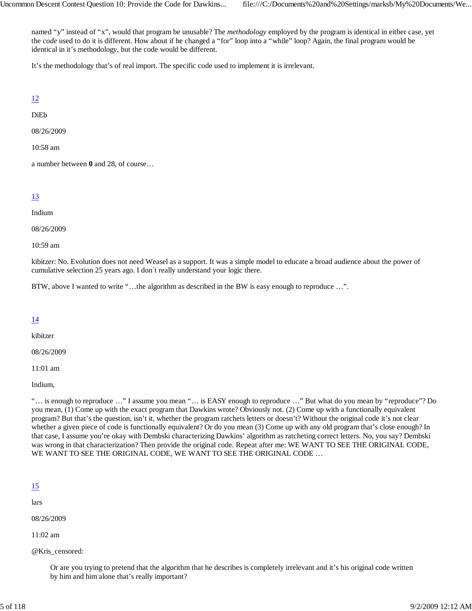named "y" instead of "x", would that program be unusable? The *methodology* employed by the program is identical in either case, yet the *code* used to do it is different. How about if he changed a "for" loop into a "while" loop? Again, the final program would be identical in it's methodology, but the code would be different.

It's the methodology that's of real import. The specific code used to implement it is irrelevant.

12

DiEb

08/26/2009

10:58 am

a number between **0** and 28, of course…

## 13

Indium

08/26/2009

10:59 am

kibitzer: No. Evolution does not need Weasel as a support. It was a simple model to educate a broad audience about the power of cumulative selection 25 years ago. I don´t really understand your logic there.

BTW, above I wanted to write "…the algorithm as described in the BW is easy enough to reproduce …".

## 14

kibitzer

08/26/2009

11:01 am

Indium,

"… is enough to reproduce …" I assume you mean "… is EASY enough to reproduce …" But what do you mean by "reproduce"? Do you mean, (1) Come up with the exact program that Dawkins wrote? Obviously not. (2) Come up with a functionally equivalent program? But that's the question, isn't it, whether the program ratchets letters or doesn't? Without the original code it's not clear whether a given piece of code is functionally equivalent? Or do you mean (3) Come up with any old program that's close enough? In that case, I assume you're okay with Dembski characterizing Dawkins' algorithm as ratcheting correct letters. No, you say? Dembski was wrong in that characterization? Then provide the original code. Repeat after me: WE WANT TO SEE THE ORIGINAL CODE, WE WANT TO SEE THE ORIGINAL CODE, WE WANT TO SEE THE ORIGINAL CODE …

#### <u>15</u>

lars

08/26/2009

11:02 am

@Kris\_censored:

Or are you trying to pretend that the algorithm that he describes is completely irrelevant and it's his original code written by him and him alone that's really important?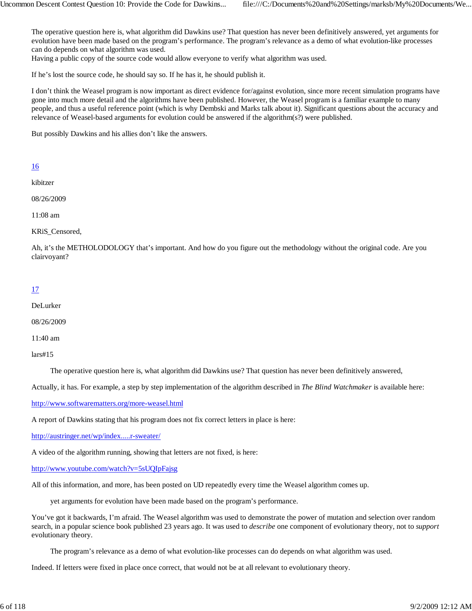The operative question here is, what algorithm did Dawkins use? That question has never been definitively answered, yet arguments for evolution have been made based on the program's performance. The program's relevance as a demo of what evolution-like processes can do depends on what algorithm was used.

Having a public copy of the source code would allow everyone to verify what algorithm was used.

If he's lost the source code, he should say so. If he has it, he should publish it.

I don't think the Weasel program is now important as direct evidence for/against evolution, since more recent simulation programs have gone into much more detail and the algorithms have been published. However, the Weasel program is a familiar example to many people, and thus a useful reference point (which is why Dembski and Marks talk about it). Significant questions about the accuracy and relevance of Weasel-based arguments for evolution could be answered if the algorithm(s?) were published.

But possibly Dawkins and his allies don't like the answers.

## 16

kibitzer

08/26/2009

11:08 am

KRiS\_Censored,

Ah, it's the METHOLODOLOGY that's important. And how do you figure out the methodology without the original code. Are you clairvoyant?

## 17

DeLurker

08/26/2009

11:40 am

lars#15

The operative question here is, what algorithm did Dawkins use? That question has never been definitively answered,

Actually, it has. For example, a step by step implementation of the algorithm described in *The Blind Watchmaker* is available here:

http://www.softwarematters.org/more-weasel.html

A report of Dawkins stating that his program does not fix correct letters in place is here:

http://austringer.net/wp/index.....r-sweater/

A video of the algorithm running, showing that letters are not fixed, is here:

http://www.youtube.com/watch?v=5sUQIpFajsg

All of this information, and more, has been posted on UD repeatedly every time the Weasel algorithm comes up.

yet arguments for evolution have been made based on the program's performance.

You've got it backwards, I'm afraid. The Weasel algorithm was used to demonstrate the power of mutation and selection over random search, in a popular science book published 23 years ago. It was used to *describe* one component of evolutionary theory, not to *support* evolutionary theory.

The program's relevance as a demo of what evolution-like processes can do depends on what algorithm was used.

Indeed. If letters were fixed in place once correct, that would not be at all relevant to evolutionary theory.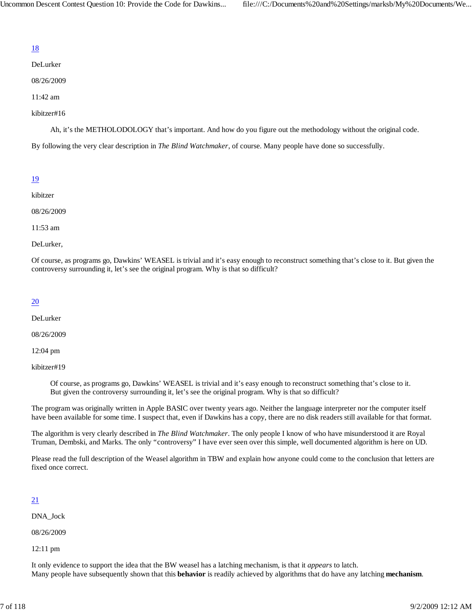DeLurker

08/26/2009

11:42 am

## kibitzer#16

Ah, it's the METHOLODOLOGY that's important. And how do you figure out the methodology without the original code.

By following the very clear description in *The Blind Watchmaker*, of course. Many people have done so successfully.

## 19

kibitzer

08/26/2009

11:53 am

DeLurker,

Of course, as programs go, Dawkins' WEASEL is trivial and it's easy enough to reconstruct something that's close to it. But given the controversy surrounding it, let's see the original program. Why is that so difficult?

## 20

DeLurker

08/26/2009

12:04 pm

kibitzer#19

Of course, as programs go, Dawkins' WEASEL is trivial and it's easy enough to reconstruct something that's close to it. But given the controversy surrounding it, let's see the original program. Why is that so difficult?

The program was originally written in Apple BASIC over twenty years ago. Neither the language interpreter nor the computer itself have been available for some time. I suspect that, even if Dawkins has a copy, there are no disk readers still available for that format.

The algorithm is very clearly described in *The Blind Watchmaker*. The only people I know of who have misunderstood it are Royal Truman, Dembski, and Marks. The only "controversy" I have ever seen over this simple, well documented algorithm is here on UD.

Please read the full description of the Weasel algorithm in TBW and explain how anyone could come to the conclusion that letters are fixed once correct.

## 21

DNA\_Jock

08/26/2009

12:11 pm

It only evidence to support the idea that the BW weasel has a latching mechanism, is that it *appears* to latch. Many people have subsequently shown that this **behavior** is readily achieved by algorithms that do have any latching **mechanism**.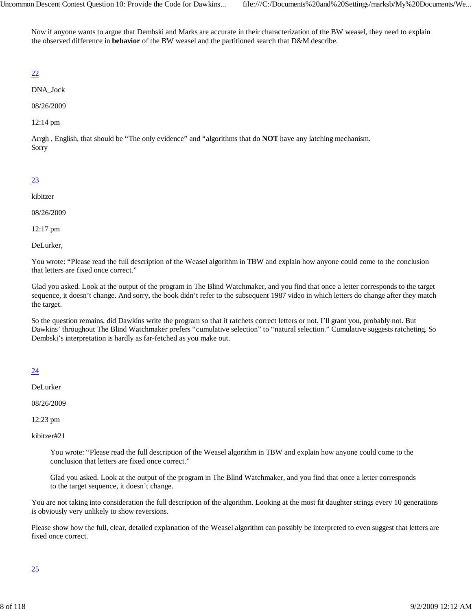Now if anyone wants to argue that Dembski and Marks are accurate in their characterization of the BW weasel, they need to explain the observed difference in **behavior** of the BW weasel and the partitioned search that D&M describe.

## 22

DNA\_Jock

08/26/2009

12:14 pm

Arrgh , English, that should be "The only evidence" and "algorithms that do **NOT** have any latching mechanism. Sorry

## 23

kibitzer

08/26/2009

12:17 pm

DeLurker,

You wrote: "Please read the full description of the Weasel algorithm in TBW and explain how anyone could come to the conclusion that letters are fixed once correct."

Glad you asked. Look at the output of the program in The Blind Watchmaker, and you find that once a letter corresponds to the target sequence, it doesn't change. And sorry, the book didn't refer to the subsequent 1987 video in which letters do change after they match the target.

So the question remains, did Dawkins write the program so that it ratchets correct letters or not. I'll grant you, probably not. But Dawkins' throughout The Blind Watchmaker prefers "cumulative selection" to "natural selection." Cumulative suggests ratcheting. So Dembski's interpretation is hardly as far-fetched as you make out.

## 24

DeLurker

08/26/2009

12:23 pm

kibitzer#21

You wrote: "Please read the full description of the Weasel algorithm in TBW and explain how anyone could come to the conclusion that letters are fixed once correct."

Glad you asked. Look at the output of the program in The Blind Watchmaker, and you find that once a letter corresponds to the target sequence, it doesn't change.

You are not taking into consideration the full description of the algorithm. Looking at the most fit daughter strings every 10 generations is obviously very unlikely to show reversions.

Please show how the full, clear, detailed explanation of the Weasel algorithm can possibly be interpreted to even suggest that letters are fixed once correct.

## 25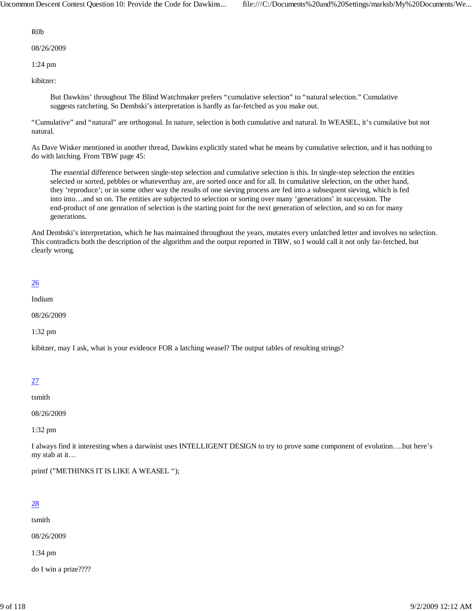Uncommon Descent Contest Question 10: Provide the Code for Dawkins... file:///C:/Documents%20and%20Settings/marksb/My%20Documents/We...

R0b

08/26/2009

1:24 pm

kibitzer:

But Dawkins' throughout The Blind Watchmaker prefers "cumulative selection" to "natural selection." Cumulative suggests ratcheting. So Dembski's interpretation is hardly as far-fetched as you make out.

"Cumulative" and "natural" are orthogonal. In nature, selection is both cumulative and natural. In WEASEL, it's cumulative but not natural.

As Dave Wisker mentioned in another thread, Dawkins explicitly stated what he means by cumulative selection, and it has nothing to do with latching. From TBW page 45:

The essential difference between single-step selection and cumulative selection is this. In single-step selection the entities selected or sorted, pebbles or whateverthay are, are sorted once and for all. In cumulative slelection, on the other hand, they 'reproduce'; or in some other way the results of one sieving process are fed into a subsequent sieving, which is fed into into…and so on. The entities are subjected to selection or sorting over many 'generations' in succession. The end-product of one genration of selection is the starting point for the next generation of selection, and so on for many generations.

And Dembski's interpretation, which he has maintained throughout the years, mutates every unlatched letter and involves no selection. This contradicts both the description of the algorithm and the output reported in TBW, so I would call it not only far-fetched, but clearly wrong.

#### 26

Indium

08/26/2009

1:32 pm

kibitzer, may I ask, what is your evidence FOR a latching weasel? The output tables of resulting strings?

## 27

tsmith

08/26/2009

1:32 pm

I always find it interesting when a darwinist uses INTELLIGENT DESIGN to try to prove some component of evolution….but here's my stab at it…

printf ("METHINKS IT IS LIKE A WEASEL ");

## 28

tsmith

08/26/2009

1:34 pm

do I win a prize????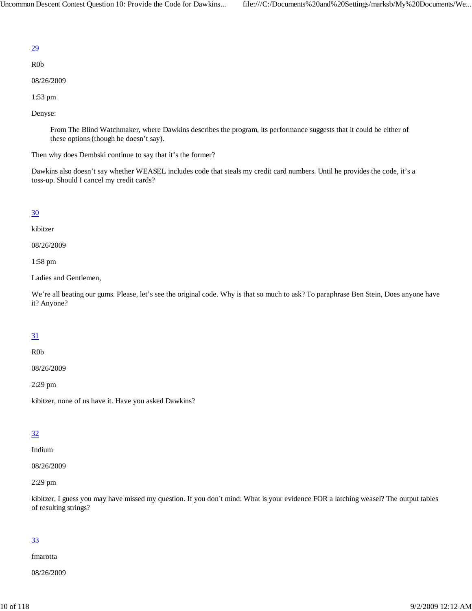R0b

08/26/2009

1:53 pm

Denyse:

From The Blind Watchmaker, where Dawkins describes the program, its performance suggests that it could be either of these options (though he doesn't say).

Then why does Dembski continue to say that it's the former?

Dawkins also doesn't say whether WEASEL includes code that steals my credit card numbers. Until he provides the code, it's a toss-up. Should I cancel my credit cards?

#### 30

kibitzer

08/26/2009

1:58 pm

Ladies and Gentlemen,

We're all beating our gums. Please, let's see the original code. Why is that so much to ask? To paraphrase Ben Stein, Does anyone have it? Anyone?

#### 31

R0b

08/26/2009

2:29 pm

kibitzer, none of us have it. Have you asked Dawkins?

#### 32

Indium

08/26/2009

2:29 pm

kibitzer, I guess you may have missed my question. If you don´t mind: What is your evidence FOR a latching weasel? The output tables of resulting strings?

#### 33

fmarotta

08/26/2009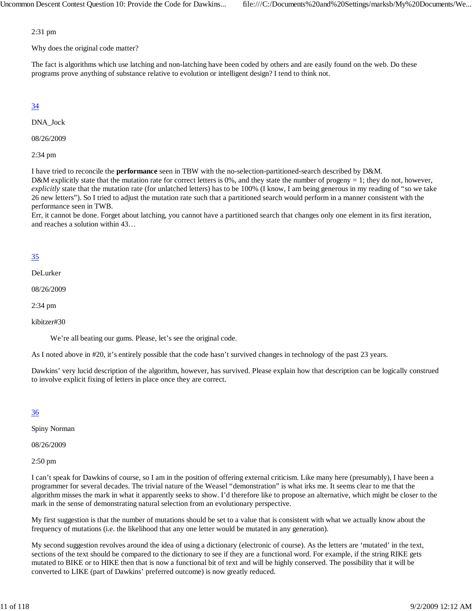2:31 pm

Why does the original code matter?

The fact is algorithms which use latching and non-latching have been coded by others and are easily found on the web. Do these programs prove anything of substance relative to evolution or intelligent design? I tend to think not.

## 34

DNA\_Jock

08/26/2009

2:34 pm

I have tried to reconcile the **performance** seen in TBW with the no-selection-partitioned-search described by D&M.

D&M explicitly state that the mutation rate for correct letters is 0%, and they state the number of progeny = 1; they do not, however, *explicitly* state that the mutation rate (for unlatched letters) has to be 100% (I know, I am being generous in my reading of "so we take 26 new letters"). So I tried to adjust the mutation rate such that a partitioned search would perform in a manner consistent with the performance seen in TWB.

Err, it cannot be done. Forget about latching, you cannot have a partitioned search that changes only one element in its first iteration, and reaches a solution within 43…

## 35

DeLurker

08/26/2009

2:34 pm

kibitzer#30

We're all beating our gums. Please, let's see the original code.

As I noted above in #20, it's entirely possible that the code hasn't survived changes in technology of the past 23 years.

Dawkins' very lucid description of the algorithm, however, has survived. Please explain how that description can be logically construed to involve explicit fixing of letters in place once they are correct.

## 36

Spiny Norman

08/26/2009

2:50 pm

I can't speak for Dawkins of course, so I am in the position of offering external criticism. Like many here (presumably), I have been a programmer for several decades. The trivial nature of the Weasel "demonstration" is what irks me. It seems clear to me that the algorithm misses the mark in what it apparently seeks to show. I'd therefore like to propose an alternative, which might be closer to the mark in the sense of demonstrating natural selection from an evolutionary perspective.

My first suggestion is that the number of mutations should be set to a value that is consistent with what we actually know about the frequency of mutations (i.e. the likelihood that any one letter would be mutated in any generation).

My second suggestion revolves around the idea of using a dictionary (electronic of course). As the letters are 'mutated' in the text, sections of the text should be compared to the dictionary to see if they are a functional word. For example, if the string RIKE gets mutated to BIKE or to HIKE then that is now a functional bit of text and will be highly conserved. The possibility that it will be converted to LIKE (part of Dawkins' preferred outcome) is now greatly reduced.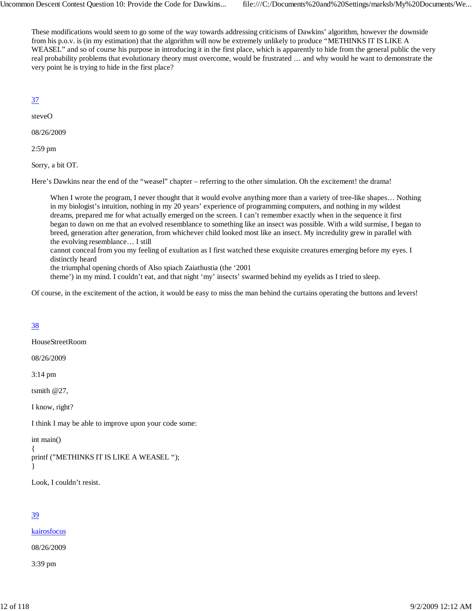These modifications would seem to go some of the way towards addressing criticisms of Dawkins' algorithm, however the downside from his p.o.v. is (in my estimation) that the algorithm will now be extremely unlikely to produce "METHINKS IT IS LIKE A WEASEL" and so of course his purpose in introducing it in the first place, which is apparently to hide from the general public the very real probability problems that evolutionary theory must overcome, would be frustrated … and why would he want to demonstrate the very point he is trying to hide in the first place?

## 37

steveO

08/26/2009

2:59 pm

Sorry, a bit OT.

Here's Dawkins near the end of the "weasel" chapter – referring to the other simulation. Oh the excitement! the drama!

When I wrote the program, I never thought that it would evolve anything more than a variety of tree-like shapes... Nothing in my biologist's intuition, nothing in my 20 years' experience of programming computers, and nothing in my wildest dreams, prepared me for what actually emerged on the screen. I can't remember exactly when in the sequence it first began to dawn on me that an evolved resemblance to something like an insect was possible. With a wild surmise, I began to breed, generation after generation, from whichever child looked most like an insect. My incredulity grew in parallel with the evolving resemblance… I still

cannot conceal from you my feeling of exultation as I first watched these exquisite creatures emerging before my eyes. I distinctly heard

the triumphal opening chords of Also spiach Zaiathustia (the '2001

theme') in my mind. I couldn't eat, and that night 'my' insects' swarmed behind my eyelids as I tried to sleep.

Of course, in the excitement of the action, it would be easy to miss the man behind the curtains operating the buttons and levers!

## 38

HouseStreetRoom

08/26/2009

3:14 pm

tsmith @27,

I know, right?

I think I may be able to improve upon your code some:

int main()

```
{
printf ("METHINKS IT IS LIKE A WEASEL ");
```

```
}
```
Look, I couldn't resist.

## 39

kairosfocus

08/26/2009

3:39 pm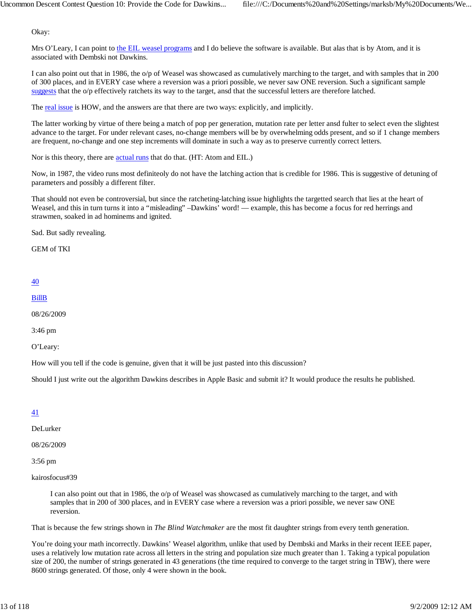Okay:

Mrs O'Leary, I can point to the EIL weasel programs and I do believe the software is available. But alas that is by Atom, and it is associated with Dembski not Dawkins.

I can also point out that in 1986, the o/p of Weasel was showcased as cumulatively marching to the target, and with samples that in 200 of 300 places, and in EVERY case where a reversion was a priori possible, we never saw ONE reversion. Such a significant sample suggests that the o/p effectively ratchets its way to the target, ansd that the successful letters are therefore latched.

The real issue is HOW, and the answers are that there are two ways: explicitly, and implicitly.

The latter working by virtue of there being a match of pop per generation, mutation rate per letter ansd fulter to select even the slightest advance to the target. For under relevant cases, no-change members will be by overwhelming odds present, and so if 1 change members are frequent, no-change and one step increments will dominate in such a way as to preserve currently correct letters.

Nor is this theory, there are actual runs that do that. (HT: Atom and EIL.)

Now, in 1987, the video runs most definiteoly do not have the latching action that is credible for 1986. This is suggestive of detuning of parameters and possibly a different filter.

That should not even be controversial, but since the ratcheting-latching issue highlights the targetted search that lies at the heart of Weasel, and this in turn turns it into a "misleading" –Dawkins' word! — example, this has become a focus for red herrings and strawmen, soaked in ad hominems and ignited.

Sad. But sadly revealing.

GEM of TKI

#### 40

BillB

08/26/2009

3:46 pm

O'Leary:

How will you tell if the code is genuine, given that it will be just pasted into this discussion?

Should I just write out the algorithm Dawkins describes in Apple Basic and submit it? It would produce the results he published.

## 41

DeLurker

08/26/2009

3:56 pm

kairosfocus#39

I can also point out that in 1986, the o/p of Weasel was showcased as cumulatively marching to the target, and with samples that in 200 of 300 places, and in EVERY case where a reversion was a priori possible, we never saw ONE reversion.

That is because the few strings shown in *The Blind Watchmaker* are the most fit daughter strings from every tenth generation.

You're doing your math incorrectly. Dawkins' Weasel algorithm, unlike that used by Dembski and Marks in their recent IEEE paper, uses a relatively low mutation rate across all letters in the string and population size much greater than 1. Taking a typical population size of 200, the number of strings generated in 43 generations (the time required to converge to the target string in TBW), there were 8600 strings generated. Of those, only 4 were shown in the book.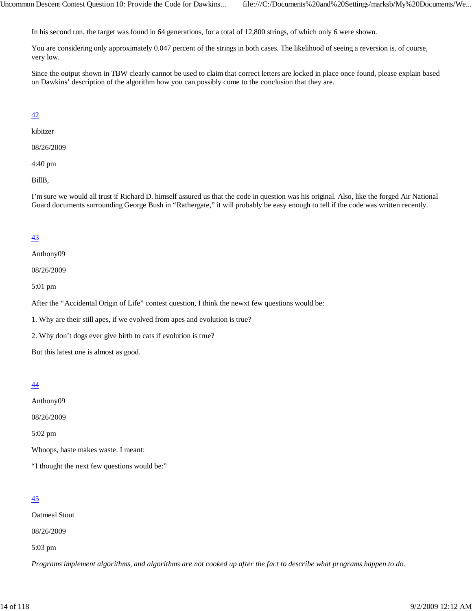In his second run, the target was found in 64 generations, for a total of 12,800 strings, of which only 6 were shown.

You are considering only approximately 0.047 percent of the strings in both cases. The likelihood of seeing a reversion is, of course, very low.

Since the output shown in TBW clearly cannot be used to claim that correct letters are locked in place once found, please explain based on Dawkins' description of the algorithm how you can possibly come to the conclusion that they are.

## 42

kibitzer

08/26/2009

4:40 pm

BillB,

I'm sure we would all trust if Richard D. himself assured us that the code in question was his original. Also, like the forged Air National Guard documents surrounding George Bush in "Rathergate," it will probably be easy enough to tell if the code was written recently.

## 43

Anthony09

08/26/2009

5:01 pm

After the "Accidental Origin of Life" contest question, I think the newxt few questions would be:

1. Why are their still apes, if we evolved from apes and evolution is true?

2. Why don't dogs ever give birth to cats if evolution is true?

But this latest one is almost as good.

#### 44

Anthony09

08/26/2009

5:02 pm

Whoops, haste makes waste. I meant:

"I thought the next few questions would be:"

## 45

Oatmeal Stout

08/26/2009

5:03 pm

*Programs implement algorithms, and algorithms are not cooked up after the fact to describe what programs happen to do.*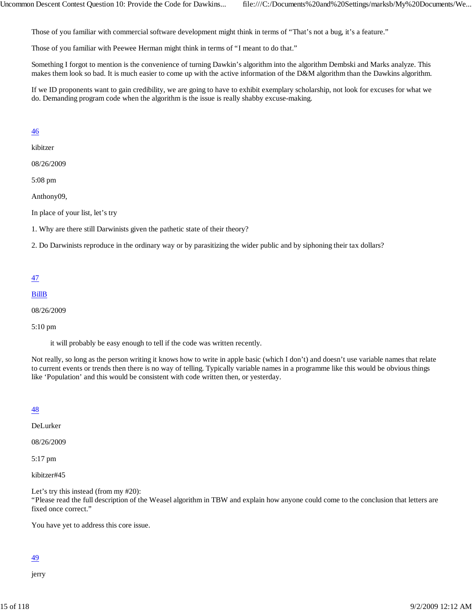Those of you familiar with commercial software development might think in terms of "That's not a bug, it's a feature."

Those of you familiar with Peewee Herman might think in terms of "I meant to do that."

Something I forgot to mention is the convenience of turning Dawkin's algorithm into the algorithm Dembski and Marks analyze. This makes them look so bad. It is much easier to come up with the active information of the D&M algorithm than the Dawkins algorithm.

If we ID proponents want to gain credibility, we are going to have to exhibit exemplary scholarship, not look for excuses for what we do. Demanding program code when the algorithm is the issue is really shabby excuse-making.

#### 46

kibitzer

08/26/2009

5:08 pm

Anthony09,

In place of your list, let's try

1. Why are there still Darwinists given the pathetic state of their theory?

2. Do Darwinists reproduce in the ordinary way or by parasitizing the wider public and by siphoning their tax dollars?

#### 47

#### BillB

08/26/2009

#### 5:10 pm

it will probably be easy enough to tell if the code was written recently.

Not really, so long as the person writing it knows how to write in apple basic (which I don't) and doesn't use variable names that relate to current events or trends then there is no way of telling. Typically variable names in a programme like this would be obvious things like 'Population' and this would be consistent with code written then, or yesterday.

#### 48

DeLurker

08/26/2009

5:17 pm

kibitzer#45

Let's try this instead (from my #20):

"Please read the full description of the Weasel algorithm in TBW and explain how anyone could come to the conclusion that letters are fixed once correct."

You have yet to address this core issue.

## 49

jerry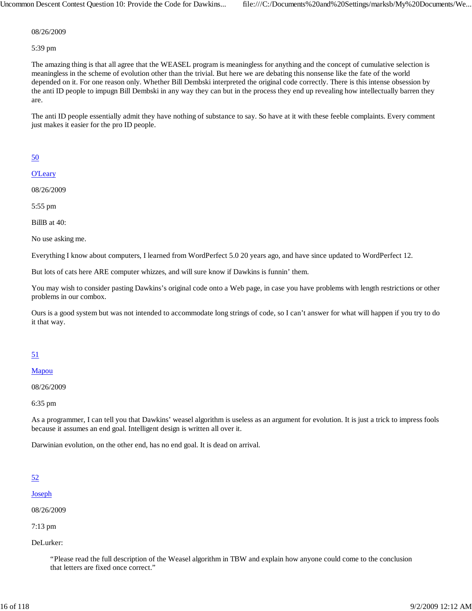Uncommon Descent Contest Question 10: Provide the Code for Dawkins... file:///C:/Documents%20and%20Settings/marksb/My%20Documents/We...

08/26/2009

5:39 pm

The amazing thing is that all agree that the WEASEL program is meaningless for anything and the concept of cumulative selection is meaningless in the scheme of evolution other than the trivial. But here we are debating this nonsense like the fate of the world depended on it. For one reason only. Whether Bill Dembski interpreted the original code correctly. There is this intense obsession by the anti ID people to impugn Bill Dembski in any way they can but in the process they end up revealing how intellectually barren they are.

The anti ID people essentially admit they have nothing of substance to say. So have at it with these feeble complaints. Every comment just makes it easier for the pro ID people.

## 50

**O'Leary** 

08/26/2009

5:55 pm

BillB at 40:

No use asking me.

Everything I know about computers, I learned from WordPerfect 5.0 20 years ago, and have since updated to WordPerfect 12.

But lots of cats here ARE computer whizzes, and will sure know if Dawkins is funnin' them.

You may wish to consider pasting Dawkins's original code onto a Web page, in case you have problems with length restrictions or other problems in our combox.

Ours is a good system but was not intended to accommodate long strings of code, so I can't answer for what will happen if you try to do it that way.

## 51

#### Mapou

08/26/2009

6:35 pm

As a programmer, I can tell you that Dawkins' weasel algorithm is useless as an argument for evolution. It is just a trick to impress fools because it assumes an end goal. Intelligent design is written all over it.

Darwinian evolution, on the other end, has no end goal. It is dead on arrival.

## 52

Joseph

08/26/2009

7:13 pm

DeLurker:

"Please read the full description of the Weasel algorithm in TBW and explain how anyone could come to the conclusion that letters are fixed once correct."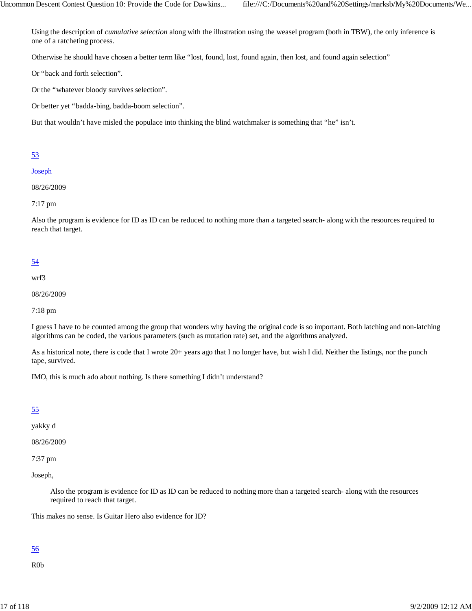Using the description of *cumulative selection* along with the illustration using the weasel program (both in TBW), the only inference is one of a ratcheting process.

Otherwise he should have chosen a better term like "lost, found, lost, found again, then lost, and found again selection"

Or "back and forth selection".

Or the "whatever bloody survives selection".

Or better yet "badda-bing, badda-boom selection".

But that wouldn't have misled the populace into thinking the blind watchmaker is something that "he" isn't.

## 53

#### Joseph

#### 08/26/2009

#### 7:17 pm

Also the program is evidence for ID as ID can be reduced to nothing more than a targeted search- along with the resources required to reach that target.

## 54

wrf3

08/26/2009

7:18 pm

I guess I have to be counted among the group that wonders why having the original code is so important. Both latching and non-latching algorithms can be coded, the various parameters (such as mutation rate) set, and the algorithms analyzed.

As a historical note, there is code that I wrote 20+ years ago that I no longer have, but wish I did. Neither the listings, nor the punch tape, survived.

IMO, this is much ado about nothing. Is there something I didn't understand?

## 55

yakky d

08/26/2009

7:37 pm

Joseph,

Also the program is evidence for ID as ID can be reduced to nothing more than a targeted search- along with the resources required to reach that target.

This makes no sense. Is Guitar Hero also evidence for ID?

#### 56

R0b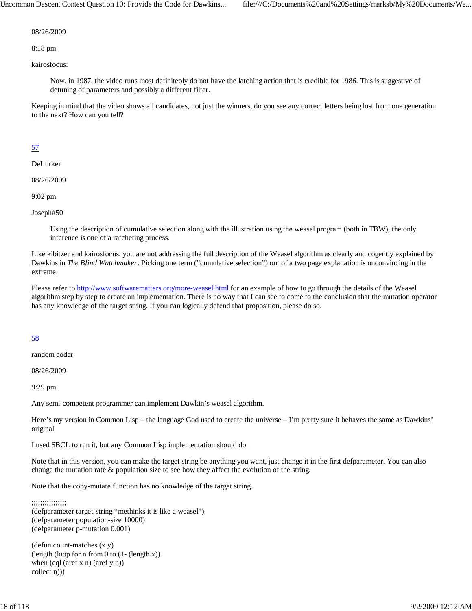Uncommon Descent Contest Question 10: Provide the Code for Dawkins... file:///C:/Documents%20and%20Settings/marksb/My%20Documents/We...

08/26/2009

8:18 pm

kairosfocus:

Now, in 1987, the video runs most definiteoly do not have the latching action that is credible for 1986. This is suggestive of detuning of parameters and possibly a different filter.

Keeping in mind that the video shows all candidates, not just the winners, do you see any correct letters being lost from one generation to the next? How can you tell?

## 57

DeLurker

08/26/2009

9:02 pm

Joseph#50

Using the description of cumulative selection along with the illustration using the weasel program (both in TBW), the only inference is one of a ratcheting process.

Like kibitzer and kairosfocus, you are not addressing the full description of the Weasel algorithm as clearly and cogently explained by Dawkins in *The Blind Watchmaker*. Picking one term ("cumulative selection") out of a two page explanation is unconvincing in the extreme.

Please refer to http://www.softwarematters.org/more-weasel.html for an example of how to go through the details of the Weasel algorithm step by step to create an implementation. There is no way that I can see to come to the conclusion that the mutation operator has any knowledge of the target string. If you can logically defend that proposition, please do so.

#### 58

random coder

08/26/2009

9:29 pm

Any semi-competent programmer can implement Dawkin's weasel algorithm.

Here's my version in Common Lisp – the language God used to create the universe – I'm pretty sure it behaves the same as Dawkins' original.

I used SBCL to run it, but any Common Lisp implementation should do.

Note that in this version, you can make the target string be anything you want, just change it in the first defparameter. You can also change the mutation rate & population size to see how they affect the evolution of the string.

Note that the copy-mutate function has no knowledge of the target string.

#### ;;;;;;;;;;;;;;;; (defparameter target-string "methinks it is like a weasel") (defparameter population-size 10000) (defparameter p-mutation 0.001)

(defun count-matches (x y) (length (loop for n from 0 to (1- (length x)) when (eql (aref x n) (aref y n)) collect n)))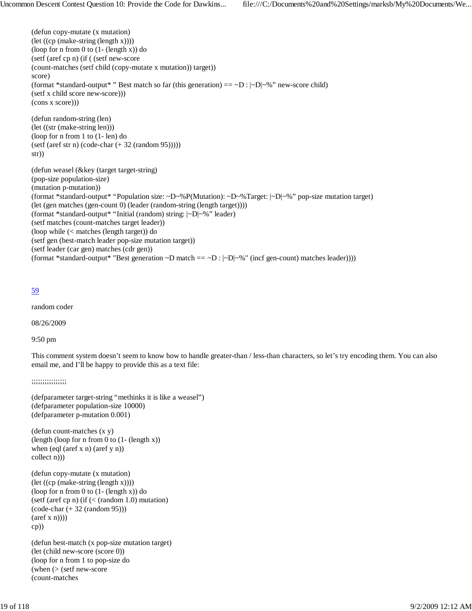```
(defun copy-mutate (x mutation)
(let ((cp (make-string (length x))))
(loop for n from 0 to (1- (length x)) do
(setf (aref cp n) (if ( (setf new-score
(count-matches (setf child (copy-mutate x mutation)) target))
score)
(format *standard-output* " Best match so far (this generation) == \simD : |\simD|\sim%" new-score child)
(setf x child score new-score)))
(cons x score)))
(defun random-string (len)
(let ((str (make-string len)))
(loop for n from 1 to (1- len) do
(setf (aref str n) (code-char (+ 32 (random 95)))))
str))
(defun weasel (&key (target target-string)
(pop-size population-size)
(mutation p-mutation))
(format *standard-output* "Population size: ~D~%P(Mutation): ~D~%Target: |~D|~%" pop-size mutation target)
(let (gen matches (gen-count 0) (leader (random-string (length target))))
(format *standard-output* "Initial (random) string: |~D|~%" leader)
(setf matches (count-matches target leader))
(loop while (< matches (length target)) do
(setf gen (best-match leader pop-size mutation target))
(setf leader (car gen) matches (cdr gen))
(format *standard-output* "Best generation \sim D match == \sim D : |\sim D| \sim%" (incf gen-count) matches leader))))
```
random coder

08/26/2009

9:50 pm

This comment system doesn't seem to know how to handle greater-than / less-than characters, so let's try encoding them. You can also email me, and I'll be happy to provide this as a text file:

;;;;;;;;;;;;;;;;

```
(defparameter target-string "methinks it is like a weasel")
(defparameter population-size 10000)
(defparameter p-mutation 0.001)
```
(defun count-matches (x y) (length (loop for n from 0 to (1- (length x)) when (eql (aref x n) (aref y n)) collect n)))

(defun copy-mutate (x mutation) (let ((cp (make-string (length x)))) (loop for n from 0 to (1- (length x)) do (setf (aref cp n) (if  $(<$  (random 1.0) mutation) (code-char (+ 32 (random 95)))  $(\text{aref } x \text{ n})))$ cp))

(defun best-match (x pop-size mutation target) (let (child new-score (score 0)) (loop for n from 1 to pop-size do (when (> (setf new-score (count-matches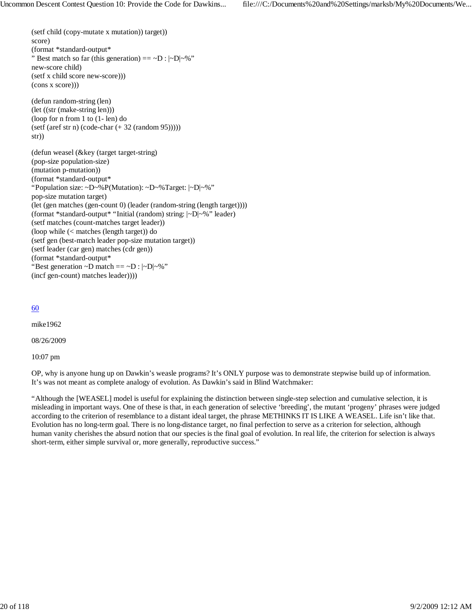(setf child (copy-mutate x mutation)) target)) score) (format \*standard-output\* " Best match so far (this generation)  $=$   $\neg$ D :  $|\neg$ D $|\neg$ %" new-score child) (setf x child score new-score))) (cons x score))) (defun random-string (len) (let ((str (make-string len))) (loop for n from 1 to (1- len) do  $(s$ etf (aref str n) (code-char  $(+ 32$  (random 95))))) str)) (defun weasel (&key (target target-string) (pop-size population-size) (mutation p-mutation)) (format \*standard-output\* "Population size: ~D~%P(Mutation): ~D~%Target: |~D|~%" pop-size mutation target) (let (gen matches (gen-count 0) (leader (random-string (length target)))) (format \*standard-output\* "Initial (random) string: |~D|~%" leader) (setf matches (count-matches target leader)) (loop while (< matches (length target)) do (setf gen (best-match leader pop-size mutation target)) (setf leader (car gen) matches (cdr gen)) (format \*standard-output\*

"Best generation  $\neg D$  match ==  $\neg D$  :  $|\neg D|\neg \%$ " (incf gen-count) matches leader))))

## 60

mike1962

08/26/2009

10:07 pm

OP, why is anyone hung up on Dawkin's weasle programs? It's ONLY purpose was to demonstrate stepwise build up of information. It's was not meant as complete analogy of evolution. As Dawkin's said in Blind Watchmaker:

"Although the [WEASEL] model is useful for explaining the distinction between single-step selection and cumulative selection, it is misleading in important ways. One of these is that, in each generation of selective 'breeding', the mutant 'progeny' phrases were judged according to the criterion of resemblance to a distant ideal target, the phrase METHINKS IT IS LIKE A WEASEL. Life isn't like that. Evolution has no long-term goal. There is no long-distance target, no final perfection to serve as a criterion for selection, although human vanity cherishes the absurd notion that our species is the final goal of evolution. In real life, the criterion for selection is always short-term, either simple survival or, more generally, reproductive success."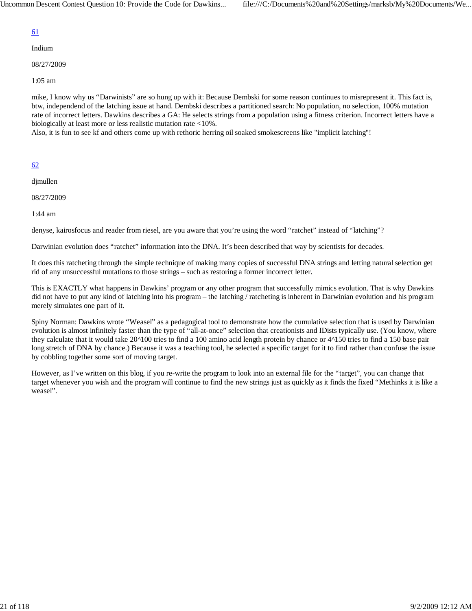Indium

08/27/2009

1:05 am

mike, I know why us "Darwinists" are so hung up with it: Because Dembski for some reason continues to misrepresent it. This fact is, btw, independend of the latching issue at hand. Dembski describes a partitioned search: No population, no selection, 100% mutation rate of incorrect letters. Dawkins describes a GA: He selects strings from a population using a fitness criterion. Incorrect letters have a biologically at least more or less realistic mutation rate <10%.

Also, it is fun to see kf and others come up with rethoric herring oil soaked smokescreens like "implicit latching"!

## 62

djmullen

08/27/2009

1:44 am

denyse, kairosfocus and reader from riesel, are you aware that you're using the word "ratchet" instead of "latching"?

Darwinian evolution does "ratchet" information into the DNA. It's been described that way by scientists for decades.

It does this ratcheting through the simple technique of making many copies of successful DNA strings and letting natural selection get rid of any unsuccessful mutations to those strings – such as restoring a former incorrect letter.

This is EXACTLY what happens in Dawkins' program or any other program that successfully mimics evolution. That is why Dawkins did not have to put any kind of latching into his program – the latching / ratcheting is inherent in Darwinian evolution and his program merely simulates one part of it.

Spiny Norman: Dawkins wrote "Weasel" as a pedagogical tool to demonstrate how the cumulative selection that is used by Darwinian evolution is almost infinitely faster than the type of "all-at-once" selection that creationists and IDists typically use. (You know, where they calculate that it would take 20^100 tries to find a 100 amino acid length protein by chance or 4^150 tries to find a 150 base pair long stretch of DNA by chance.) Because it was a teaching tool, he selected a specific target for it to find rather than confuse the issue by cobbling together some sort of moving target.

However, as I've written on this blog, if you re-write the program to look into an external file for the "target", you can change that target whenever you wish and the program will continue to find the new strings just as quickly as it finds the fixed "Methinks it is like a weasel".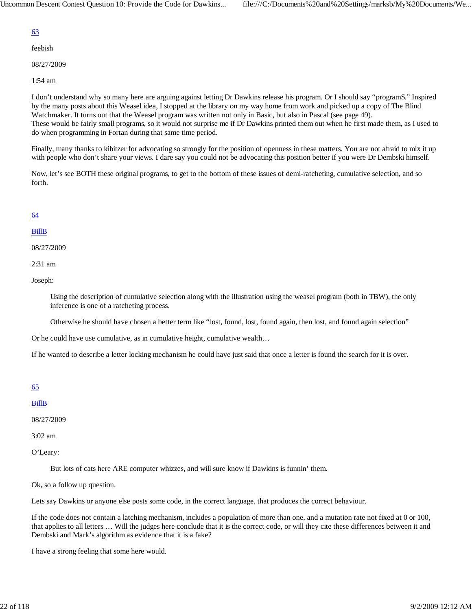feebish

08/27/2009

1:54 am

I don't understand why so many here are arguing against letting Dr Dawkins release his program. Or I should say "programS." Inspired by the many posts about this Weasel idea, I stopped at the library on my way home from work and picked up a copy of The Blind Watchmaker. It turns out that the Weasel program was written not only in Basic, but also in Pascal (see page 49). These would be fairly small programs, so it would not surprise me if Dr Dawkins printed them out when he first made them, as I used to do when programming in Fortan during that same time period.

Finally, many thanks to kibitzer for advocating so strongly for the position of openness in these matters. You are not afraid to mix it up with people who don't share your views. I dare say you could not be advocating this position better if you were Dr Dembski himself.

Now, let's see BOTH these original programs, to get to the bottom of these issues of demi-ratcheting, cumulative selection, and so forth.

## 64

#### BillB

08/27/2009

2:31 am

Joseph:

Using the description of cumulative selection along with the illustration using the weasel program (both in TBW), the only inference is one of a ratcheting process.

Otherwise he should have chosen a better term like "lost, found, lost, found again, then lost, and found again selection"

Or he could have use cumulative, as in cumulative height, cumulative wealth…

If he wanted to describe a letter locking mechanism he could have just said that once a letter is found the search for it is over.

#### 65

BillB

08/27/2009

3:02 am

O'Leary:

But lots of cats here ARE computer whizzes, and will sure know if Dawkins is funnin' them.

Ok, so a follow up question.

Lets say Dawkins or anyone else posts some code, in the correct language, that produces the correct behaviour.

If the code does not contain a latching mechanism, includes a population of more than one, and a mutation rate not fixed at 0 or 100, that applies to all letters … Will the judges here conclude that it is the correct code, or will they cite these differences between it and Dembski and Mark's algorithm as evidence that it is a fake?

I have a strong feeling that some here would.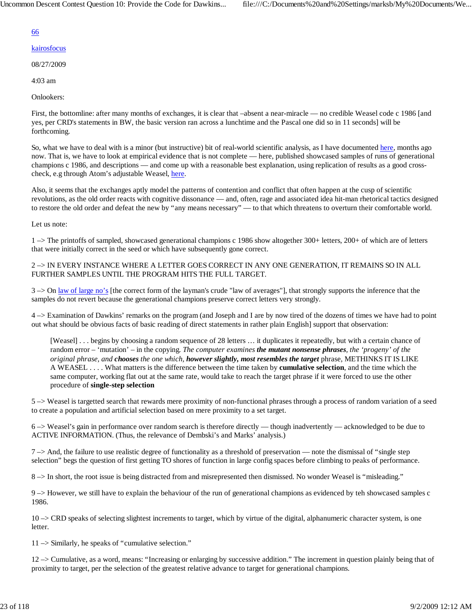- kairosfocus
- 08/27/2009
- 4:03 am

Onlookers:

First, the bottomline: after many months of exchanges, it is clear that –absent a near-miracle — no credible Weasel code c 1986 [and yes, per CRD's statements in BW, the basic version ran across a lunchtime and the Pascal one did so in 11 seconds] will be forthcoming.

So, what we have to deal with is a minor (but instructive) bit of real-world scientific analysis, as I have documented here, months ago now. That is, we have to look at empirical evidence that is not complete — here, published showcased samples of runs of generational champions c 1986, and descriptions — and come up with a reasonable best explanation, using replication of results as a good crosscheck, e.g through Atom's adjustable Weasel, here.

Also, it seems that the exchanges aptly model the patterns of contention and conflict that often happen at the cusp of scientific revolutions, as the old order reacts with cognitive dissonance — and, often, rage and associated idea hit-man rhetorical tactics designed to restore the old order and defeat the new by "any means necessary" — to that which threatens to overturn their comfortable world.

Let us note:

1 –> The printoffs of sampled, showcased generational champions c 1986 show altogether 300+ letters, 200+ of which are of letters that were initially correct in the seed or which have subsequently gone correct.

2 –> IN EVERY INSTANCE WHERE A LETTER GOES CORRECT IN ANY ONE GENERATION, IT REMAINS SO IN ALL FURTHER SAMPLES UNTIL THE PROGRAM HITS THE FULL TARGET.

3 –> On law of large no's [the correct form of the layman's crude "law of averages"], that strongly supports the inference that the samples do not revert because the generational champions preserve correct letters very strongly.

4 –> Examination of Dawkins' remarks on the program (and Joseph and I are by now tired of the dozens of times we have had to point out what should be obvious facts of basic reading of direct statements in rather plain English] support that observation:

[Weasel] . . . begins by choosing a random sequence of 28 letters ... it duplicates it repeatedly, but with a certain chance of random error – 'mutation' – in the copying. *The computer examines the mutant nonsense phrases, the 'progeny' of the original phrase, and chooses the one which, however slightly, most resembles the target* phrase, METHINKS IT IS LIKE A WEASEL . . . . What matters is the difference between the time taken by **cumulative selection**, and the time which the same computer, working flat out at the same rate, would take to reach the target phrase if it were forced to use the other procedure of **single-step selection**

5 –> Weasel is targetted search that rewards mere proximity of non-functional phrases through a process of random variation of a seed to create a population and artificial selection based on mere proximity to a set target.

6 –> Weasel's gain in performance over random search is therefore directly — though inadvertently — acknowledged to be due to ACTIVE INFORMATION. (Thus, the relevance of Dembski's and Marks' analysis.)

 $7 \rightarrow$  And, the failure to use realistic degree of functionality as a threshold of preservation — note the dismissal of "single step selection" begs the question of first getting TO shores of function in large config spaces before climbing to peaks of performance.

8 –> In short, the root issue is being distracted from and misrepresented then dismissed. No wonder Weasel is "misleading."

9 –> However, we still have to explain the behaviour of the run of generational champions as evidenced by teh showcased samples c 1986.

10 –> CRD speaks of selecting slightest increments to target, which by virtue of the digital, alphanumeric character system, is one letter.

11 –> Similarly, he speaks of "cumulative selection."

12 –> Cumulative, as a word, means: "Increasing or enlarging by successive addition." The increment in question plainly being that of proximity to target, per the selection of the greatest relative advance to target for generational champions.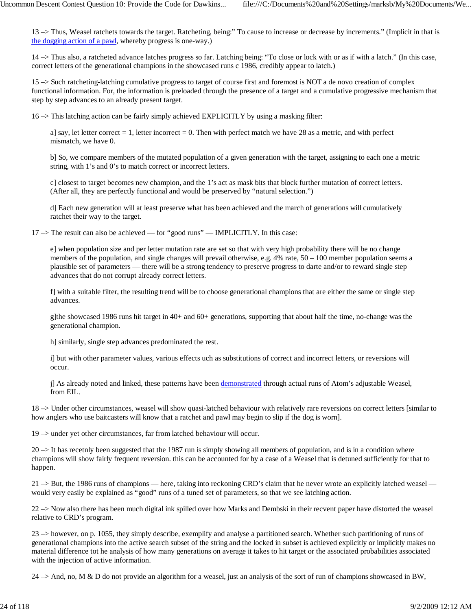13 –> Thus, Weasel ratchets towards the target. Ratcheting, being:" To cause to increase or decrease by increments." (Implicit in that is the dogging action of a pawl, whereby progress is one-way.)

14 –> Thus also, a ratcheted advance latches progress so far. Latching being: "To close or lock with or as if with a latch." (In this case, correct letters of the generational champions in the showcased runs c 1986, credibly appear to latch.)

15 –> Such ratcheting-latching cumulative progress to target of course first and foremost is NOT a de novo creation of complex functional information. For, the information is preloaded through the presence of a target and a cumulative progressive mechanism that step by step advances to an already present target.

 $16 \rightarrow$  This latching action can be fairly simply achieved EXPLICITLY by using a masking filter:

a] say, let letter correct  $= 1$ , letter incorrect  $= 0$ . Then with perfect match we have 28 as a metric, and with perfect mismatch, we have 0.

b] So, we compare members of the mutated population of a given generation with the target, assigning to each one a metric string, with 1's and 0's to match correct or incorrect letters.

c] closest to target becomes new champion, and the 1's act as mask bits that block further mutation of correct letters. (After all, they are perfectly functional and would be preserved by "natural selection.")

d] Each new generation will at least preserve what has been achieved and the march of generations will cumulatively ratchet their way to the target.

17 –> The result can also be achieved — for "good runs" — IMPLICITLY. In this case:

e] when population size and per letter mutation rate are set so that with very high probability there will be no change members of the population, and single changes will prevail otherwise, e.g. 4% rate, 50 – 100 member population seems a plausible set of parameters — there will be a strong tendency to preserve progress to darte and/or to reward single step advances that do not corrupt already correct letters.

f] with a suitable filter, the resulting trend will be to choose generational champions that are either the same or single step advances.

g]the showcased 1986 runs hit target in 40+ and 60+ generations, supporting that about half the time, no-change was the generational champion.

h] similarly, single step advances predominated the rest.

i] but with other parameter values, various effects uch as substitutions of correct and incorrect letters, or reversions will occur.

j] As already noted and linked, these patterns have been demonstrated through actual runs of Atom's adjustable Weasel, from EIL.

18 –> Under other circumstances, weasel will show quasi-latched behaviour with relatively rare reversions on correct letters [similar to how anglers who use baitcasters will know that a ratchet and pawl may begin to slip if the dog is worn].

19 –> under yet other circumstances, far from latched behaviour will occur.

20 –> It has recetnly been suggested that the 1987 run is simply showing all members of population, and is in a condition where champions will show fairly frequent reversion. this can be accounted for by a case of a Weasel that is detuned sufficiently for that to happen.

21 –> But, the 1986 runs of champions — here, taking into reckoning CRD's claim that he never wrote an explicitly latched weasel would very easily be explained as "good" runs of a tuned set of parameters, so that we see latching action.

22 –> Now also there has been much digital ink spilled over how Marks and Dembski in their recvent paper have distorted the weasel relative to CRD's program.

23 –> however, on p. 1055, they simply describe, exemplify and analyse a partitioned search. Whether such partitioning of runs of generational champions into the active search subset of the string and the locked in subset is achieved explicitly or implicitly makes no material difference tot he analysis of how many generations on average it takes to hit target or the associated probabilities associated with the injection of active information.

 $24 \rightarrow$  And, no, M & D do not provide an algorithm for a weasel, just an analysis of the sort of run of champions showcased in BW,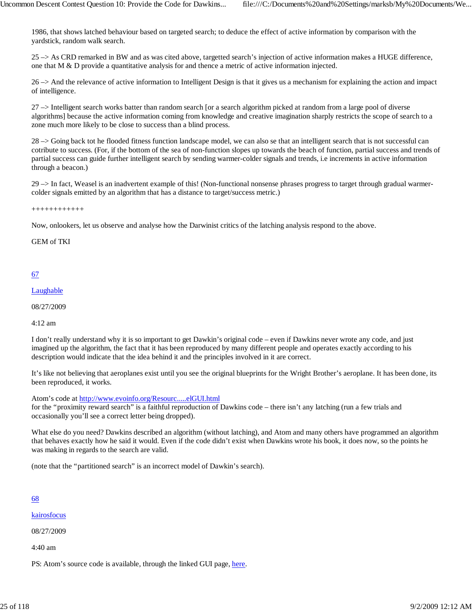1986, that shows latched behaviour based on targeted search; to deduce the effect of active information by comparison with the yardstick, random walk search.

25 –> As CRD remarked in BW and as was cited above, targetted search's injection of active information makes a HUGE difference, one that  $M \& D$  provide a quantitative analysis for and thence a metric of active information injected.

26 –> And the relevance of active information to Intelligent Design is that it gives us a mechanism for explaining the action and impact of intelligence.

27 –> Intelligent search works batter than random search [or a search algorithm picked at random from a large pool of diverse algorithms] because the active information coming from knowledge and creative imagination sharply restricts the scope of search to a zone much more likely to be close to success than a blind process.

28 –> Going back tot he flooded fitness function landscape model, we can also se that an intelligent search that is not successful can cotribute to success. (For, if the bottom of the sea of non-function slopes up towards the beach of function, partial success and trends of partial success can guide further intelligent search by sending warmer-colder signals and trends, i.e increments in active information through a beacon.)

29 –> In fact, Weasel is an inadvertent example of this! (Non-functional nonsense phrases progress to target through gradual warmercolder signals emitted by an algorithm that has a distance to target/success metric.)

++++++++++++

Now, onlookers, let us observe and analyse how the Darwinist critics of the latching analysis respond to the above.

GEM of TKI

## 67

#### Laughable

08/27/2009

4:12 am

I don't really understand why it is so important to get Dawkin's original code – even if Dawkins never wrote any code, and just imagined up the algorithm, the fact that it has been reproduced by many different people and operates exactly according to his description would indicate that the idea behind it and the principles involved in it are correct.

It's like not believing that aeroplanes exist until you see the original blueprints for the Wright Brother's aeroplane. It has been done, its been reproduced, it works.

Atom's code at http://www.evoinfo.org/Resourc.....elGUI.html

for the "proximity reward search" is a faithful reproduction of Dawkins code – there isn't any latching (run a few trials and occasionally you'll see a correct letter being dropped).

What else do you need? Dawkins described an algorithm (without latching), and Atom and many others have programmed an algorithm that behaves exactly how he said it would. Even if the code didn't exist when Dawkins wrote his book, it does now, so the points he was making in regards to the search are valid.

(note that the "partitioned search" is an incorrect model of Dawkin's search).

## 68

kairosfocus

08/27/2009

4:40 am

PS: Atom's source code is available, through the linked GUI page, here.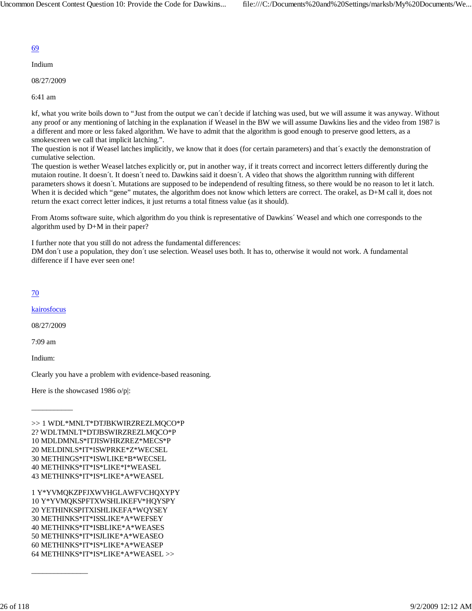Indium

08/27/2009

6:41 am

kf, what you write boils down to "Just from the output we can´t decide if latching was used, but we will assume it was anyway. Without any proof or any mentioning of latching in the explanation if Weasel in the BW we will assume Dawkins lies and the video from 1987 is a different and more or less faked algorithm. We have to admit that the algorithm is good enough to preserve good letters, as a smokescreen we call that implicit latching.".

The question is not if Weasel latches implicitly, we know that it does (for certain parameters) and that´s exactly the demonstration of cumulative selection.

The question is wether Weasel latches explicitly or, put in another way, if it treats correct and incorrect letters differently during the mutaion routine. It doesn´t. It doesn´t need to. Dawkins said it doesn´t. A video that shows the algoritthm running with different parameters shows it doesn´t. Mutations are supposed to be independend of resulting fitness, so there would be no reason to let it latch. When it is decided which "gene" mutates, the algorithm does not know which letters are correct. The orakel, as D+M call it, does not return the exact correct letter indices, it just returns a total fitness value (as it should).

From Atoms software suite, which algorithm do you think is representative of Dawkins´ Weasel and which one corresponds to the algorithm used by D+M in their paper?

I further note that you still do not adress the fundamental differences:

DM don´t use a population, they don´t use selection. Weasel uses both. It has to, otherwise it would not work. A fundamental difference if I have ever seen one!

## 70

kairosfocus

08/27/2009

\_\_\_\_\_\_\_\_\_\_\_

\_\_\_\_\_\_\_\_\_\_\_\_\_\_\_

7:09 am

Indium:

Clearly you have a problem with evidence-based reasoning.

Here is the showcased 1986 o/p|:

>> 1 WDL\*MNLT\*DTJBKWIRZREZLMQCO\*P 2? WDLTMNLT\*DTJBSWIRZREZLMQCO\*P 10 MDLDMNLS\*ITJISWHRZREZ\*MECS\*P 20 MELDINLS\*IT\*ISWPRKE\*Z\*WECSEL 30 METHINGS\*IT\*ISWLIKE\*B\*WECSEL 40 METHINKS\*IT\*IS\*LIKE\*I\*WEASEL 43 METHINKS\*IT\*IS\*LIKE\*A\*WEASEL

1 Y\*YVMQKZPFJXWVHGLAWFVCHQXYPY 10 Y\*YVMQKSPFTXWSHLIKEFV\*HQYSPY 20 YETHINKSPITXISHLIKEFA\*WQYSEY 30 METHINKS\*IT\*ISSLIKE\*A\*WEFSEY 40 METHINKS\*IT\*ISBLIKE\*A\*WEASES 50 METHINKS\*IT\*ISJLIKE\*A\*WEASEO 60 METHINKS\*IT\*IS\*LIKE\*A\*WEASEP 64 METHINKS\*IT\*IS\*LIKE\*A\*WEASEL >>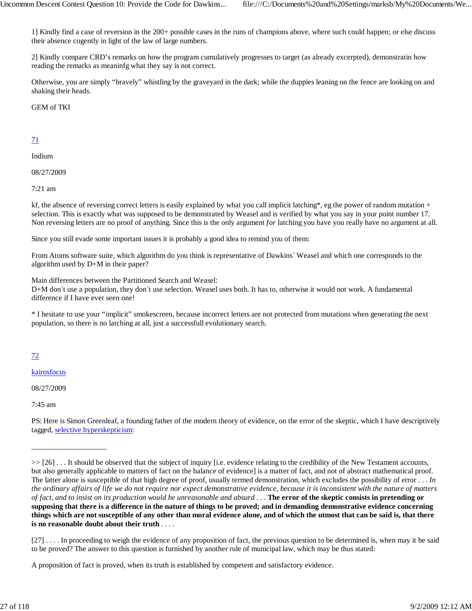1] Kindly find a case of reversion in the 200+ possible cases in the runs of champions above, where such could happen; or else discuss their absence cogently in light of the law of large numbers.

2] Kindly compare CRD's remarks on how the program cumulatively progresses to target (as already excerpted), demonstratin how reading the remarks as meaninfg what they say is not correct.

Otherwise, you are simply "bravely" whistling by the graveyard in the dark; while the duppies leaning on the fence are looking on and shaking their heads.

GEM of TKI

## 71

Indium

08/27/2009

7:21 am

kf, the absence of reversing correct letters is easily explained by what you call implicit latching\*, eg the power of random mutation + selection. This is exactly what was supposed to be demonstrated by Weasel and is verified by what you say in your point number 17. Non reversing letters are no proof of anything. Since this is the only argument *for* latching you have you really have no argument at all.

Since you still evade some important issues it is probably a good idea to remind you of them:

From Atoms software suite, which algorithm do you think is representative of Dawkins´ Weasel and which one corresponds to the algorithm used by D+M in their paper?

Main differences between the Partitioned Search and Weasel:

D+M don´t use a population, they don´t use selection. Weasel uses both. It has to, otherwise it would not work. A fundamental difference if I have ever seen one!

\* I hesitate to use your "implicit" smokescreen, because incorrect letters are not protected from mutations when generating the next population, so there is no latching at all, just a successfull evolutionary search.

72

kairosfocus

08/27/2009

\_\_\_\_\_\_\_\_\_\_\_\_\_\_\_\_\_\_\_\_

7:45 am

PS: Here is Simon Greenleaf, a founding father of the modern theory of evidence, on the error of the skeptic, which I have descriptively tagged, selective hyperskepticism:

A proposition of fact is proved, when its truth is established by competent and satisfactory evidence.

<sup>&</sup>gt;> [26] . . . It should be observed that the subject of inquiry [i.e. evidence relating to the credibility of the New Testament accounts, but also generally applicable to matters of fact on the balance of evidence] is a matter of fact, and not of abstract mathematical proof. The latter alone is susceptible of that high degree of proof, usually termed demonstration, which excludes the possibility of error . . . *In the ordinary affairs of life we do not require nor expect demonstrative evidence, because it is inconsistent with the nature of matters of fact, and to insist on its production would be unreasonable and absurd* . . . **The error of the skeptic consists in pretending or supposing that there is a difference in the nature of things to be proved; and in demanding demonstrative evidence concerning things which are not susceptible of any other than moral evidence alone, and of which the utmost that can be said is, that there is no reasonable doubt about their truth** . . . .

<sup>[27] . . . .</sup> In proceeding to weigh the evidence of any proposition of fact, the previous question to be determined is, when may it be said to be proved? The answer to this question is furnished by another rule of municipal law, which may be thus stated: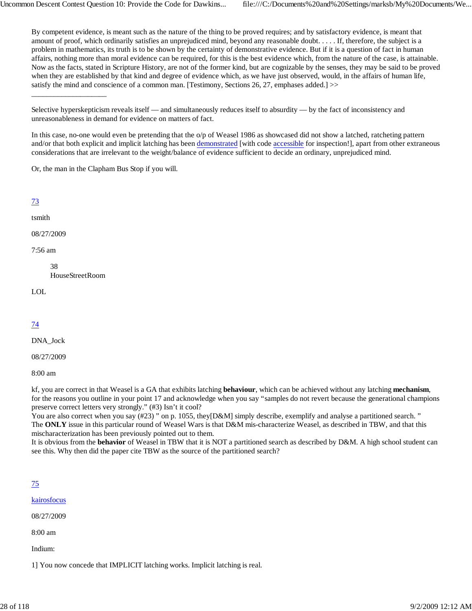By competent evidence, is meant such as the nature of the thing to be proved requires; and by satisfactory evidence, is meant that amount of proof, which ordinarily satisfies an unprejudiced mind, beyond any reasonable doubt. . . . . If, therefore, the subject is a problem in mathematics, its truth is to be shown by the certainty of demonstrative evidence. But if it is a question of fact in human affairs, nothing more than moral evidence can be required, for this is the best evidence which, from the nature of the case, is attainable. Now as the facts, stated in Scripture History, are not of the former kind, but are cognizable by the senses, they may be said to be proved when they are established by that kind and degree of evidence which, as we have just observed, would, in the affairs of human life, satisfy the mind and conscience of a common man. [Testimony, Sections 26, 27, emphases added.] >>

In this case, no-one would even be pretending that the o/p of Weasel 1986 as showcased did not show a latched, ratcheting pattern and/or that both explicit and implicit latching has been demonstrated [with code accessible for inspection!], apart from other extraneous considerations that are irrelevant to the weight/balance of evidence sufficient to decide an ordinary, unprejudiced mind.

Or, the man in the Clapham Bus Stop if you will.

## 73

#### tsmith

08/27/2009

7:56 am

38 HouseStreetRoom

\_\_\_\_\_\_\_\_\_\_\_\_\_\_\_\_\_\_\_\_

LOL

## 74

DNA\_Jock

08/27/2009

8:00 am

kf, you are correct in that Weasel is a GA that exhibits latching **behaviour**, which can be achieved without any latching **mechanism**, for the reasons you outline in your point 17 and acknowledge when you say "samples do not revert because the generational champions preserve correct letters very strongly." (#3) Isn't it cool?

You are also correct when you say (#23) " on p. 1055, they[D&M] simply describe, exemplify and analyse a partitioned search. " The **ONLY** issue in this particular round of Weasel Wars is that D&M mis-characterize Weasel, as described in TBW, and that this mischaracterization has been previously pointed out to them.

It is obvious from the **behavior** of Weasel in TBW that it is NOT a partitioned search as described by D&M. A high school student can see this. Why then did the paper cite TBW as the source of the partitioned search?

| I | ٠ |  |
|---|---|--|
|   |   |  |

kairosfocus

08/27/2009

8:00 am

Indium:

1] You now concede that IMPLICIT latching works. Implicit latching is real.

Selective hyperskepticism reveals itself — and simultaneously reduces itself to absurdity — by the fact of inconsistency and unreasonableness in demand for evidence on matters of fact.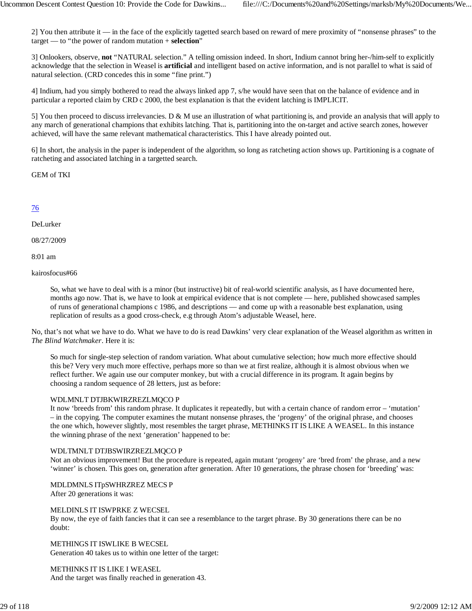2] You then attribute it — in the face of the explicitly tagetted search based on reward of mere proximity of "nonsense phrases" to the target — to "the power of random mutation + **selection**"

3] Onlookers, observe, **not** "NATURAL selection." A telling omission indeed. In short, Indium cannot bring her-/him-self to explicitly acknowledge that the selection in Weasel is **artificial** and intelligent based on active information, and is not parallel to what is said of natural selection. (CRD concedes this in some "fine print.")

4] Indium, had you simply bothered to read the always linked app 7, s/he would have seen that on the balance of evidence and in particular a reported claim by CRD c 2000, the best explanation is that the evident latching is IMPLICIT.

5] You then proceed to discuss irrelevancies. D & M use an illustration of what partitioning is, and provide an analysis that will apply to any march of generational champions that exhibits latching. That is, partitioning into the on-target and active search zones, however achieved, will have the same relevant mathematical characteristics. This I have already pointed out.

6] In short, the analysis in the paper is independent of the algorithm, so long as ratcheting action shows up. Partitioning is a cognate of ratcheting and associated latching in a targetted search.

GEM of TKI

## 76

#### DeLurker

08/27/2009

8:01 am

kairosfocus#66

So, what we have to deal with is a minor (but instructive) bit of real-world scientific analysis, as I have documented here, months ago now. That is, we have to look at empirical evidence that is not complete — here, published showcased samples of runs of generational champions c 1986, and descriptions — and come up with a reasonable best explanation, using replication of results as a good cross-check, e.g through Atom's adjustable Weasel, here.

No, that's not what we have to do. What we have to do is read Dawkins' very clear explanation of the Weasel algorithm as written in *The Blind Watchmaker*. Here it is:

So much for single-step selection of random variation. What about cumulative selection; how much more effective should this be? Very very much more effective, perhaps more so than we at first realize, although it is almost obvious when we reflect further. We again use our computer monkey, but with a crucial difference in its program. It again begins by choosing a random sequence of 28 letters, just as before:

#### WDLMNLT DTJBKWIRZREZLMQCO P

It now 'breeds from' this random phrase. It duplicates it repeatedly, but with a certain chance of random error – 'mutation' – in the copying. The computer examines the mutant nonsense phrases, the 'progeny' of the original phrase, and chooses the one which, however slightly, most resembles the target phrase, METHINKS IT IS LIKE A WEASEL. In this instance the winning phrase of the next 'generation' happened to be:

#### WDLTMNLT DTJBSWIRZREZLMQCO P

Not an obvious improvement! But the procedure is repeated, again mutant 'progeny' are 'bred from' the phrase, and a new 'winner' is chosen. This goes on, generation after generation. After 10 generations, the phrase chosen for 'breeding' was:

MDLDMNLS ITpSWHRZREZ MECS P

After 20 generations it was:

#### MELDINLS IT ISWPRKE Z WECSEL

By now, the eye of faith fancies that it can see a resemblance to the target phrase. By 30 generations there can be no doubt:

METHINGS IT ISWLIKE B WECSEL Generation 40 takes us to within one letter of the target:

#### METHINKS IT IS LIKE I WEASEL

And the target was finally reached in generation 43.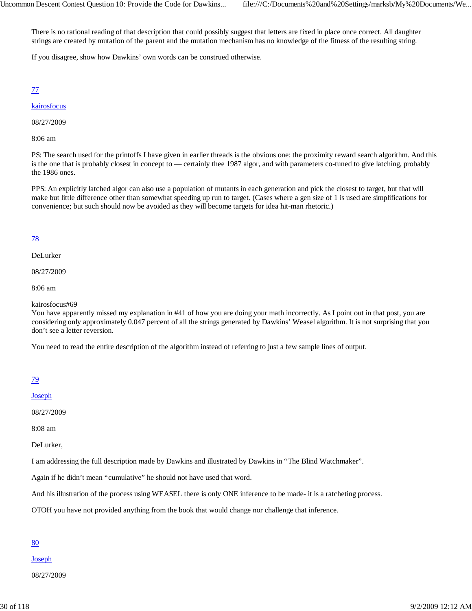There is no rational reading of that description that could possibly suggest that letters are fixed in place once correct. All daughter strings are created by mutation of the parent and the mutation mechanism has no knowledge of the fitness of the resulting string.

If you disagree, show how Dawkins' own words can be construed otherwise.

77

## kairosfocus

08/27/2009

8:06 am

PS: The search used for the printoffs I have given in earlier threads is the obvious one: the proximity reward search algorithm. And this is the one that is probably closest in concept to — certainly thee 1987 algor, and with parameters co-tuned to give latching, probably the 1986 ones.

PPS: An explicitly latched algor can also use a population of mutants in each generation and pick the closest to target, but that will make but little difference other than somewhat speeding up run to target. (Cases where a gen size of 1 is used are simplifications for convenience; but such should now be avoided as they will become targets for idea hit-man rhetoric.)

## 78

DeLurker

08/27/2009

8:06 am

kairosfocus#69

You have apparently missed my explanation in #41 of how you are doing your math incorrectly. As I point out in that post, you are considering only approximately 0.047 percent of all the strings generated by Dawkins' Weasel algorithm. It is not surprising that you don't see a letter reversion.

You need to read the entire description of the algorithm instead of referring to just a few sample lines of output.

| I |  |
|---|--|

Joseph

08/27/2009

8:08 am

DeLurker,

I am addressing the full description made by Dawkins and illustrated by Dawkins in "The Blind Watchmaker".

Again if he didn't mean "cumulative" he should not have used that word.

And his illustration of the process using WEASEL there is only ONE inference to be made- it is a ratcheting process.

OTOH you have not provided anything from the book that would change nor challenge that inference.

#### 80

Joseph

08/27/2009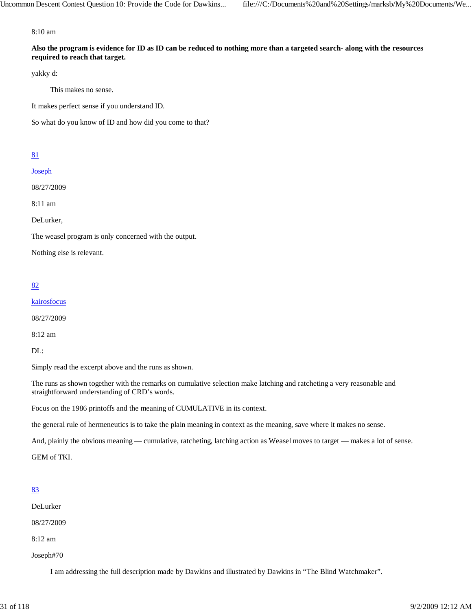8:10 am

**Also the program is evidence for ID as ID can be reduced to nothing more than a targeted search- along with the resources required to reach that target.**

yakky d:

This makes no sense.

It makes perfect sense if you understand ID.

So what do you know of ID and how did you come to that?

#### 81

Joseph

08/27/2009

8:11 am

DeLurker,

The weasel program is only concerned with the output.

Nothing else is relevant.

#### 82

kairosfocus

08/27/2009

8:12 am

DL:

Simply read the excerpt above and the runs as shown.

The runs as shown together with the remarks on cumulative selection make latching and ratcheting a very reasonable and straightforward understanding of CRD's words.

Focus on the 1986 printoffs and the meaning of CUMULATIVE in its context.

the general rule of hermeneutics is to take the plain meaning in context as the meaning, save where it makes no sense.

And, plainly the obvious meaning — cumulative, ratcheting, latching action as Weasel moves to target — makes a lot of sense.

GEM of TKI.

#### 83

DeLurker

08/27/2009

8:12 am

Joseph#70

I am addressing the full description made by Dawkins and illustrated by Dawkins in "The Blind Watchmaker".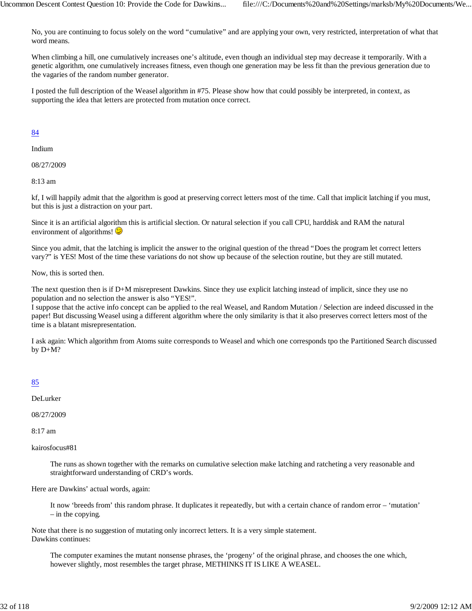No, you are continuing to focus solely on the word "cumulative" and are applying your own, very restricted, interpretation of what that word means.

When climbing a hill, one cumulatively increases one's altitude, even though an individual step may decrease it temporarily. With a genetic algorithm, one cumulatively increases fitness, even though one generation may be less fit than the previous generation due to the vagaries of the random number generator.

I posted the full description of the Weasel algorithm in #75. Please show how that could possibly be interpreted, in context, as supporting the idea that letters are protected from mutation once correct.

#### 84

Indium

08/27/2009

8:13 am

kf, I will happily admit that the algorithm is good at preserving correct letters most of the time. Call that implicit latching if you must, but this is just a distraction on your part.

Since it is an artificial algorithm this is artificial slection. Or natural selection if you call CPU, harddisk and RAM the natural environment of algorithms! $\bigcirc$ 

Since you admit, that the latching is implicit the answer to the original question of the thread "Does the program let correct letters vary?" is YES! Most of the time these variations do not show up because of the selection routine, but they are still mutated.

Now, this is sorted then.

The next question then is if D+M misrepresent Dawkins. Since they use explicit latching instead of implicit, since they use no population and no selection the answer is also "YES!".

I suppose that the active info concept can be applied to the real Weasel, and Random Mutation / Selection are indeed discussed in the paper! But discussing Weasel using a different algorithm where the only similarity is that it also preserves correct letters most of the time is a blatant misrepresentation.

I ask again: Which algorithm from Atoms suite corresponds to Weasel and which one corresponds tpo the Partitioned Search discussed by D+M?

#### 85

DeLurker

08/27/2009

8:17 am

kairosfocus#81

The runs as shown together with the remarks on cumulative selection make latching and ratcheting a very reasonable and straightforward understanding of CRD's words.

Here are Dawkins' actual words, again:

It now 'breeds from' this random phrase. It duplicates it repeatedly, but with a certain chance of random error – 'mutation' – in the copying.

Note that there is no suggestion of mutating only incorrect letters. It is a very simple statement. Dawkins continues:

The computer examines the mutant nonsense phrases, the 'progeny' of the original phrase, and chooses the one which, however slightly, most resembles the target phrase, METHINKS IT IS LIKE A WEASEL.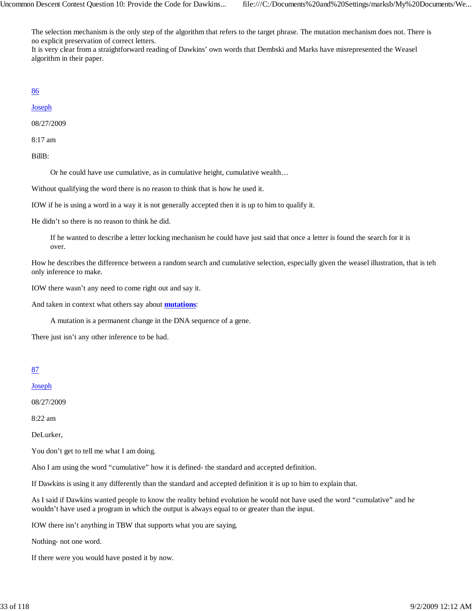The selection mechanism is the only step of the algorithm that refers to the target phrase. The mutation mechanism does not. There is no explicit preservation of correct letters.

It is very clear from a straightforward reading of Dawkins' own words that Dembski and Marks have misrepresented the Weasel algorithm in their paper.

#### 86

Joseph

08/27/2009

8:17 am

BillB:

Or he could have use cumulative, as in cumulative height, cumulative wealth…

Without qualifying the word there is no reason to think that is how he used it.

IOW if he is using a word in a way it is not generally accepted then it is up to him to qualify it.

He didn't so there is no reason to think he did.

If he wanted to describe a letter locking mechanism he could have just said that once a letter is found the search for it is over.

How he describes the difference between a random search and cumulative selection, especially given the weasel illustration, that is teh only inference to make.

IOW there wasn't any need to come right out and say it.

And taken in context what others say about **mutations**:

A mutation is a permanent change in the DNA sequence of a gene.

There just isn't any other inference to be had.

## 87

Joseph

08/27/2009

8:22 am

DeLurker,

You don't get to tell me what I am doing.

Also I am using the word "cumulative" how it is defined- the standard and accepted definition.

If Dawkins is using it any differently than the standard and accepted definition it is up to him to explain that.

As I said if Dawkins wanted people to know the reality behind evolution he would not have used the word "cumulative" and he wouldn't have used a program in which the output is always equal to or greater than the input.

IOW there isn't anything in TBW that supports what you are saying.

Nothing- not one word.

If there were you would have posted it by now.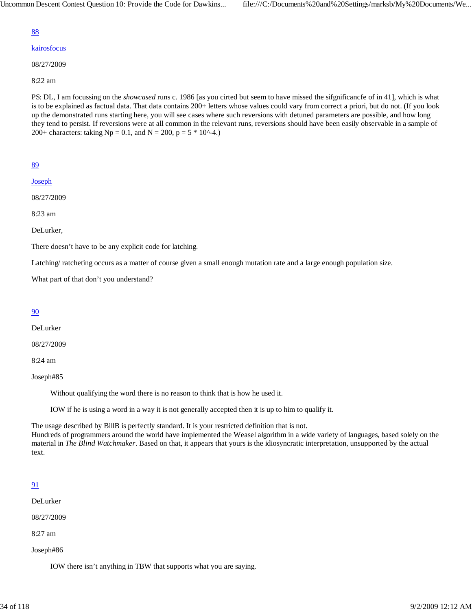#### kairosfocus

08/27/2009

8:22 am

PS: DL, I am focussing on the *showcased* runs c. 1986 [as you cirted but seem to have missed the sifgnificancfe of in 41], which is what is to be explained as factual data. That data contains 200+ letters whose values could vary from correct a priori, but do not. (If you look up the demonstrated runs starting here, you will see cases where such reversions with detuned parameters are possible, and how long they tend to persist. If reversions were at all common in the relevant runs, reversions should have been easily observable in a sample of 200+ characters: taking Np = 0.1, and N = 200, p =  $5 * 10^{-4}$ .)

89

**Joseph** 

08/27/2009

8:23 am

DeLurker,

There doesn't have to be any explicit code for latching.

Latching/ ratcheting occurs as a matter of course given a small enough mutation rate and a large enough population size.

What part of that don't you understand?

#### 90

DeLurker

08/27/2009

8:24 am

Joseph#85

Without qualifying the word there is no reason to think that is how he used it.

IOW if he is using a word in a way it is not generally accepted then it is up to him to qualify it.

The usage described by BillB is perfectly standard. It is your restricted definition that is not. Hundreds of programmers around the world have implemented the Weasel algorithm in a wide variety of languages, based solely on the material in *The Blind Watchmaker*. Based on that, it appears that yours is the idiosyncratic interpretation, unsupported by the actual text.

## 91

DeLurker

08/27/2009

8:27 am

Joseph#86

IOW there isn't anything in TBW that supports what you are saying.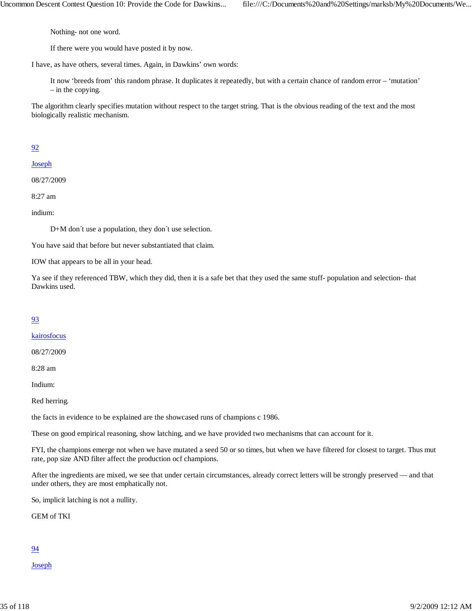Nothing- not one word.

If there were you would have posted it by now.

I have, as have others, several times. Again, in Dawkins' own words:

It now 'breeds from' this random phrase. It duplicates it repeatedly, but with a certain chance of random error – 'mutation' – in the copying.

The algorithm clearly specifies mutation without respect to the target string. That is the obvious reading of the text and the most biologically realistic mechanism.

## 92

Joseph

08/27/2009

8:27 am

indium:

D+M don´t use a population, they don´t use selection.

You have said that before but never substantiated that claim.

IOW that appears to be all in your head.

Ya see if they referenced TBW, which they did, then it is a safe bet that they used the same stuff- population and selection- that Dawkins used.

#### 93

#### kairosfocus

08/27/2009

8:28 am

Indium:

Red herring.

the facts in evidence to be explained are the showcased runs of champions c 1986.

These on good empirical reasoning, show latching, and we have provided two mechanisms that can account for it.

FYI, the champions emerge not when we have mutated a seed 50 or so times, but when we have filtered for closest to target. Thus mut rate, pop size AND filter affect the production ocf champions.

After the ingredients are mixed, we see that under certain circumstances, already correct letters will be strongly preserved — and that under others, they are most emphatically not.

So, implicit latching is not a nullity.

GEM of TKI

#### 94

Joseph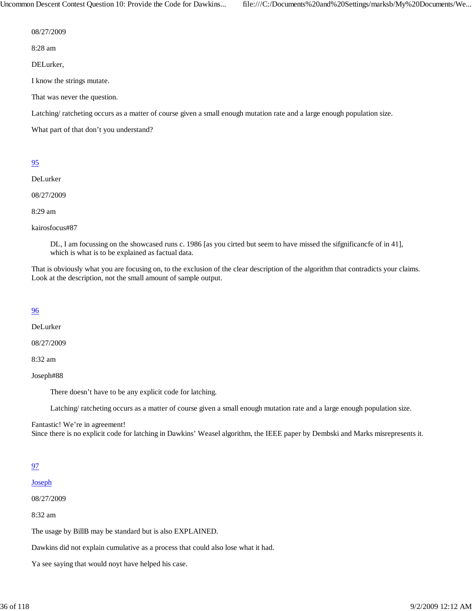Uncommon Descent Contest Question 10: Provide the Code for Dawkins... file:///C:/Documents%20and%20Settings/marksb/My%20Documents/We...

08/27/2009

8:28 am

DELurker,

I know the strings mutate.

That was never the question.

Latching/ ratcheting occurs as a matter of course given a small enough mutation rate and a large enough population size.

What part of that don't you understand?

## 95

DeLurker

08/27/2009

8:29 am

kairosfocus#87

DL, I am focussing on the showcased runs c. 1986 [as you cirted but seem to have missed the sifgnificancfe of in 41], which is what is to be explained as factual data.

That is obviously what you are focusing on, to the exclusion of the clear description of the algorithm that contradicts your claims. Look at the description, not the small amount of sample output.

## 96

DeLurker

08/27/2009

8:32 am

Joseph#88

There doesn't have to be any explicit code for latching.

Latching/ ratcheting occurs as a matter of course given a small enough mutation rate and a large enough population size.

Fantastic! We're in agreement!

Since there is no explicit code for latching in Dawkins' Weasel algorithm, the IEEE paper by Dembski and Marks misrepresents it.

## 97

Joseph

08/27/2009

8:32 am

The usage by BillB may be standard but is also EXPLAINED.

Dawkins did not explain cumulative as a process that could also lose what it had.

Ya see saying that would noyt have helped his case.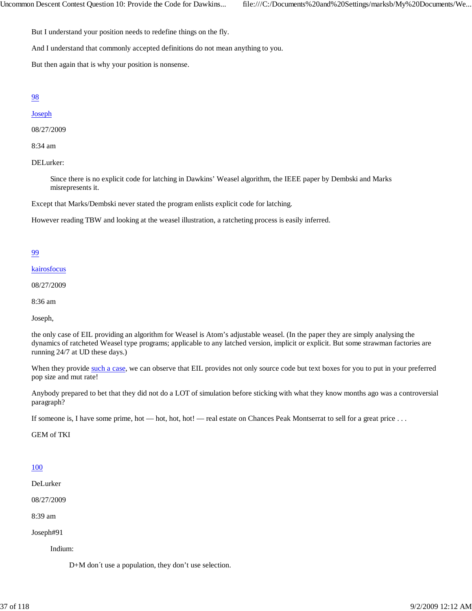But I understand your position needs to redefine things on the fly.

And I understand that commonly accepted definitions do not mean anything to you.

But then again that is why your position is nonsense.

## 98

## **Joseph**

08/27/2009

8:34 am

DELurker:

Since there is no explicit code for latching in Dawkins' Weasel algorithm, the IEEE paper by Dembski and Marks misrepresents it.

Except that Marks/Dembski never stated the program enlists explicit code for latching.

However reading TBW and looking at the weasel illustration, a ratcheting process is easily inferred.

## 99

kairosfocus

08/27/2009

8:36 am

Joseph,

the only case of EIL providing an algorithm for Weasel is Atom's adjustable weasel. (In the paper they are simply analysing the dynamics of ratcheted Weasel type programs; applicable to any latched version, implicit or explicit. But some strawman factories are running 24/7 at UD these days.)

When they provide such a case, we can observe that EIL provides not only source code but text boxes for you to put in your preferred pop size and mut rate!

Anybody prepared to bet that they did not do a LOT of simulation before sticking with what they know months ago was a controversial paragraph?

If someone is, I have some prime, hot — hot, hot, hot! — real estate on Chances Peak Montserrat to sell for a great price . . .

GEM of TKI

### 100

DeLurker

08/27/2009

8:39 am

Joseph#91

Indium:

D+M don´t use a population, they don't use selection.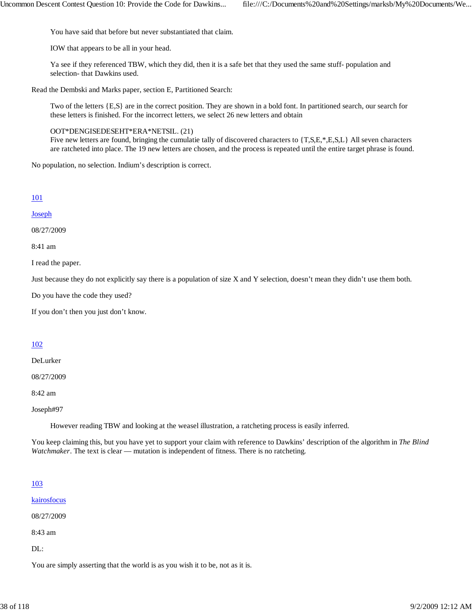You have said that before but never substantiated that claim.

IOW that appears to be all in your head.

Ya see if they referenced TBW, which they did, then it is a safe bet that they used the same stuff- population and selection- that Dawkins used.

Read the Dembski and Marks paper, section E, Partitioned Search:

Two of the letters {E,S} are in the correct position. They are shown in a bold font. In partitioned search, our search for these letters is finished. For the incorrect letters, we select 26 new letters and obtain

OOT\*DENGISEDESEHT\*ERA\*NETSIL. (21)

Five new letters are found, bringing the cumulatie tally of discovered characters to  $\{T, S, E, *, E, S, L\}$  All seven characters are ratcheted into place. The 19 new letters are chosen, and the process is repeated until the entire target phrase is found.

No population, no selection. Indium's description is correct.

## 101

#### Joseph

08/27/2009

8:41 am

I read the paper.

Just because they do not explicitly say there is a population of size X and Y selection, doesn't mean they didn't use them both.

Do you have the code they used?

If you don't then you just don't know.

## 102

#### DeLurker

08/27/2009

8:42 am

Joseph#97

However reading TBW and looking at the weasel illustration, a ratcheting process is easily inferred.

You keep claiming this, but you have yet to support your claim with reference to Dawkins' description of the algorithm in *The Blind Watchmaker*. The text is clear — mutation is independent of fitness. There is no ratcheting.

### 103

kairosfocus

08/27/2009

8:43 am

DL:

You are simply asserting that the world is as you wish it to be, not as it is.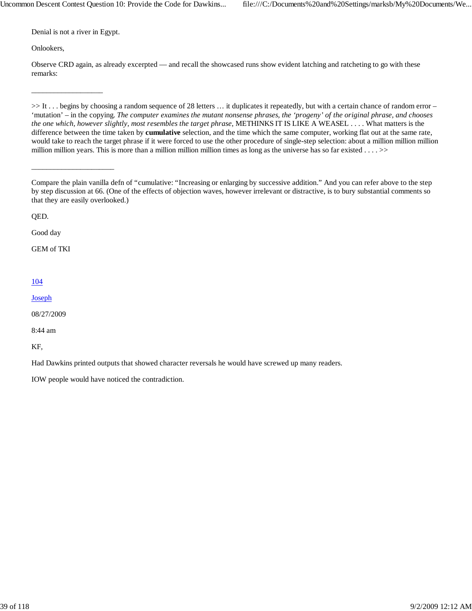Denial is not a river in Egypt.

\_\_\_\_\_\_\_\_\_\_\_\_\_\_\_\_\_\_\_

\_\_\_\_\_\_\_\_\_\_\_\_\_\_\_\_\_\_\_\_\_\_

Onlookers,

Observe CRD again, as already excerpted — and recall the showcased runs show evident latching and ratcheting to go with these remarks:

>> It . . . begins by choosing a random sequence of 28 letters ... it duplicates it repeatedly, but with a certain chance of random error – 'mutation' – in the copying. *The computer examines the mutant nonsense phrases, the 'progeny' of the original phrase, and chooses the one which, however slightly, most resembles the target phrase*, METHINKS IT IS LIKE A WEASEL . . . . What matters is the difference between the time taken by **cumulative** selection, and the time which the same computer, working flat out at the same rate, would take to reach the target phrase if it were forced to use the other procedure of single-step selection: about a million million million million million years. This is more than a million million million times as long as the universe has so far existed  $\ldots$  >>

QED.

Good day

GEM of TKI

### 104

Joseph

08/27/2009

8:44 am

KF,

Had Dawkins printed outputs that showed character reversals he would have screwed up many readers.

IOW people would have noticed the contradiction.

Compare the plain vanilla defn of "cumulative: "Increasing or enlarging by successive addition." And you can refer above to the step by step discussion at 66. (One of the effects of objection waves, however irrelevant or distractive, is to bury substantial comments so that they are easily overlooked.)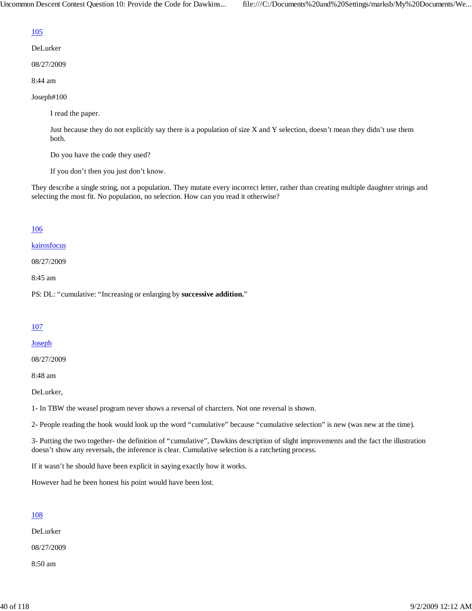## 105

- DeLurker
- 08/27/2009
- 8:44 am
- Joseph#100

I read the paper.

Just because they do not explicitly say there is a population of size X and Y selection, doesn't mean they didn't use them both.

Do you have the code they used?

If you don't then you just don't know.

They describe a single string, not a population. They mutate every incorrect letter, rather than creating multiple daughter strings and selecting the most fit. No population, no selection. How can you read it otherwise?

### 106

kairosfocus

08/27/2009

8:45 am

PS: DL: "cumulative: "Increasing or enlarging by **successive addition.**"

## 107

**Joseph** 

08/27/2009

8:48 am

DeLurker,

1- In TBW the weasel program never shows a reversal of charcters. Not one reversal is shown.

2- People reading the book would look up the word "cumulative" because "cumulative selection" is new (was new at the time).

3- Putting the two together- the definition of "cumulative", Dawkins description of slight improvements and the fact the illustration doesn't show any reversals, the inference is clear. Cumulative selection is a ratcheting process.

If it wasn't he should have been explicit in saying exactly how it works.

However had he been honest his point would have been lost.

## 108

DeLurker

08/27/2009

8:50 am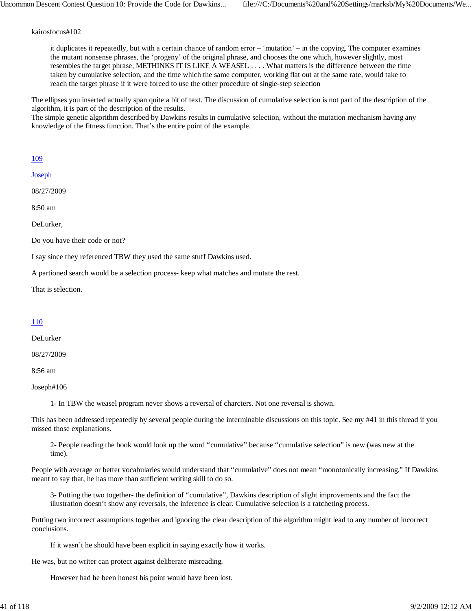#### kairosfocus#102

it duplicates it repeatedly, but with a certain chance of random error – 'mutation' – in the copying. The computer examines the mutant nonsense phrases, the 'progeny' of the original phrase, and chooses the one which, however slightly, most resembles the target phrase, METHINKS IT IS LIKE A WEASEL . . . . What matters is the difference between the time taken by cumulative selection, and the time which the same computer, working flat out at the same rate, would take to reach the target phrase if it were forced to use the other procedure of single-step selection

The ellipses you inserted actually span quite a bit of text. The discussion of cumulative selection is not part of the description of the algorithm, it is part of the description of the results.

The simple genetic algorithm described by Dawkins results in cumulative selection, without the mutation mechanism having any knowledge of the fitness function. That's the entire point of the example.

#### 109

Joseph

08/27/2009

8:50 am

DeLurker,

Do you have their code or not?

I say since they referenced TBW they used the same stuff Dawkins used.

A partioned search would be a selection process- keep what matches and mutate the rest.

That is selection.

#### 110

DeLurker

08/27/2009

8:56 am

Joseph#106

1- In TBW the weasel program never shows a reversal of charcters. Not one reversal is shown.

This has been addressed repeatedly by several people during the interminable discussions on this topic. See my #41 in this thread if you missed those explanations.

2- People reading the book would look up the word "cumulative" because "cumulative selection" is new (was new at the time).

People with average or better vocabularies would understand that "cumulative" does not mean "monotonically increasing." If Dawkins meant to say that, he has more than sufficient writing skill to do so.

3- Putting the two together- the definition of "cumulative", Dawkins description of slight improvements and the fact the illustration doesn't show any reversals, the inference is clear. Cumulative selection is a ratcheting process.

Putting two incorrect assumptions together and ignoring the clear description of the algorithm might lead to any number of incorrect conclusions.

If it wasn't he should have been explicit in saying exactly how it works.

He was, but no writer can protect against deliberate misreading.

However had he been honest his point would have been lost.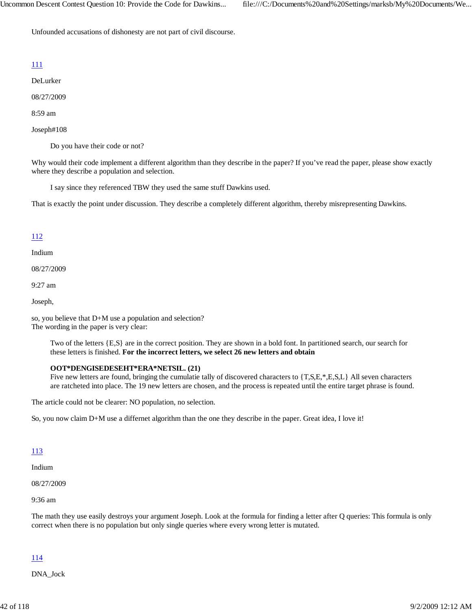Unfounded accusations of dishonesty are not part of civil discourse.

## 111

DeLurker

08/27/2009

8:59 am

Joseph#108

Do you have their code or not?

Why would their code implement a different algorithm than they describe in the paper? If you've read the paper, please show exactly where they describe a population and selection.

I say since they referenced TBW they used the same stuff Dawkins used.

That is exactly the point under discussion. They describe a completely different algorithm, thereby misrepresenting Dawkins.

## 112

Indium

08/27/2009

9:27 am

Joseph,

so, you believe that D+M use a population and selection? The wording in the paper is very clear:

> Two of the letters {E,S} are in the correct position. They are shown in a bold font. In partitioned search, our search for these letters is finished. **For the incorrect letters, we select 26 new letters and obtain**

### **OOT\*DENGISEDESEHT\*ERA\*NETSIL. (21)**

Five new letters are found, bringing the cumulatie tally of discovered characters to {T,S,E,\*,E,S,L} All seven characters are ratcheted into place. The 19 new letters are chosen, and the process is repeated until the entire target phrase is found.

The article could not be clearer: NO population, no selection.

So, you now claim D+M use a differnet algorithm than the one they describe in the paper. Great idea, I love it!

### 113

Indium

08/27/2009

9:36 am

The math they use easily destroys your argument Joseph. Look at the formula for finding a letter after Q queries: This formula is only correct when there is no population but only single queries where every wrong letter is mutated.

### 114

DNA\_Jock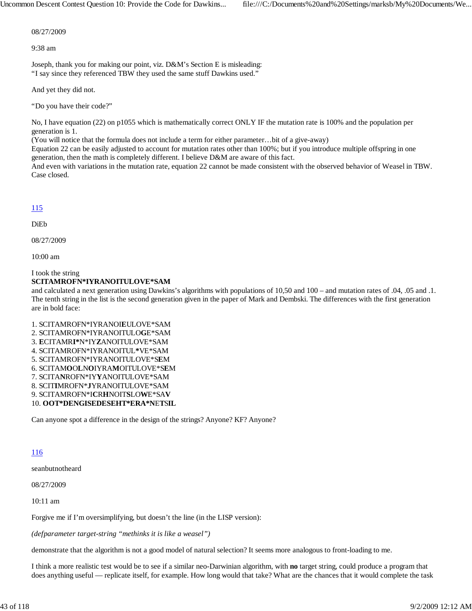08/27/2009

9:38 am

Joseph, thank you for making our point, viz. D&M's Section E is misleading: "I say since they referenced TBW they used the same stuff Dawkins used."

And yet they did not.

"Do you have their code?"

No, I have equation (22) on p1055 which is mathematically correct ONLY IF the mutation rate is 100% and the population per generation is 1.

(You will notice that the formula does not include a term for either parameter…bit of a give-away)

Equation 22 can be easily adjusted to account for mutation rates other than 100%; but if you introduce multiple offspring in one generation, then the math is completely different. I believe D&M are aware of this fact.

And even with variations in the mutation rate, equation 22 cannot be made consistent with the observed behavior of Weasel in TBW. Case closed.

# 115

DiEb

08/27/2009

10:00 am

#### I took the string **SCITAMROFN\*IYRANOITULOVE\*SAM**

and calculated a next generation using Dawkins's algorithms with populations of 10,50 and 100 – and mutation rates of .04, .05 and .1. The tenth string in the list is the second generation given in the paper of Mark and Dembski. The differences with the first generation are in bold face:

1. SCITAMROFN\*IYRANOI**E**ULOVE\*SAM 2. SCITAMROFN\*IYRANOITULO**G**E\*SAM 3. **E**CITAMR**I\***N\*IY**Z**ANOITULOVE\*SAM 4. SCITAMROFN\*IYRANOITUL**\***VE\*SAM 5. SCITAMROFN\*IYRANOITULOVE\*S**E**M 6. SCITAM**O**O**L**N**O**IYRA**M**OITULOVE\*S**E**M 7. SCITA**N**ROFN\*IY**Y**ANOITULOVE\*SAM 8. SCIT**I**MROFN\***J**YRANOITULOVE\*SAM 9. SCITAMROFN\*I**C**R**H**NOIT**S**LO**W**E\*SA**V** 10. **OOT\*DENGISEDESEHT\*ERA\*N**E**T**S**IL**

Can anyone spot a difference in the design of the strings? Anyone? KF? Anyone?

# 116

seanbutnotheard

08/27/2009

10:11 am

Forgive me if I'm oversimplifying, but doesn't the line (in the LISP version):

*(defparameter target-string "methinks it is like a weasel")*

demonstrate that the algorithm is not a good model of natural selection? It seems more analogous to front-loading to me.

I think a more realistic test would be to see if a similar neo-Darwinian algorithm, with **no** target string, could produce a program that does anything useful — replicate itself, for example. How long would that take? What are the chances that it would complete the task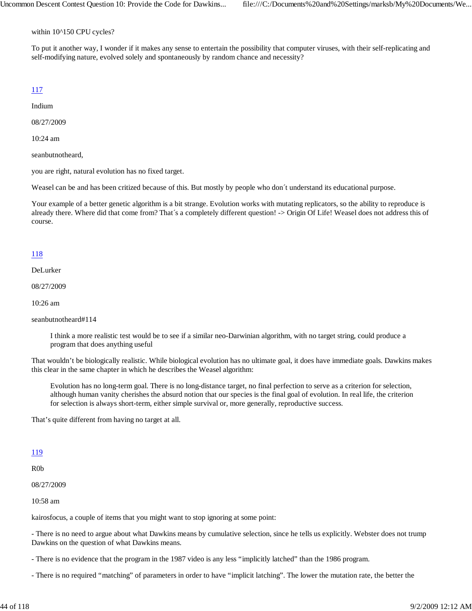within 10^150 CPU cycles?

To put it another way, I wonder if it makes any sense to entertain the possibility that computer viruses, with their self-replicating and self-modifying nature, evolved solely and spontaneously by random chance and necessity?

# 117

Indium

08/27/2009

10:24 am

seanbutnotheard,

you are right, natural evolution has no fixed target.

Weasel can be and has been critized because of this. But mostly by people who don´t understand its educational purpose.

Your example of a better genetic algorithm is a bit strange. Evolution works with mutating replicators, so the ability to reproduce is already there. Where did that come from? That´s a completely different question! -> Origin Of Life! Weasel does not address this of course.

## 118

DeLurker

08/27/2009

10:26 am

seanbutnotheard#114

I think a more realistic test would be to see if a similar neo-Darwinian algorithm, with no target string, could produce a program that does anything useful

That wouldn't be biologically realistic. While biological evolution has no ultimate goal, it does have immediate goals. Dawkins makes this clear in the same chapter in which he describes the Weasel algorithm:

Evolution has no long-term goal. There is no long-distance target, no final perfection to serve as a criterion for selection, although human vanity cherishes the absurd notion that our species is the final goal of evolution. In real life, the criterion for selection is always short-term, either simple survival or, more generally, reproductive success.

That's quite different from having no target at all.

### 119

R0b

08/27/2009

10:58 am

kairosfocus, a couple of items that you might want to stop ignoring at some point:

- There is no need to argue about what Dawkins means by cumulative selection, since he tells us explicitly. Webster does not trump Dawkins on the question of what Dawkins means.

- There is no evidence that the program in the 1987 video is any less "implicitly latched" than the 1986 program.

- There is no required "matching" of parameters in order to have "implicit latching". The lower the mutation rate, the better the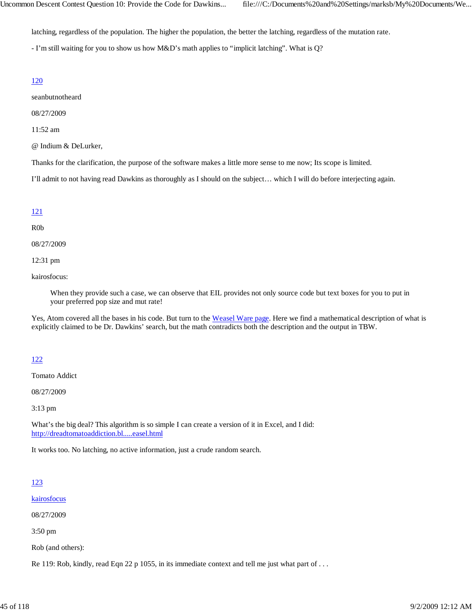latching, regardless of the population. The higher the population, the better the latching, regardless of the mutation rate.

- I'm still waiting for you to show us how M&D's math applies to "implicit latching". What is Q?

#### 120

seanbutnotheard

08/27/2009

11:52 am

@ Indium & DeLurker,

Thanks for the clarification, the purpose of the software makes a little more sense to me now; Its scope is limited.

I'll admit to not having read Dawkins as thoroughly as I should on the subject… which I will do before interjecting again.

#### 121

#### R0b

08/27/2009

12:31 pm

kairosfocus:

When they provide such a case, we can observe that EIL provides not only source code but text boxes for you to put in your preferred pop size and mut rate!

Yes, Atom covered all the bases in his code. But turn to the Weasel Ware page. Here we find a mathematical description of what is explicitly claimed to be Dr. Dawkins' search, but the math contradicts both the description and the output in TBW.

### 122

Tomato Addict

08/27/2009

3:13 pm

What's the big deal? This algorithm is so simple I can create a version of it in Excel, and I did: http://dreadtomatoaddiction.bl.....easel.html

It works too. No latching, no active information, just a crude random search.

#### 123

kairosfocus

08/27/2009

3:50 pm

Rob (and others):

Re 119: Rob, kindly, read Eqn 22 p 1055, in its immediate context and tell me just what part of ...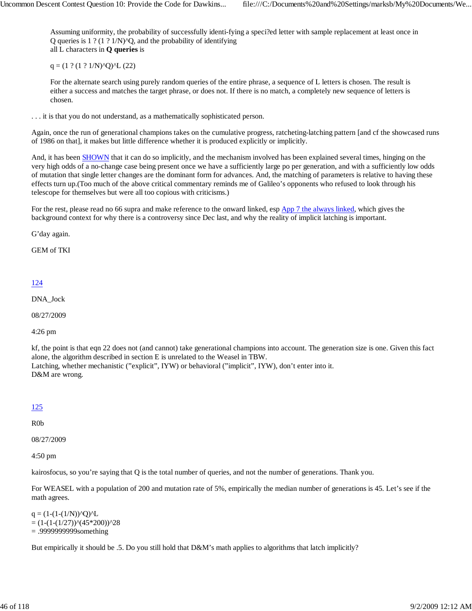Assuming uniformity, the probability of successfully identi-fying a speci?ed letter with sample replacement at least once in Q queries is  $1$  ? (1 ?  $1/N$ ) $^{\prime}$ Q, and the probability of identifying all L characters in **Q queries** is

 $q = (1 ? (1 ? 1/N)$ <sup>o</sup>Q)<sup>o</sup>L (22)

For the alternate search using purely random queries of the entire phrase, a sequence of L letters is chosen. The result is either a success and matches the target phrase, or does not. If there is no match, a completely new sequence of letters is chosen.

. . . it is that you do not understand, as a mathematically sophisticated person.

Again, once the run of generational champions takes on the cumulative progress, ratcheting-latching pattern [and cf the showcased runs of 1986 on that], it makes but little difference whether it is produced explicitly or implicitly.

And, it has been SHOWN that it can do so implicitly, and the mechanism involved has been explained several times, hinging on the very high odds of a no-change case being present once we have a sufficiently large po per generation, and with a sufficiently low odds of mutation that single letter changes are the dominant form for advances. And, the matching of parameters is relative to having these effects turn up.(Too much of the above critical commentary reminds me of Galileo's opponents who refused to look through his telescope for themselves but were all too copious with criticisms.)

For the rest, please read no 66 supra and make reference to the onward linked, esp App 7 the always linked, which gives the background context for why there is a controversy since Dec last, and why the reality of implicit latching is important.

G'day again.

GEM of TKI

#### 124

DNA\_Jock

08/27/2009

4:26 pm

kf, the point is that eqn 22 does not (and cannot) take generational champions into account. The generation size is one. Given this fact alone, the algorithm described in section E is unrelated to the Weasel in TBW. Latching, whether mechanistic ("explicit", IYW) or behavioral ("implicit", IYW), don't enter into it. D&M are wrong.

### 125

R0b

08/27/2009

4:50 pm

kairosfocus, so you're saying that Q is the total number of queries, and not the number of generations. Thank you.

For WEASEL with a population of 200 and mutation rate of 5%, empirically the median number of generations is 45. Let's see if the math agrees.

 $q = (1-(1-(1/N))\sqrt{Q})\sqrt{L}$  $= (1-(1-(1/27))\times(45*200))^2$ = .9999999999something

But empirically it should be .5. Do you still hold that D&M's math applies to algorithms that latch implicitly?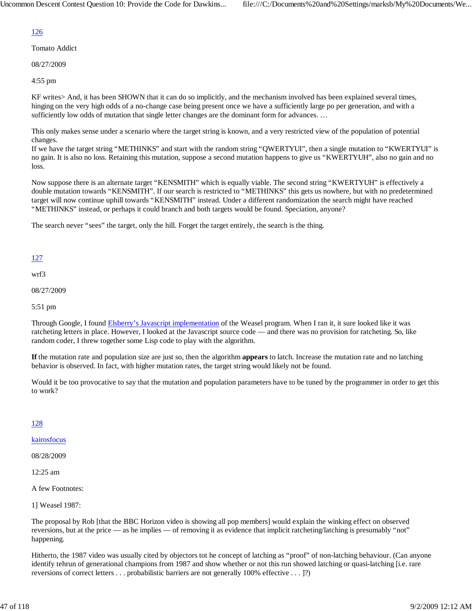# 126

Tomato Addict

08/27/2009

4:55 pm

KF writes> And, it has been SHOWN that it can do so implicitly, and the mechanism involved has been explained several times, hinging on the very high odds of a no-change case being present once we have a sufficiently large po per generation, and with a sufficiently low odds of mutation that single letter changes are the dominant form for advances. ...

This only makes sense under a scenario where the target string is known, and a very restricted view of the population of potential changes.

If we have the target string "METHINKS" and start with the random string "QWERTYUI", then a single mutation to "KWERTYUI" is no gain. It is also no loss. Retaining this mutation, suppose a second mutation happens to give us "KWERTYUH", also no gain and no loss.

Now suppose there is an alternate target "KENSMITH" which is equally viable. The second string "KWERTYUH" is effectively a double mutation towards "KENSMITH". If our search is restricted to "METHINKS" this gets us nowhere, but with no predetermined target will now continue uphill towards "KENSMITH" instead. Under a different randomization the search might have reached "METHINKS" instead, or perhaps it could branch and both targets would be found. Speciation, anyone?

The search never "sees" the target, only the hill. Forget the target entirely, the search is the thing.

# 127

wrf3

08/27/2009

5:51 pm

Through Google, I found Elsberry's Javascript implementation of the Weasel program. When I ran it, it sure looked like it was ratcheting letters in place. However, I looked at the Javascript source code — and there was no provision for ratcheting. So, like random coder, I threw together some Lisp code to play with the algorithm.

**If** the mutation rate and population size are just so, then the algorithm **appears** to latch. Increase the mutation rate and no latching behavior is observed. In fact, with higher mutation rates, the target string would likely not be found.

Would it be too provocative to say that the mutation and population parameters have to be tuned by the programmer in order to get this to work?

## 128

kairosfocus

08/28/2009

12:25 am

A few Footnotes:

1] Weasel 1987:

The proposal by Rob [that the BBC Horizon video is showing all pop members] would explain the winking effect on observed reversions, but at the price — as he implies — of removing it as evidence that implicit ratcheting/latching is presumably "not" happening.

Hitherto, the 1987 video was usually cited by objectors tot he concept of latching as "proof" of non-latching behaviour. (Can anyone identify tehrun of generational champions from 1987 and show whether or not this run showed latching or quasi-latching [i.e. rare reversions of correct letters . . . probabilistic barriers are not generally 100% effective . . . ]?)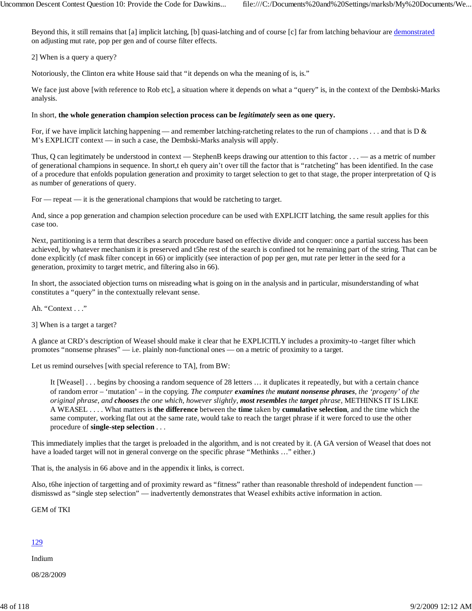Beyond this, it still remains that [a] implicit latching, [b] quasi-latching and of course [c] far from latching behaviour are demonstrated on adjusting mut rate, pop per gen and of course filter effects.

2] When is a query a query?

Notoriously, the Clinton era white House said that "it depends on wha the meaning of is, is."

We face just above [with reference to Rob etc], a situation where it depends on what a "query" is, in the context of the Dembski-Marks analysis.

#### In short, **the whole generation champion selection process can be** *legitimately* **seen as one query.**

For, if we have implicit latching happening — and remember latching-ratcheting relates to the run of champions  $\dots$  and that is D & M's EXPLICIT context — in such a case, the Dembski-Marks analysis will apply.

Thus, Q can legitimately be understood in context — StephenB keeps drawing our attention to this factor  $\dots$  — as a metric of number of generational champions in sequence. In short,t eh query ain't over till the factor that is "ratcheting" has been identified. In the case of a procedure that enfolds population generation and proximity to target selection to get to that stage, the proper interpretation of Q is as number of generations of query.

For — repeat — it is the generational champions that would be ratcheting to target.

And, since a pop generation and champion selection procedure can be used with EXPLICIT latching, the same result applies for this case too.

Next, partitioning is a term that describes a search procedure based on effective divide and conquer: once a partial success has been achieved, by whatever mechanism it is preserved and t5he rest of the search is confined tot he remaining part of the string. That can be done explicitly (cf mask filter concept in 66) or implicitly (see interaction of pop per gen, mut rate per letter in the seed for a generation, proximity to target metric, and filtering also in 66).

In short, the associated objection turns on misreading what is going on in the analysis and in particular, misunderstanding of what constitutes a "query" in the contextually relevant sense.

Ah. "Context . . ."

3] When is a target a target?

A glance at CRD's description of Weasel should make it clear that he EXPLICITLY includes a proximity-to -target filter which promotes "nonsense phrases" — i.e. plainly non-functional ones — on a metric of proximity to a target.

Let us remind ourselves [with special reference to TA], from BW:

It [Weasel] . . . begins by choosing a random sequence of 28 letters … it duplicates it repeatedly, but with a certain chance of random error – 'mutation' – in the copying. *The computer examines the mutant nonsense phrases, the 'progeny' of the original phrase, and chooses the one which, however slightly, most resembles the target phrase*, METHINKS IT IS LIKE A WEASEL . . . . What matters is **the difference** between the **time** taken by **cumulative selection**, and the time which the same computer, working flat out at the same rate, would take to reach the target phrase if it were forced to use the other procedure of **single-step selection** . . .

This immediately implies that the target is preloaded in the algorithm, and is not created by it. (A GA version of Weasel that does not have a loaded target will not in general converge on the specific phrase "Methinks ..." either.)

That is, the analysis in 66 above and in the appendix it links, is correct.

Also, t6he injection of targetting and of proximity reward as "fitness" rather than reasonable threshold of independent function dismisswd as "single step selection" — inadvertently demonstrates that Weasel exhibits active information in action.

GEM of TKI

## 129

Indium

08/28/2009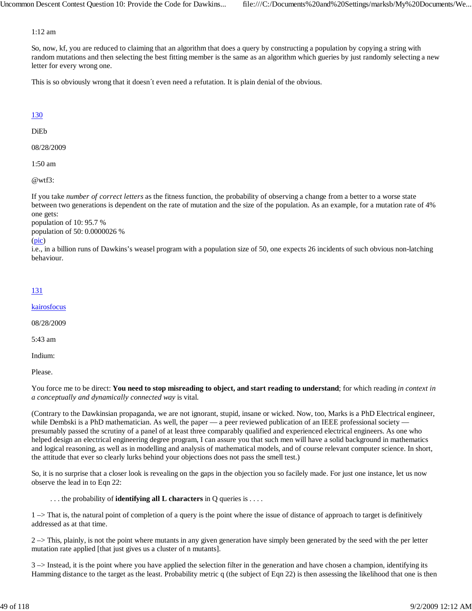#### 1:12 am

So, now, kf, you are reduced to claiming that an algorithm that does a query by constructing a population by copying a string with random mutations and then selecting the best fitting member is the same as an algorithm which gueries by just randomly selecting a new letter for every wrong one.

This is so obviously wrong that it doesn´t even need a refutation. It is plain denial of the obvious.

## 130

DiEb

08/28/2009

1:50 am

@wtf3:

If you take *number of correct letters* as the fitness function, the probability of observing a change from a better to a worse state between two generations is dependent on the rate of mutation and the size of the population. As an example, for a mutation rate of 4% one gets:

population of 10: 95.7 % population of 50: 0.0000026 %

#### (pic)

i.e., in a billion runs of Dawkins's weasel program with a population size of 50, one expects 26 incidents of such obvious non-latching behaviour.

## 131

kairosfocus

08/28/2009

5:43 am

Indium:

Please.

You force me to be direct: **You need to stop misreading to object, and start reading to understand**; for which reading *in context in a conceptually and dynamically connected way* is vital.

(Contrary to the Dawkinsian propaganda, we are not ignorant, stupid, insane or wicked. Now, too, Marks is a PhD Electrical engineer, while Dembski is a PhD mathematician. As well, the paper — a peer reviewed publication of an IEEE professional society presumably passed the scrutiny of a panel of at least three comparably qualified and experienced electrical engineers. As one who helped design an electrical engineering degree program, I can assure you that such men will have a solid background in mathematics and logical reasoning, as well as in modelling and analysis of mathematical models, and of course relevant computer science. In short, the attitude that ever so clearly lurks behind your objections does not pass the smell test.)

So, it is no surprise that a closer look is revealing on the gaps in the objection you so facilely made. For just one instance, let us now observe the lead in to Eqn 22:

. . . the probability of **identifying all L characters** in Q queries is . . . .

1 –> That is, the natural point of completion of a query is the point where the issue of distance of approach to target is definitively addressed as at that time.

 $2 \rightarrow$  This, plainly, is not the point where mutants in any given generation have simply been generated by the seed with the per letter mutation rate applied [that just gives us a cluster of n mutants].

 $3 \rightarrow$  Instead, it is the point where you have applied the selection filter in the generation and have chosen a champion, identifying its Hamming distance to the target as the least. Probability metric q (the subject of Eqn 22) is then assessing the likelihood that one is then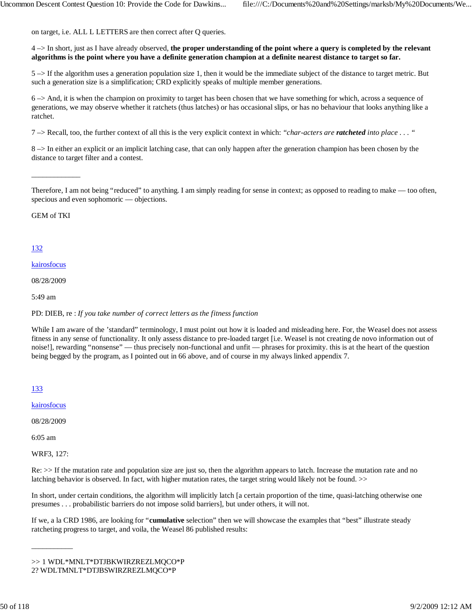on target, i.e. ALL L LETTERS are then correct after Q queries.

4 –> In short, just as I have already observed, **the proper understanding of the point where a query is completed by the relevant algorithms is the point where you have a definite generation champion at a definite nearest distance to target so far.**

 $5 \rightarrow$  If the algorithm uses a generation population size 1, then it would be the immediate subject of the distance to target metric. But such a generation size is a simplification; CRD explicitly speaks of multiple member generations.

6 –> And, it is when the champion on proximity to target has been chosen that we have something for which, across a sequence of generations, we may observe whether it ratchets (thus latches) or has occasional slips, or has no behaviour that looks anything like a ratchet.

7 –> Recall, too, the further context of all this is the very explicit context in which: *"char-acters are ratcheted into place . . . "*

8 –> In either an explicit or an implicit latching case, that can only happen after the generation champion has been chosen by the distance to target filter and a contest.

Therefore, I am not being "reduced" to anything. I am simply reading for sense in context; as opposed to reading to make — too often, specious and even sophomoric — objections.

GEM of TKI

\_\_\_\_\_\_\_\_\_\_\_\_\_

## 132

#### kairosfocus

08/28/2009

5:49 am

PD: DIEB, re : *If you take number of correct letters as the fitness function*

While I am aware of the 'standard'' terminology, I must point out how it is loaded and misleading here. For, the Weasel does not assess fitness in any sense of functionality. It only assess distance to pre-loaded target [i.e. Weasel is not creating de novo information out of noise!], rewarding "nonsense" — thus precisely non-functional and unfit — phrases for proximity. this is at the heart of the question being begged by the program, as I pointed out in 66 above, and of course in my always linked appendix 7.

133

kairosfocus

08/28/2009

6:05 am

WRF3, 127:

\_\_\_\_\_\_\_\_\_\_\_

Re: >> If the mutation rate and population size are just so, then the algorithm appears to latch. Increase the mutation rate and no latching behavior is observed. In fact, with higher mutation rates, the target string would likely not be found. >>

In short, under certain conditions, the algorithm will implicitly latch [a certain proportion of the time, quasi-latching otherwise one presumes . . . probabilistic barriers do not impose solid barriers], but under others, it will not.

If we, a la CRD 1986, are looking for "**cumulative** selection" then we will showcase the examples that "best" illustrate steady ratcheting progress to target, and voila, the Weasel 86 published results:

<sup>&</sup>gt;> 1 WDL\*MNLT\*DTJBKWIRZREZLMQCO\*P 2? WDLTMNLT\*DTJBSWIRZREZLMQCO\*P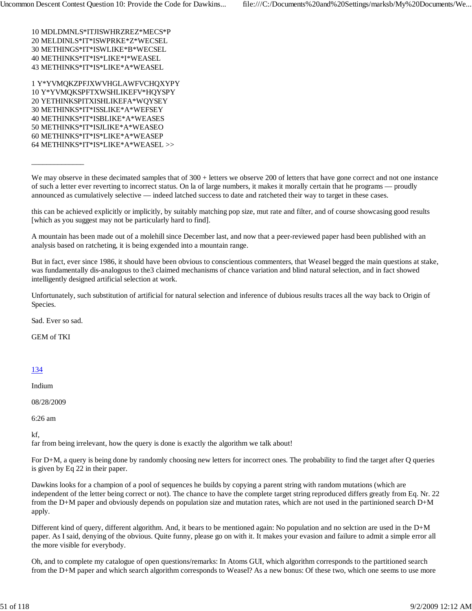10 MDLDMNLS\*ITJISWHRZREZ\*MECS\*P 20 MELDINLS\*IT\*ISWPRKE\*Z\*WECSEL 30 METHINGS\*IT\*ISWLIKE\*B\*WECSEL 40 METHINKS\*IT\*IS\*LIKE\*I\*WEASEL 43 METHINKS\*IT\*IS\*LIKE\*A\*WEASEL

1 Y\*YVMQKZPFJXWVHGLAWFVCHQXYPY 10 Y\*YVMQKSPFTXWSHLIKEFV\*HQYSPY 20 YETHINKSPITXISHLIKEFA\*WQYSEY 30 METHINKS\*IT\*ISSLIKE\*A\*WEFSEY 40 METHINKS\*IT\*ISBLIKE\*A\*WEASES 50 METHINKS\*IT\*ISJLIKE\*A\*WEASEO 60 METHINKS\*IT\*IS\*LIKE\*A\*WEASEP 64 METHINKS\*IT\*IS\*LIKE\*A\*WEASEL >>

We may observe in these decimated samples that of 300 + letters we observe 200 of letters that have gone correct and not one instance of such a letter ever reverting to incorrect status. On la of large numbers, it makes it morally certain that he programs — proudly announced as cumulatively selective — indeed latched success to date and ratcheted their way to target in these cases.

this can be achieved explicitly or implicitly, by suitably matching pop size, mut rate and filter, and of course showcasing good results [which as you suggest may not be particularly hard to find].

A mountain has been made out of a molehill since December last, and now that a peer-reviewed paper hasd been published with an analysis based on ratcheting, it is being exgended into a mountain range.

But in fact, ever since 1986, it should have been obvious to conscientious commenters, that Weasel begged the main questions at stake, was fundamentally dis-analogous to the3 claimed mechanisms of chance variation and blind natural selection, and in fact showed intelligently designed artificial selection at work.

Unfortunately, such substitution of artificial for natural selection and inference of dubious results traces all the way back to Origin of Species.

Sad. Ever so sad.

\_\_\_\_\_\_\_\_\_\_\_\_\_\_

GEM of TKI

### 134

Indium

08/28/2009

6:26 am

kf,

far from being irrelevant, how the query is done is exactly the algorithm we talk about!

For D+M, a query is being done by randomly choosing new letters for incorrect ones. The probability to find the target after Q queries is given by Eq 22 in their paper.

Dawkins looks for a champion of a pool of sequences he builds by copying a parent string with random mutations (which are independent of the letter being correct or not). The chance to have the complete target string reproduced differs greatly from Eq. Nr. 22 from the D+M paper and obviously depends on population size and mutation rates, which are not used in the partinioned search D+M apply.

Different kind of query, different algorithm. And, it bears to be mentioned again: No population and no selction are used in the D+M paper. As I said, denying of the obvious. Quite funny, please go on with it. It makes your evasion and failure to admit a simple error all the more visible for everybody.

Oh, and to complete my catalogue of open questions/remarks: In Atoms GUI, which algorithm corresponds to the partitioned search from the D+M paper and which search algorithm corresponds to Weasel? As a new bonus: Of these two, which one seems to use more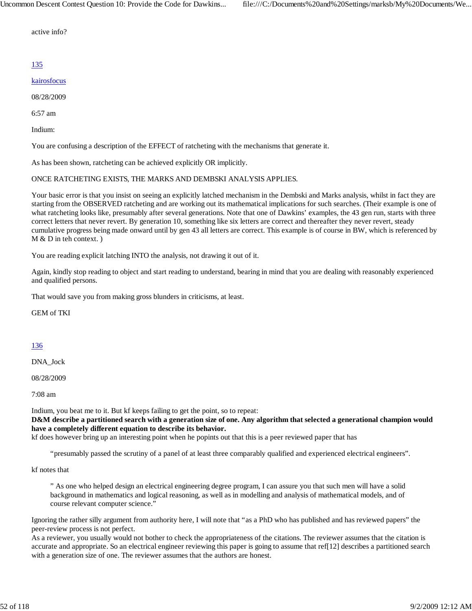active info?

## 135

## kairosfocus

08/28/2009

6:57 am

Indium:

You are confusing a description of the EFFECT of ratcheting with the mechanisms that generate it.

As has been shown, ratcheting can be achieved explicitly OR implicitly.

## ONCE RATCHETING EXISTS, THE MARKS AND DEMBSKI ANALYSIS APPLIES.

Your basic error is that you insist on seeing an explicitly latched mechanism in the Dembski and Marks analysis, whilst in fact they are starting from the OBSERVED ratcheting and are working out its mathematical implications for such searches. (Their example is one of what ratcheting looks like, presumably after several generations. Note that one of Dawkins' examples, the 43 gen run, starts with three correct letters that never revert. By generation 10, something like six letters are correct and thereafter they never revert, steady cumulative progress being made onward until by gen 43 all letters are correct. This example is of course in BW, which is referenced by M & D in teh context. )

You are reading explicit latching INTO the analysis, not drawing it out of it.

Again, kindly stop reading to object and start reading to understand, bearing in mind that you are dealing with reasonably experienced and qualified persons.

That would save you from making gross blunders in criticisms, at least.

GEM of TKI

### 136

DNA\_Jock

08/28/2009

7:08 am

Indium, you beat me to it. But kf keeps failing to get the point, so to repeat:

**D&M describe a partitioned search with a generation size of one. Any algorithm that selected a generational champion would have a completely different equation to describe its behavior.**

kf does however bring up an interesting point when he popints out that this is a peer reviewed paper that has

"presumably passed the scrutiny of a panel of at least three comparably qualified and experienced electrical engineers".

kf notes that

" As one who helped design an electrical engineering degree program, I can assure you that such men will have a solid background in mathematics and logical reasoning, as well as in modelling and analysis of mathematical models, and of course relevant computer science."

Ignoring the rather silly argument from authority here, I will note that "as a PhD who has published and has reviewed papers" the peer-review process is not perfect.

As a reviewer, you usually would not bother to check the appropriateness of the citations. The reviewer assumes that the citation is accurate and appropriate. So an electrical engineer reviewing this paper is going to assume that ref[12] describes a partitioned search with a generation size of one. The reviewer assumes that the authors are honest.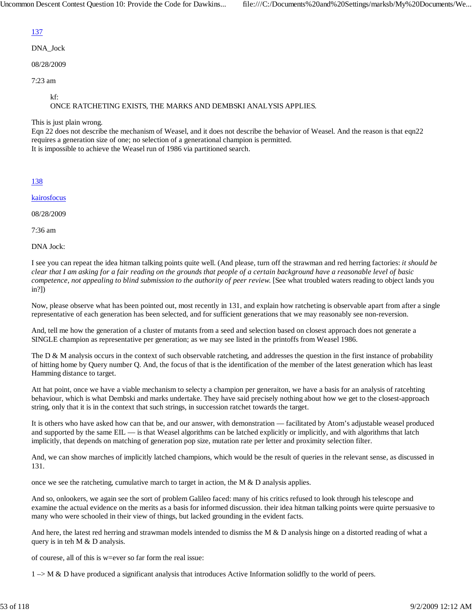# 137

DNA\_Jock

08/28/2009

7:23 am

kf:

## ONCE RATCHETING EXISTS, THE MARKS AND DEMBSKI ANALYSIS APPLIES.

This is just plain wrong.

Eqn 22 does not describe the mechanism of Weasel, and it does not describe the behavior of Weasel. And the reason is that eqn22 requires a generation size of one; no selection of a generational champion is permitted. It is impossible to achieve the Weasel run of 1986 via partitioned search.

138

kairosfocus

08/28/2009

7:36 am

DNA Jock:

I see you can repeat the idea hitman talking points quite well. (And please, turn off the strawman and red herring factories: *it should be clear that I am asking for a fair reading on the grounds that people of a certain background have a reasonable level of basic competence, not appealing to blind submission to the authority of peer review.* [See what troubled waters reading to object lands you in?])

Now, please observe what has been pointed out, most recently in 131, and explain how ratcheting is observable apart from after a single representative of each generation has been selected, and for sufficient generations that we may reasonably see non-reversion.

And, tell me how the generation of a cluster of mutants from a seed and selection based on closest approach does not generate a SINGLE champion as representative per generation; as we may see listed in the printoffs from Weasel 1986.

The  $D \& M$  analysis occurs in the context of such observable ratcheting, and addresses the question in the first instance of probability of hitting home by Query number Q. And, the focus of that is the identification of the member of the latest generation which has least Hamming distance to target.

Att hat point, once we have a viable mechanism to selecty a champion per generaiton, we have a basis for an analysis of ratcehting behaviour, which is what Dembski and marks undertake. They have said precisely nothing about how we get to the closest-approach string, only that it is in the context that such strings, in succession ratchet towards the target.

It is others who have asked how can that be, and our answer, with demonstration — facilitated by Atom's adjustable weasel produced and supported by the same EIL — is that Weasel algorithms can be latched explicitly or implicitly, and with algorithms that latch implicitly, that depends on matching of generation pop size, mutation rate per letter and proximity selection filter.

And, we can show marches of implicitly latched champions, which would be the result of queries in the relevant sense, as discussed in 131.

once we see the ratcheting, cumulative march to target in action, the  $M & D$  analysis applies.

And so, onlookers, we again see the sort of problem Galileo faced: many of his critics refused to look through his telescope and examine the actual evidence on the merits as a basis for informed discussion. their idea hitman talking points were quirte persuasive to many who were schooled in their view of things, but lacked grounding in the evident facts.

And here, the latest red herring and strawman models intended to dismiss the M  $\&$  D analysis hinge on a distorted reading of what a query is in teh M & D analysis.

of courese, all of this is w=ever so far form the real issue:

 $1 \rightarrow M \& D$  have produced a significant analysis that introduces Active Information solidity to the world of peers.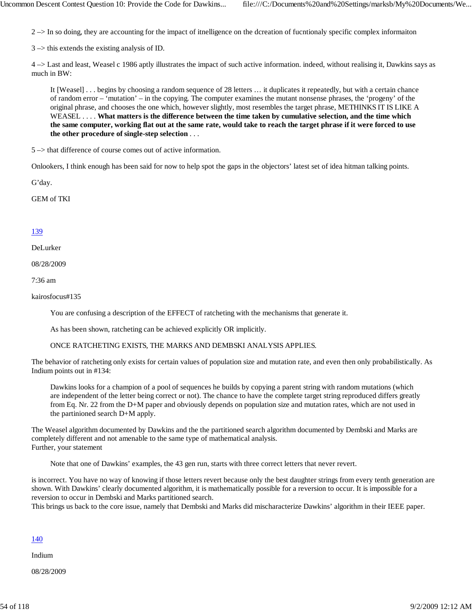$2 \rightarrow$  In so doing, they are accounting for the impact of itnelligence on the dcreation of fucntionaly specific complex information

 $3 \rightarrow$  this extends the existing analysis of ID.

4 –> Last and least, Weasel c 1986 aptly illustrates the impact of such active information. indeed, without realising it, Dawkins says as much in BW:

It [Weasel] . . . begins by choosing a random sequence of 28 letters … it duplicates it repeatedly, but with a certain chance of random error – 'mutation' – in the copying. The computer examines the mutant nonsense phrases, the 'progeny' of the original phrase, and chooses the one which, however slightly, most resembles the target phrase, METHINKS IT IS LIKE A WEASEL . . . . **What matters is the difference between the time taken by cumulative selection, and the time which the same computer, working flat out at the same rate, would take to reach the target phrase if it were forced to use the other procedure of single-step selection** . . .

5 –> that difference of course comes out of active information.

Onlookers, I think enough has been said for now to help spot the gaps in the objectors' latest set of idea hitman talking points.

G'day.

GEM of TKI

#### 139

DeLurker

08/28/2009

7:36 am

kairosfocus#135

You are confusing a description of the EFFECT of ratcheting with the mechanisms that generate it.

As has been shown, ratcheting can be achieved explicitly OR implicitly.

ONCE RATCHETING EXISTS, THE MARKS AND DEMBSKI ANALYSIS APPLIES.

The behavior of ratcheting only exists for certain values of population size and mutation rate, and even then only probabilistically. As Indium points out in #134:

Dawkins looks for a champion of a pool of sequences he builds by copying a parent string with random mutations (which are independent of the letter being correct or not). The chance to have the complete target string reproduced differs greatly from Eq. Nr. 22 from the D+M paper and obviously depends on population size and mutation rates, which are not used in the partinioned search D+M apply.

The Weasel algorithm documented by Dawkins and the the partitioned search algorithm documented by Dembski and Marks are completely different and not amenable to the same type of mathematical analysis. Further, your statement

Note that one of Dawkins' examples, the 43 gen run, starts with three correct letters that never revert.

is incorrect. You have no way of knowing if those letters revert because only the best daughter strings from every tenth generation are shown. With Dawkins' clearly documented algorithm, it is mathematically possible for a reversion to occur. It is impossible for a reversion to occur in Dembski and Marks partitioned search. This brings us back to the core issue, namely that Dembski and Marks did mischaracterize Dawkins' algorithm in their IEEE paper.

#### 140

Indium

08/28/2009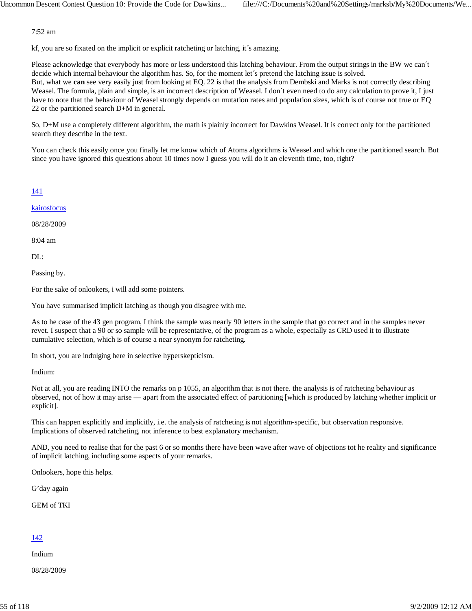7:52 am

kf, you are so fixated on the implicit or explicit ratcheting or latching, it´s amazing.

Please acknowledge that everybody has more or less understood this latching behaviour. From the output strings in the BW we can´t decide which internal behaviour the algorithm has. So, for the moment let's pretend the latching issue is solved. But, what we **can** see very easily just from looking at EQ. 22 is that the analysis from Dembski and Marks is not correctly describing Weasel. The formula, plain and simple, is an incorrect description of Weasel. I don't even need to do any calculation to prove it, I just have to note that the behaviour of Weasel strongly depends on mutation rates and population sizes, which is of course not true or EQ 22 or the partitioned search D+M in general.

So, D+M use a completely different algorithm, the math is plainly incorrect for Dawkins Weasel. It is correct only for the partitioned search they describe in the text.

You can check this easily once you finally let me know which of Atoms algorithms is Weasel and which one the partitioned search. But since you have ignored this questions about 10 times now I guess you will do it an eleventh time, too, right?

## 141

kairosfocus

08/28/2009

8:04 am

DL:

Passing by.

For the sake of onlookers, i will add some pointers.

You have summarised implicit latching as though you disagree with me.

As to he case of the 43 gen program, I think the sample was nearly 90 letters in the sample that go correct and in the samples never revet. I suspect that a 90 or so sample will be representative, of the program as a whole, especially as CRD used it to illustrate cumulative selection, which is of course a near synonym for ratcheting.

In short, you are indulging here in selective hyperskepticism.

Indium:

Not at all, you are reading INTO the remarks on p 1055, an algorithm that is not there. the analysis is of ratcheting behaviour as observed, not of how it may arise — apart from the associated effect of partitioning [which is produced by latching whether implicit or explicit].

This can happen explicitly and implicitly, i.e. the analysis of ratcheting is not algorithm-specific, but observation responsive. Implications of observed ratcheting, not inference to best explanatory mechanism.

AND, you need to realise that for the past 6 or so months there have been wave after wave of objections tot he reality and significance of implicit latching, including some aspects of your remarks.

Onlookers, hope this helps.

G'day again

GEM of TKI

## 142

Indium

08/28/2009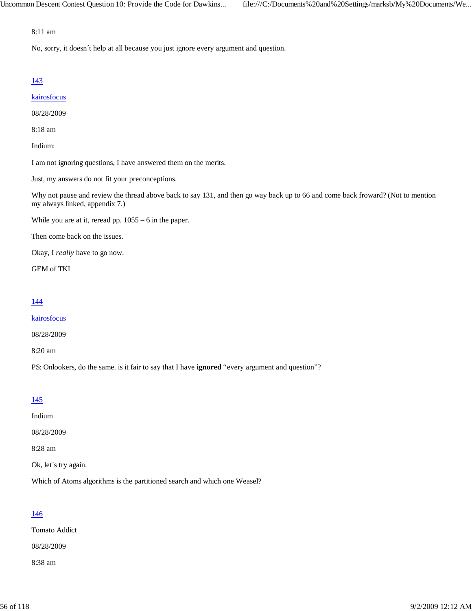#### 8:11 am

No, sorry, it doesn´t help at all because you just ignore every argument and question.

## 143

#### kairosfocus

08/28/2009

8:18 am

Indium:

I am not ignoring questions, I have answered them on the merits.

Just, my answers do not fit your preconceptions.

Why not pause and review the thread above back to say 131, and then go way back up to 66 and come back froward? (Not to mention my always linked, appendix 7.)

While you are at it, reread pp. 1055 – 6 in the paper.

Then come back on the issues.

Okay, I *really* have to go now.

GEM of TKI

## 144

kairosfocus

08/28/2009

8:20 am

PS: Onlookers, do the same. is it fair to say that I have **ignored** "every argument and question"?

### 145

Indium

08/28/2009

8:28 am

Ok, let´s try again.

Which of Atoms algorithms is the partitioned search and which one Weasel?

## 146

Tomato Addict

08/28/2009

8:38 am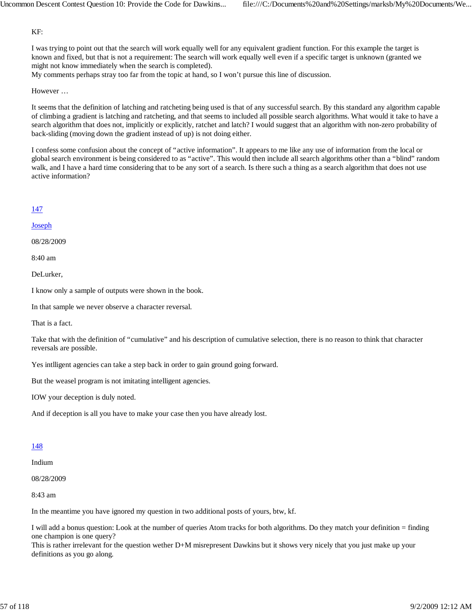#### KF:

I was trying to point out that the search will work equally well for any equivalent gradient function. For this example the target is known and fixed, but that is not a requirement: The search will work equally well even if a specific target is unknown (granted we might not know immediately when the search is completed).

My comments perhaps stray too far from the topic at hand, so I won't pursue this line of discussion.

#### However …

It seems that the definition of latching and ratcheting being used is that of any successful search. By this standard any algorithm capable of climbing a gradient is latching and ratcheting, and that seems to included all possible search algorithms. What would it take to have a search algorithm that does not, implicitly or explicitly, ratchet and latch? I would suggest that an algorithm with non-zero probability of back-sliding (moving down the gradient instead of up) is not doing either.

I confess some confusion about the concept of "active information". It appears to me like any use of information from the local or global search environment is being considered to as "active". This would then include all search algorithms other than a "blind" random walk, and I have a hard time considering that to be any sort of a search. Is there such a thing as a search algorithm that does not use active information?

### 147

#### **Joseph**

08/28/2009

8:40 am

DeLurker,

I know only a sample of outputs were shown in the book.

In that sample we never observe a character reversal.

That is a fact.

Take that with the definition of "cumulative" and his description of cumulative selection, there is no reason to think that character reversals are possible.

Yes intlligent agencies can take a step back in order to gain ground going forward.

But the weasel program is not imitating intelligent agencies.

IOW your deception is duly noted.

And if deception is all you have to make your case then you have already lost.

## 148

#### Indium

08/28/2009

8:43 am

In the meantime you have ignored my question in two additional posts of yours, btw, kf.

I will add a bonus question: Look at the number of queries Atom tracks for both algorithms. Do they match your definition = finding one champion is one query?

This is rather irrelevant for the question wether D+M misrepresent Dawkins but it shows very nicely that you just make up your definitions as you go along.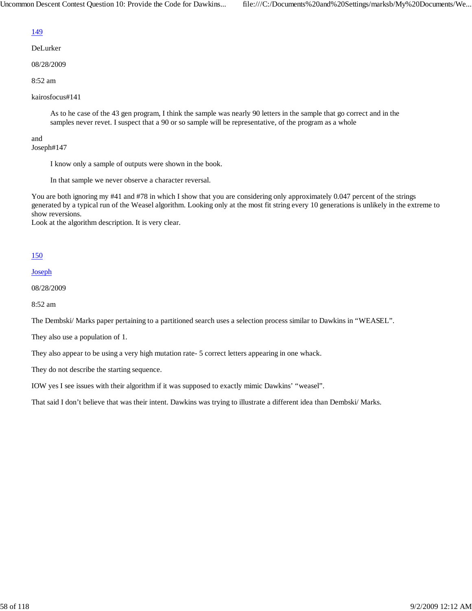## 149

DeLurker

08/28/2009

8:52 am

kairosfocus#141

As to he case of the 43 gen program, I think the sample was nearly 90 letters in the sample that go correct and in the samples never revet. I suspect that a 90 or so sample will be representative, of the program as a whole

#### and Joseph#147

I know only a sample of outputs were shown in the book.

In that sample we never observe a character reversal.

You are both ignoring my #41 and #78 in which I show that you are considering only approximately 0.047 percent of the strings generated by a typical run of the Weasel algorithm. Looking only at the most fit string every 10 generations is unlikely in the extreme to show reversions.

Look at the algorithm description. It is very clear.

## 150

Joseph

08/28/2009

8:52 am

The Dembski/ Marks paper pertaining to a partitioned search uses a selection process similar to Dawkins in "WEASEL".

They also use a population of 1.

They also appear to be using a very high mutation rate- 5 correct letters appearing in one whack.

They do not describe the starting sequence.

IOW yes I see issues with their algorithm if it was supposed to exactly mimic Dawkins' "weasel".

That said I don't believe that was their intent. Dawkins was trying to illustrate a different idea than Dembski/ Marks.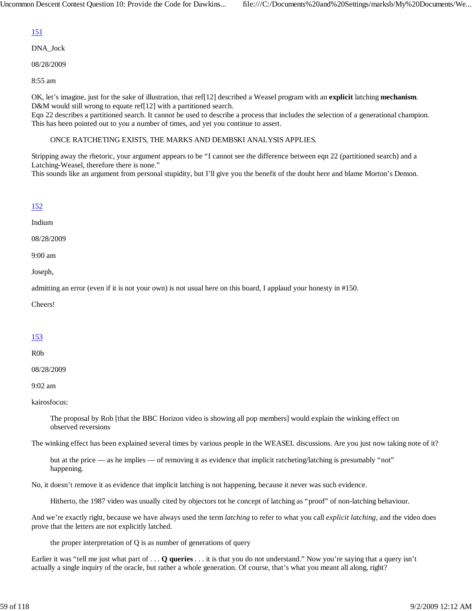# 151

DNA\_Jock

08/28/2009

8:55 am

OK, let's imagine, just for the sake of illustration, that ref[12] described a Weasel program with an **explicit** latching **mechanism**. D&M would still wrong to equate ref[12] with a partitioned search.

Eqn 22 describes a partitioned search. It cannot be used to describe a process that includes the selection of a generational champion. This has been pointed out to you a number of times, and yet you continue to assert.

## ONCE RATCHETING EXISTS, THE MARKS AND DEMBSKI ANALYSIS APPLIES.

Stripping away the rhetoric, your argument appears to be "I cannot see the difference between eqn 22 (partitioned search) and a Latching-Weasel, therefore there is none."

This sounds like an argument from personal stupidity, but I'll give you the benefit of the doubt here and blame Morton's Demon.

## 152

Indium

08/28/2009

9:00 am

Joseph,

admitting an error (even if it is not your own) is not usual here on this board, I applaud your honesty in #150.

Cheers!

## 153

R0b

08/28/2009

9:02 am

kairosfocus:

The proposal by Rob [that the BBC Horizon video is showing all pop members] would explain the winking effect on observed reversions

The winking effect has been explained several times by various people in the WEASEL discussions. Are you just now taking note of it?

but at the price — as he implies — of removing it as evidence that implicit ratcheting/latching is presumably "not" happening.

No, it doesn't remove it as evidence that implicit latching is not happening, because it never was such evidence.

Hitherto, the 1987 video was usually cited by objectors tot he concept of latching as "proof" of non-latching behaviour.

And we're exactly right, because we have always used the term *latching* to refer to what you call *explicit latching*, and the video does prove that the letters are not explicitly latched.

the proper interpretation of  $Q$  is as number of generations of query

Earlier it was "tell me just what part of . . . **Q queries** . . . it is that you do not understand." Now you're saying that a query isn't actually a single inquiry of the oracle, but rather a whole generation. Of course, that's what you meant all along, right?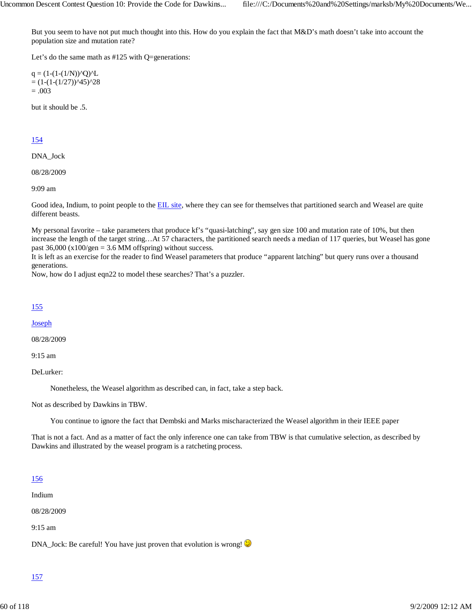But you seem to have not put much thought into this. How do you explain the fact that M&D's math doesn't take into account the population size and mutation rate?

Let's do the same math as #125 with Q=generations:

 $q = (1-(1-(1/N))^{\wedge}Q)^{\wedge}L$  $= (1-(1-(1/27))^{45})^{28}$  $=.003$ 

but it should be .5.

## 154

DNA\_Jock

08/28/2009

9:09 am

Good idea, Indium, to point people to the EIL site, where they can see for themselves that partitioned search and Weasel are quite different beasts.

My personal favorite – take parameters that produce kf's "quasi-latching", say gen size 100 and mutation rate of 10%, but then increase the length of the target string…At 57 characters, the partitioned search needs a median of 117 queries, but Weasel has gone past  $36,000$  (x100/gen = 3.6 MM offspring) without success.

It is left as an exercise for the reader to find Weasel parameters that produce "apparent latching" but query runs over a thousand generations.

Now, how do I adjust eqn22 to model these searches? That's a puzzler.

#### 155

Joseph

08/28/2009

9:15 am

DeLurker:

Nonetheless, the Weasel algorithm as described can, in fact, take a step back.

Not as described by Dawkins in TBW.

You continue to ignore the fact that Dembski and Marks mischaracterized the Weasel algorithm in their IEEE paper

That is not a fact. And as a matter of fact the only inference one can take from TBW is that cumulative selection, as described by Dawkins and illustrated by the weasel program is a ratcheting process.

### 156

Indium

08/28/2009

9:15 am

DNA\_Jock: Be careful! You have just proven that evolution is wrong!

### 157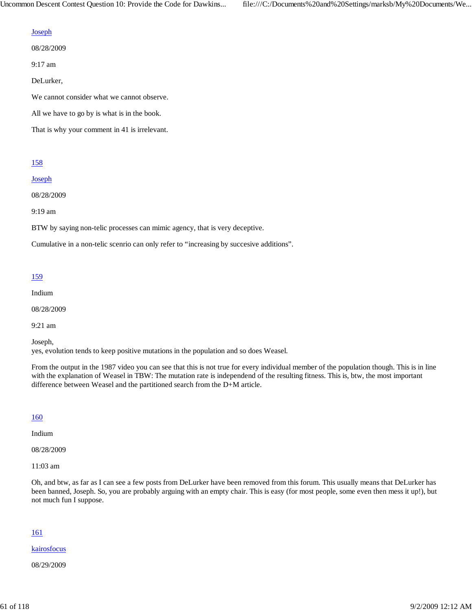#### **Joseph**

08/28/2009

9:17 am

DeLurker,

We cannot consider what we cannot observe.

All we have to go by is what is in the book.

That is why your comment in 41 is irrelevant.

#### 158

#### Joseph

08/28/2009

9:19 am

BTW by saying non-telic processes can mimic agency, that is very deceptive.

Cumulative in a non-telic scenrio can only refer to "increasing by succesive additions".

## 159

Indium

08/28/2009

9:21 am

Joseph,

yes, evolution tends to keep positive mutations in the population and so does Weasel.

From the output in the 1987 video you can see that this is not true for every individual member of the population though. This is in line with the explanation of Weasel in TBW: The mutation rate is independend of the resulting fitness. This is, btw, the most important difference between Weasel and the partitioned search from the D+M article.

#### 160

Indium

08/28/2009

11:03 am

Oh, and btw, as far as I can see a few posts from DeLurker have been removed from this forum. This usually means that DeLurker has been banned, Joseph. So, you are probably arguing with an empty chair. This is easy (for most people, some even then mess it up!), but not much fun I suppose.

#### 161

kairosfocus

08/29/2009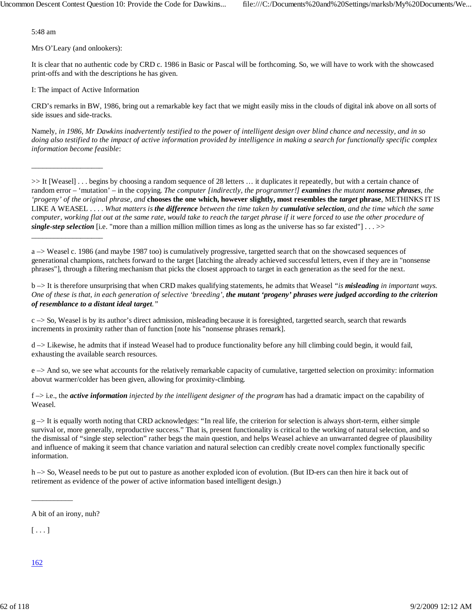5:48 am

Mrs O'Leary (and onlookers):

\_\_\_\_\_\_\_\_\_\_\_\_\_\_\_\_\_\_\_

\_\_\_\_\_\_\_\_\_\_\_\_\_\_\_\_\_\_\_

It is clear that no authentic code by CRD c. 1986 in Basic or Pascal will be forthcoming. So, we will have to work with the showcased print-offs and with the descriptions he has given.

I: The impact of Active Information

CRD's remarks in BW, 1986, bring out a remarkable key fact that we might easily miss in the clouds of digital ink above on all sorts of side issues and side-tracks.

Namely, *in 1986, Mr Dawkins inadvertently testified to the power of intelligent design over blind chance and necessity, and in so doing also testified to the impact of active information provided by intelligence in making a search for functionally specific complex information become feasible*:

>> It [Weasel] . . . begins by choosing a random sequence of 28 letters … it duplicates it repeatedly, but with a certain chance of random error – 'mutation' – in the copying. *The computer [indirectly, the programmer!] examines the mutant nonsense phrases, the 'progeny' of the original phrase, and* **chooses the one which, however slightly, most resembles the** *target* **phrase**, METHINKS IT IS LIKE A WEASEL . . . . *What matters is the difference between the time taken by cumulative selection, and the time which the same computer, working flat out at the same rate, would take to reach the target phrase if it were forced to use the other procedure of single-step selection* [i.e. "more than a million million million times as long as the universe has so far existed"]  $\ldots$  >>

a –> Weasel c. 1986 (and maybe 1987 too) is cumulatively progressive, targetted search that on the showcased sequences of generational champions, ratchets forward to the target [latching the already achieved successful letters, even if they are in "nonsense phrases"], through a filtering mechanism that picks the closest approach to target in each generation as the seed for the next.

b –> It is therefore unsurprising that when CRD makes qualifying statements, he admits that Weasel *"is misleading in important ways. One of these is that, in each generation of selective 'breeding', the mutant 'progeny' phrases were judged according to the criterion of resemblance to a distant ideal target."*

 $c \rightarrow$  So, Weasel is by its author's direct admission, misleading because it is foresighted, targetted search, search that rewards increments in proximity rather than of function [note his "nonsense phrases remark].

d –> Likewise, he admits that if instead Weasel had to produce functionality before any hill climbing could begin, it would fail, exhausting the available search resources.

 $e \rightarrow$  And so, we see what accounts for the relatively remarkable capacity of cumulative, targetted selection on proximity: information abovut warmer/colder has been given, allowing for proximity-climbing.

f –> i.e., the *active information injected by the intelligent designer of the program* has had a dramatic impact on the capability of Weasel.

 $g \rightarrow$  It is equally worth noting that CRD acknowledges: "In real life, the criterion for selection is always short-term, either simple survival or, more generally, reproductive success." That is, present functionality is critical to the working of natural selection, and so the dismissal of "single step selection" rather begs the main question, and helps Weasel achieve an unwarranted degree of plausibility and influence of making it seem that chance variation and natural selection can credibly create novel complex functionally specific information.

h –> So, Weasel needs to be put out to pasture as another exploded icon of evolution. (But ID-ers can then hire it back out of retirement as evidence of the power of active information based intelligent design.)

\_\_\_\_\_\_\_\_\_\_\_

 $[\ldots]$ 

162

A bit of an irony, nuh?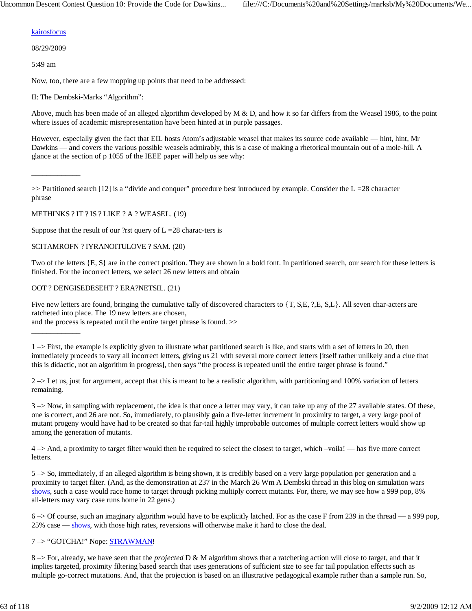#### kairosfocus

08/29/2009

\_\_\_\_\_\_\_\_\_\_\_\_\_

\_\_\_\_\_\_\_\_\_\_\_\_\_

5:49 am

Now, too, there are a few mopping up points that need to be addressed:

II: The Dembski-Marks "Algorithm":

Above, much has been made of an alleged algorithm developed by  $M \& D$ , and how it so far differs from the Weasel 1986, to the point where issues of academic misrepresentation have been hinted at in purple passages.

However, especially given the fact that EIL hosts Atom's adjustable weasel that makes its source code available — hint, hint, Mr Dawkins — and covers the various possible weasels admirably, this is a case of making a rhetorical mountain out of a mole-hill. A glance at the section of p 1055 of the IEEE paper will help us see why:

 $>>$  Partitioned search [12] is a "divide and conquer" procedure best introduced by example. Consider the  $L = 28$  character phrase

METHINKS ? IT ? IS ? LIKE ? A ? WEASEL. (19)

Suppose that the result of our ?rst query of  $L = 28$  charac-ters is

#### SCITAMROFN ? IYRANOITULOVE ? SAM. (20)

Two of the letters {E, S} are in the correct position. They are shown in a bold font. In partitioned search, our search for these letters is finished. For the incorrect letters, we select 26 new letters and obtain

OOT ? DENGISEDESEHT ? ERA?NETSIL. (21)

Five new letters are found, bringing the cumulative tally of discovered characters to  $\{T, S, E, ?, E, S, L\}$ . All seven char-acters are ratcheted into place. The 19 new letters are chosen,

and the process is repeated until the entire target phrase is found. >>

1 –> First, the example is explicitly given to illustrate what partitioned search is like, and starts with a set of letters in 20, then immediately proceeds to vary all incorrect letters, giving us 21 with several more correct letters [itself rather unlikely and a clue that this is didactic, not an algorithm in progress], then says "the process is repeated until the entire target phrase is found."

 $2 \rightarrow$  Let us, just for argument, accept that this is meant to be a realistic algorithm, with partitioning and 100% variation of letters remaining.

3 –> Now, in sampling with replacement, the idea is that once a letter may vary, it can take up any of the 27 available states. Of these, one is correct, and 26 are not. So, immediately, to plausibly gain a five-letter increment in proximity to target, a very large pool of mutant progeny would have had to be created so that far-tail highly improbable outcomes of multiple correct letters would show up among the generation of mutants.

4 –> And, a proximity to target filter would then be required to select the closest to target, which –voila! — has five more correct letters.

5 –> So, immediately, if an alleged algorithm is being shown, it is credibly based on a very large population per generation and a proximity to target filter. (And, as the demonstration at 237 in the March 26 Wm A Dembski thread in this blog on simulation wars shows, such a case would race home to target through picking multiply correct mutants. For, there, we may see how a 999 pop, 8% all-letters may vary case runs home in 22 gens.)

6 –> Of course, such an imaginary algorithm would have to be explicitly latched. For as the case F from 239 in the thread — a 999 pop, 25% case — shows, with those high rates, reversions will otherwise make it hard to close the deal.

### 7 –> "GOTCHA!" Nope: STRAWMAN!

8 –> For, already, we have seen that the *projected* D & M algorithm shows that a ratcheting action will close to target, and that it implies targeted, proximity filtering based search that uses generations of sufficient size to see far tail population effects such as multiple go-correct mutations. And, that the projection is based on an illustrative pedagogical example rather than a sample run. So,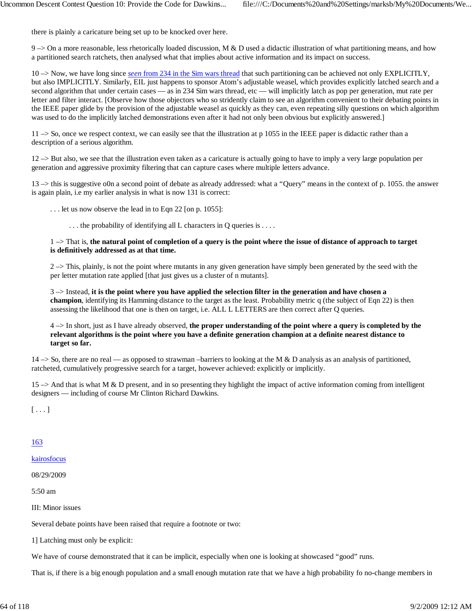there is plainly a caricature being set up to be knocked over here.

 $9 \rightarrow$  On a more reasonable, less rhetorically loaded discussion, M & D used a didactic illustration of what partitioning means, and how a partitioned search ratchets, then analysed what that implies about active information and its impact on success.

10 –> Now, we have long since *seen* from 234 in the Sim wars thread that such partitioning can be achieved not only EXPLICITLY, but also IMPLICITLY. Similarly, EIL just happens to sponsor Atom's adjustable weasel, which provides explicitly latched search and a second algorithm that under certain cases — as in 234 Sim wars thread, etc — will implicitly latch as pop per generation, mut rate per letter and filter interact. [Observe how those objectors who so stridently claim to see an algorithm convenient to their debating points in the IEEE paper glide by the provision of the adjustable weasel as quickly as they can, even repeating silly questions on which algorithm was used to do the implicitly latched demonstrations even after it had not only been obvious but explicitly answered.]

 $11 \rightarrow$  So, once we respect context, we can easily see that the illustration at p 1055 in the IEEE paper is didactic rather than a description of a serious algorithm.

12 –> But also, we see that the illustration even taken as a caricature is actually going to have to imply a very large population per generation and aggressive proximity filtering that can capture cases where multiple letters advance.

13 –> this is suggestive o0n a second point of debate as already addressed: what a "Query" means in the context of p. 1055. the answer is again plain, i.e my earlier analysis in what is now 131 is correct:

. . . let us now observe the lead in to Eqn 22 [on p. 1055]:

. . . the probability of identifying all L characters in Q queries is . . . .

#### 1 –> That is, **the natural point of completion of a query is the point where the issue of distance of approach to target is definitively addressed as at that time.**

 $2 \rightarrow$  This, plainly, is not the point where mutants in any given generation have simply been generated by the seed with the per letter mutation rate applied [that just gives us a cluster of n mutants].

3 –> Instead, **it is the point where you have applied the selection filter in the generation and have chosen a champion**, identifying its Hamming distance to the target as the least. Probability metric q (the subject of Eqn 22) is then assessing the likelihood that one is then on target, i.e. ALL L LETTERS are then correct after Q queries.

4 –> In short, just as I have already observed, **the proper understanding of the point where a query is completed by the relevant algorithms is the point where you have a definite generation champion at a definite nearest distance to target so far.**

 $14 \rightarrow$  So, there are no real — as opposed to strawman –barriers to looking at the M & D analysis as an analysis of partitioned, ratcheted, cumulatively progressive search for a target, however achieved: explicitly or implicitly.

 $15 \rightarrow$  And that is what M & D present, and in so presenting they highlight the impact of active information coming from intelligent designers — including of course Mr Clinton Richard Dawkins.

 $[\ldots]$ 

163

#### kairosfocus

08/29/2009

5:50 am

III: Minor issues

Several debate points have been raised that require a footnote or two:

1] Latching must only be explicit:

We have of course demonstrated that it can be implicit, especially when one is looking at showcased "good" runs.

That is, if there is a big enough population and a small enough mutation rate that we have a high probability fo no-change members in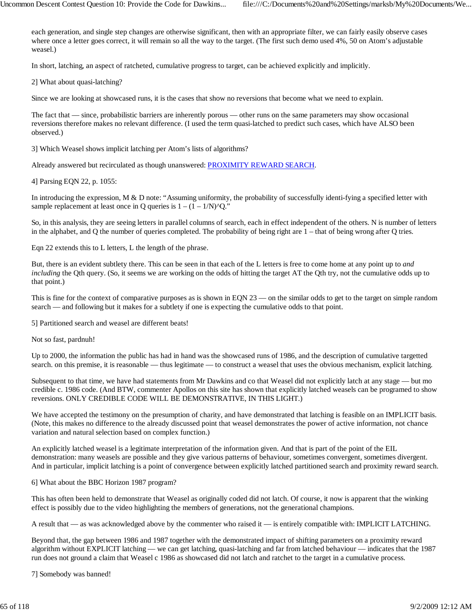each generation, and single step changes are otherwise significant, then with an appropriate filter, we can fairly easily observe cases where once a letter goes correct, it will remain so all the way to the target. (The first such demo used 4%, 50 on Atom's adjustable weasel.)

In short, latching, an aspect of ratcheted, cumulative progress to target, can be achieved explicitly and implicitly.

2] What about quasi-latching?

Since we are looking at showcased runs, it is the cases that show no reversions that become what we need to explain.

The fact that — since, probabilistic barriers are inherently porous — other runs on the same parameters may show occasional reversions therefore makes no relevant difference. (I used the term quasi-latched to predict such cases, which have ALSO been observed.)

3] Which Weasel shows implicit latching per Atom's lists of algorithms?

Already answered but recirculated as though unanswered: PROXIMITY REWARD SEARCH.

4] Parsing EQN 22, p. 1055:

In introducing the expression,  $M \& D$  note: "Assuming uniformity, the probability of successfully identi-fying a specified letter with sample replacement at least once in Q queries is  $1 - (1 - 1/N)$ <sup>o</sup>Q."

So, in this analysis, they are seeing letters in parallel columns of search, each in effect independent of the others. N is number of letters in the alphabet, and Q the number of queries completed. The probability of being right are 1 – that of being wrong after Q tries.

Eqn 22 extends this to L letters, L the length of the phrase.

But, there is an evident subtlety there. This can be seen in that each of the L letters is free to come home at any point up to *and including* the Qth query. (So, it seems we are working on the odds of hitting the target AT the Qth try, not the cumulative odds up to that point.)

This is fine for the context of comparative purposes as is shown in EQN 23 — on the similar odds to get to the target on simple random search — and following but it makes for a subtlety if one is expecting the cumulative odds to that point.

5] Partitioned search and weasel are different beats!

Not so fast, pardnuh!

Up to 2000, the information the public has had in hand was the showcased runs of 1986, and the description of cumulative targetted search. on this premise, it is reasonable — thus legitimate — to construct a weasel that uses the obvious mechanism, explicit latching.

Subsequent to that time, we have had statements from Mr Dawkins and co that Weasel did not explicitly latch at any stage — but mo credible c. 1986 code. (And BTW, commenter Apollos on this site has shown that explicitly latched weasels can be programed to show reversions. ONLY CREDIBLE CODE WILL BE DEMONSTRATIVE, IN THIS LIGHT.)

We have accepted the testimony on the presumption of charity, and have demonstrated that latching is feasible on an IMPLICIT basis. (Note, this makes no difference to the already discussed point that weasel demonstrates the power of active information, not chance variation and natural selection based on complex function.)

An explicitly latched weasel is a legitimate interpretation of the information given. And that is part of the point of the EIL demonstration: many weasels are possible and they give various patterns of behaviour, sometimes convergent, sometimes divergent. And in particular, implicit latching is a point of convergence between explicitly latched partitioned search and proximity reward search.

6] What about the BBC Horizon 1987 program?

This has often been held to demonstrate that Weasel as originally coded did not latch. Of course, it now is apparent that the winking effect is possibly due to the video highlighting the members of generations, not the generational champions.

A result that — as was acknowledged above by the commenter who raised it — is entirely compatible with: IMPLICIT LATCHING.

Beyond that, the gap between 1986 and 1987 together with the demonstrated impact of shifting parameters on a proximity reward algorithm without EXPLICIT latching — we can get latching, quasi-latching and far from latched behaviour — indicates that the 1987 run does not ground a claim that Weasel c 1986 as showcased did not latch and ratchet to the target in a cumulative process.

7] Somebody was banned!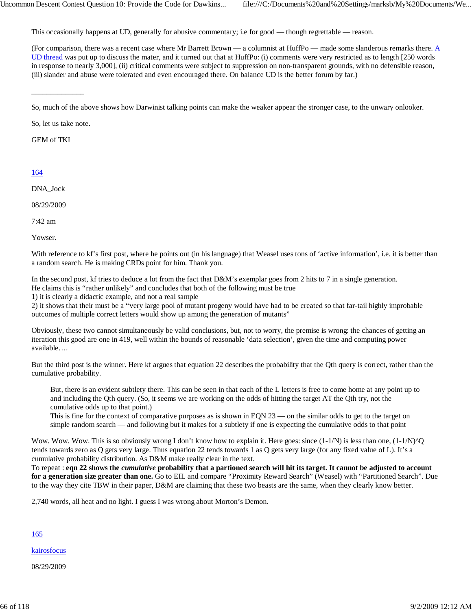This occasionally happens at UD, generally for abusive commentary; i.e for good — though regrettable — reason.

(For comparison, there was a recent case where Mr Barrett Brown — a columnist at HuffPo — made some slanderous remarks there. A UD thread was put up to discuss the mater, and it turned out that at HuffPo: (i) comments were very restricted as to length [250 words in response to nearly 3,000], (ii) critical comments were subject to suppression on non-transparent grounds, with no defensible reason, (iii) slander and abuse were tolerated and even encouraged there. On balance UD is the better forum by far.)

So, let us take note.

\_\_\_\_\_\_\_\_\_\_\_\_\_\_

GEM of TKI

### 164

DNA\_Jock

08/29/2009

7:42 am

Yowser.

With reference to kf's first post, where he points out (in his language) that Weasel uses tons of 'active information', i.e. it is better than a random search. He is making CRDs point for him. Thank you.

In the second post, kf tries to deduce a lot from the fact that D&M's exemplar goes from 2 hits to 7 in a single generation. He claims this is "rather unlikely" and concludes that both of the following must be true

1) it is clearly a didactic example, and not a real sample

2) it shows that their must be a "very large pool of mutant progeny would have had to be created so that far-tail highly improbable outcomes of multiple correct letters would show up among the generation of mutants"

Obviously, these two cannot simultaneously be valid conclusions, but, not to worry, the premise is wrong: the chances of getting an iteration this good are one in 419, well within the bounds of reasonable 'data selection', given the time and computing power available….

But the third post is the winner. Here kf argues that equation 22 describes the probability that the Qth query is correct, rather than the cumulative probability.

But, there is an evident subtlety there. This can be seen in that each of the L letters is free to come home at any point up to and including the Qth query. (So, it seems we are working on the odds of hitting the target AT the Qth try, not the cumulative odds up to that point.)

This is fine for the context of comparative purposes as is shown in EQN  $23$  — on the similar odds to get to the target on simple random search — and following but it makes for a subtlety if one is expecting the cumulative odds to that point

Wow. Wow. Wow. This is so obviously wrong I don't know how to explain it. Here goes: since  $(1-1/N)$  is less than one,  $(1-1/N)^QQ$ tends towards zero as Q gets very large. Thus equation 22 tends towards 1 as Q gets very large (for any fixed value of L). It's a cumulative probability distribution. As D&M make really clear in the text.

To repeat : **eqn 22 shows the** *cumulative* **probability that a partioned search will hit its target. It cannot be adjusted to account for a generation size greater than one.** Go to EIL and compare "Proximity Reward Search" (Weasel) with "Partitioned Search". Due to the way they cite TBW in their paper, D&M are claiming that these two beasts are the same, when they clearly know better.

2,740 words, all heat and no light. I guess I was wrong about Morton's Demon.

165

kairosfocus

08/29/2009

So, much of the above shows how Darwinist talking points can make the weaker appear the stronger case, to the unwary onlooker.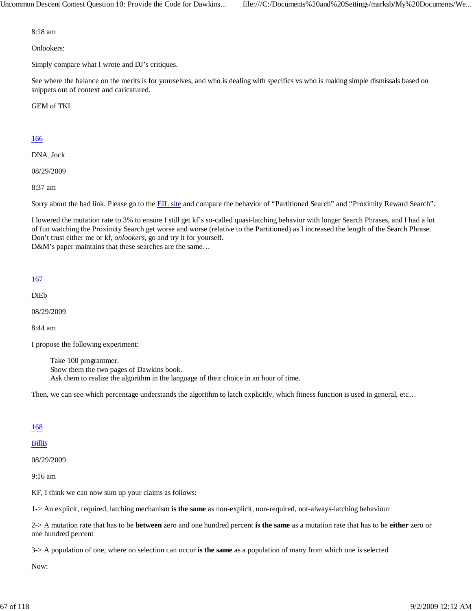8:18 am

Onlookers:

Simply compare what I wrote and DJ's critiques.

See where the balance on the merits is for yourselves, and who is dealing with specifics vs who is making simple dismissals based on snippets out of context and caricatured.

GEM of TKI

## 166

DNA\_Jock

08/29/2009

8:37 am

Sorry about the bad link. Please go to the **EIL site** and compare the behavior of "Partitioned Search" and "Proximity Reward Search".

I lowered the mutation rate to 3% to ensure I still get kf's so-called quasi-latching behavior with longer Search Phrases, and I had a lot of fun watching the Proximity Search get worse and worse (relative to the Partitioned) as I increased the length of the Search Phrase. Don't trust either me or kf, *onlookers*, go and try it for yourself. D&M's paper maintains that these searches are the same...

#### 167

DiEb

08/29/2009

8:44 am

I propose the following experiment:

Take 100 programmer. Show them the two pages of Dawkins book. Ask them to realize the algorithm in the language of their choice in an hour of time.

Then, we can see which percentage understands the algorithm to latch explicitly, which fitness function is used in general, etc...

#### 168

#### BillB

08/29/2009

9:16 am

KF, I think we can now sum up your claims as follows:

1-> An explicit, required, latching mechanism **is the same** as non-explicit, non-required, not-always-latching behaviour

2-> A mutation rate that has to be **between** zero and one hundred percent **is the same** as a mutation rate that has to be **either** zero or one hundred percent

3-> A population of one, where no selection can occur **is the same** as a population of many from which one is selected

Now: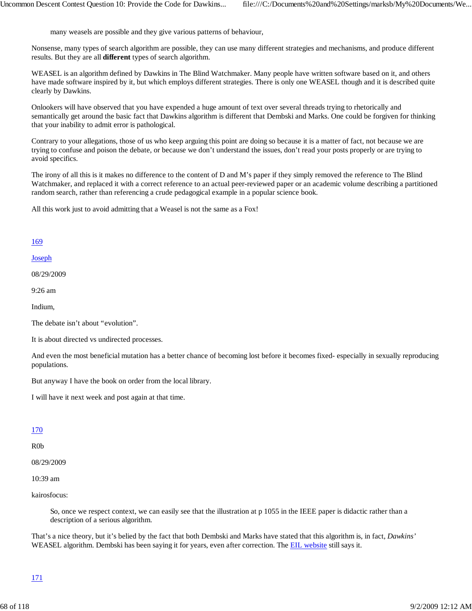many weasels are possible and they give various patterns of behaviour,

Nonsense, many types of search algorithm are possible, they can use many different strategies and mechanisms, and produce different results. But they are all **different** types of search algorithm.

WEASEL is an algorithm defined by Dawkins in The Blind Watchmaker. Many people have written software based on it, and others have made software inspired by it, but which employs different strategies. There is only one WEASEL though and it is described quite clearly by Dawkins.

Onlookers will have observed that you have expended a huge amount of text over several threads trying to rhetorically and semantically get around the basic fact that Dawkins algorithm is different that Dembski and Marks. One could be forgiven for thinking that your inability to admit error is pathological.

Contrary to your allegations, those of us who keep arguing this point are doing so because it is a matter of fact, not because we are trying to confuse and poison the debate, or because we don't understand the issues, don't read your posts properly or are trying to avoid specifics.

The irony of all this is it makes no difference to the content of D and M's paper if they simply removed the reference to The Blind Watchmaker, and replaced it with a correct reference to an actual peer-reviewed paper or an academic volume describing a partitioned random search, rather than referencing a crude pedagogical example in a popular science book.

All this work just to avoid admitting that a Weasel is not the same as a Fox!

### 169

#### Joseph

08/29/2009

9:26 am

Indium,

The debate isn't about "evolution".

It is about directed vs undirected processes.

And even the most beneficial mutation has a better chance of becoming lost before it becomes fixed- especially in sexually reproducing populations.

But anyway I have the book on order from the local library.

I will have it next week and post again at that time.

#### 170

R0b

08/29/2009

10:39 am

kairosfocus:

So, once we respect context, we can easily see that the illustration at p 1055 in the IEEE paper is didactic rather than a description of a serious algorithm.

That's a nice theory, but it's belied by the fact that both Dembski and Marks have stated that this algorithm is, in fact, *Dawkins'* WEASEL algorithm. Dembski has been saying it for years, even after correction. The EIL website still says it.

### 171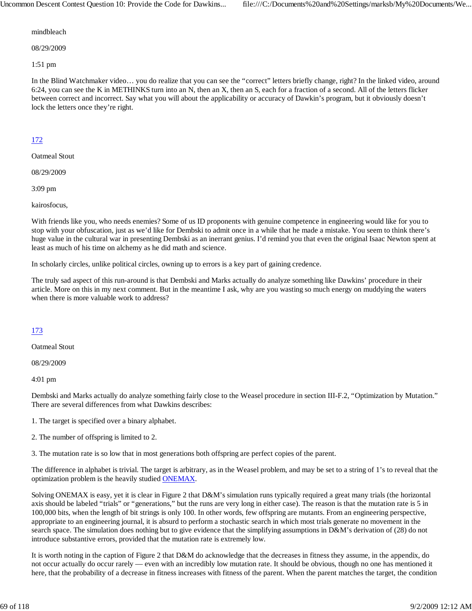mindbleach

08/29/2009

1:51 pm

In the Blind Watchmaker video… you do realize that you can see the "correct" letters briefly change, right? In the linked video, around 6:24, you can see the K in METHINKS turn into an N, then an X, then an S, each for a fraction of a second. All of the letters flicker between correct and incorrect. Say what you will about the applicability or accuracy of Dawkin's program, but it obviously doesn't lock the letters once they're right.

## 172

Oatmeal Stout

08/29/2009

3:09 pm

kairosfocus,

With friends like you, who needs enemies? Some of us ID proponents with genuine competence in engineering would like for you to stop with your obfuscation, just as we'd like for Dembski to admit once in a while that he made a mistake. You seem to think there's huge value in the cultural war in presenting Dembski as an inerrant genius. I'd remind you that even the original Isaac Newton spent at least as much of his time on alchemy as he did math and science.

In scholarly circles, unlike political circles, owning up to errors is a key part of gaining credence.

The truly sad aspect of this run-around is that Dembski and Marks actually do analyze something like Dawkins' procedure in their article. More on this in my next comment. But in the meantime I ask, why are you wasting so much energy on muddying the waters when there is more valuable work to address?

### 173

Oatmeal Stout

08/29/2009

4:01 pm

Dembski and Marks actually do analyze something fairly close to the Weasel procedure in section III-F.2, "Optimization by Mutation." There are several differences from what Dawkins describes:

- 1. The target is specified over a binary alphabet.
- 2. The number of offspring is limited to 2.

3. The mutation rate is so low that in most generations both offspring are perfect copies of the parent.

The difference in alphabet is trivial. The target is arbitrary, as in the Weasel problem, and may be set to a string of 1's to reveal that the optimization problem is the heavily studied ONEMAX.

Solving ONEMAX is easy, yet it is clear in Figure 2 that D&M's simulation runs typically required a great many trials (the horizontal axis should be labeled "trials" or "generations," but the runs are very long in either case). The reason is that the mutation rate is 5 in 100,000 bits, when the length of bit strings is only 100. In other words, few offspring are mutants. From an engineering perspective, appropriate to an engineering journal, it is absurd to perform a stochastic search in which most trials generate no movement in the search space. The simulation does nothing but to give evidence that the simplifying assumptions in D&M's derivation of (28) do not introduce substantive errors, provided that the mutation rate is extremely low.

It is worth noting in the caption of Figure 2 that D&M do acknowledge that the decreases in fitness they assume, in the appendix, do not occur actually do occur rarely — even with an incredibly low mutation rate. It should be obvious, though no one has mentioned it here, that the probability of a decrease in fitness increases with fitness of the parent. When the parent matches the target, the condition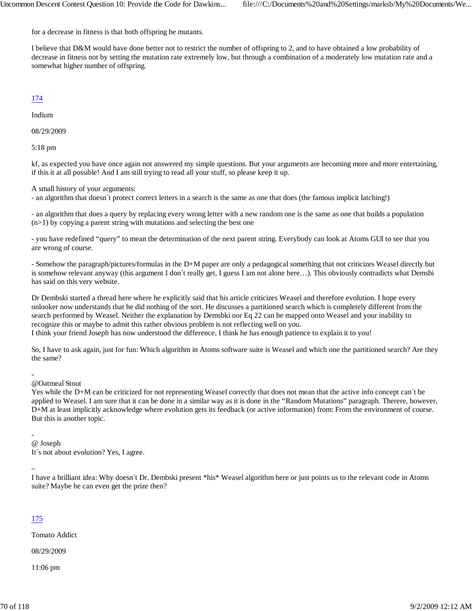for a decrease in fitness is that both offspring be mutants.

I believe that D&M would have done better not to restrict the number of offspring to 2, and to have obtained a low probability of decrease in fitness not by setting the mutation rate extremely low, but through a combination of a moderately low mutation rate and a somewhat higher number of offspring.

## 174

Indium

08/29/2009

5:18 pm

kf, as expected you have once again not answered my simple questions. But your arguments are becoming more and more entertaining, if this it at all possible! And I am still trying to read all your stuff, so please keep it up.

A small history of your arguments:

- an algorithm that doesn´t protect correct letters in a search is the same as one that does (the famous implicit latching!)

- an algorithm that does a query by replacing every wrong letter with a new random one is the same as one that builds a population  $(n>1)$  by copying a parent string with mutations and selecting the best one

- you have redefined "query" to mean the determination of the next parent string. Everybody can look at Atoms GUI to see that you are wrong of course.

- Somehow the paragraph/pictures/formulas in the D+M paper are only a pedagogical something that not criticizes Weasel directly but is somehow relevant anyway (this argument I don´t really get, I guess I am not alone here…). This obviously contradicts what Demsbi has said on this very website.

Dr Dembski started a thread here where he explicitly said that his article criticizes Weasel and therefore evolution. I hope every onlooker now understands that he did nothing of the sort. He discusses a partitioned search which is completely different from the search performed by Weasel. Neither the explanation by Demsbki nor Eq 22 can be mapped onto Weasel and your inability to recognize this or maybe to admit this rather obvious problem is not reflecting well on you. I think your friend Joseph has now understood the difference, I think he has enough patience to explain it to you!

So, I have to ask again, just for fun: Which algorithm in Atoms software suite is Weasel and which one the partitioned search? Are they the same?

-

@Oatmeal Stout

Yes while the D+M can be criticized for not representing Weasel correctly that does not mean that the active info concept can´t be applied to Weasel. I am sure that it can be done in a similar way as it is done in the "Random Mutations" paragraph. Therere, however, D+M at least implicitly acknowledge where evolution gets its feedback (or active information) from: From the environment of course. But this is another topic.

- @ Joseph It´s not about evolution? Yes, I agree.

–

I have a brilliant idea: Why doesn´t Dr. Dembski present \*his\* Weasel algorithm here or just points us to the relevant code in Atoms suite? Maybe he can even get the prize then?

## 175

Tomato Addict

08/29/2009

11:06 pm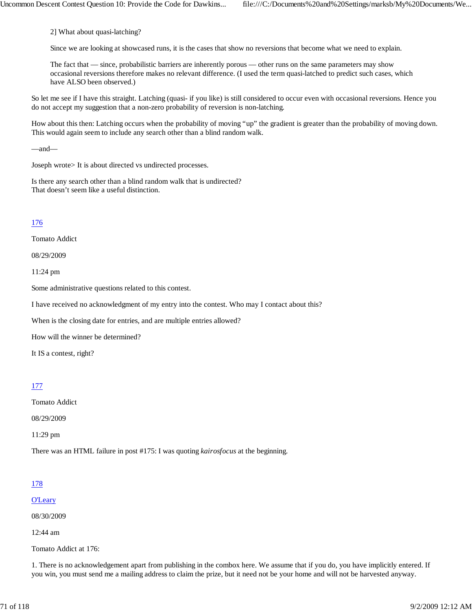2] What about quasi-latching?

Since we are looking at showcased runs, it is the cases that show no reversions that become what we need to explain.

The fact that — since, probabilistic barriers are inherently porous — other runs on the same parameters may show occasional reversions therefore makes no relevant difference. (I used the term quasi-latched to predict such cases, which have ALSO been observed.)

So let me see if I have this straight. Latching (quasi- if you like) is still considered to occur even with occasional reversions. Hence you do not accept my suggestion that a non-zero probability of reversion is non-latching.

How about this then: Latching occurs when the probability of moving "up" the gradient is greater than the probability of moving down. This would again seem to include any search other than a blind random walk.

—and—

Joseph wrote> It is about directed vs undirected processes.

Is there any search other than a blind random walk that is undirected? That doesn't seem like a useful distinction.

### 176

Tomato Addict

08/29/2009

11:24 pm

Some administrative questions related to this contest.

I have received no acknowledgment of my entry into the contest. Who may I contact about this?

When is the closing date for entries, and are multiple entries allowed?

How will the winner be determined?

It IS a contest, right?

### 177

Tomato Addict

08/29/2009

11:29 pm

There was an HTML failure in post #175: I was quoting *kairosfocus* at the beginning.

### 178

#### O'Leary

08/30/2009

12:44 am

Tomato Addict at 176:

1. There is no acknowledgement apart from publishing in the combox here. We assume that if you do, you have implicitly entered. If you win, you must send me a mailing address to claim the prize, but it need not be your home and will not be harvested anyway.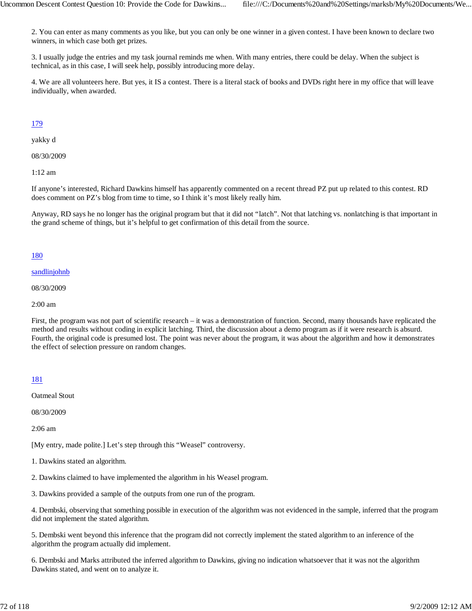2. You can enter as many comments as you like, but you can only be one winner in a given contest. I have been known to declare two winners, in which case both get prizes.

3. I usually judge the entries and my task journal reminds me when. With many entries, there could be delay. When the subject is technical, as in this case, I will seek help, possibly introducing more delay.

4. We are all volunteers here. But yes, it IS a contest. There is a literal stack of books and DVDs right here in my office that will leave individually, when awarded.

## 179

yakky d

08/30/2009

1:12 am

If anyone's interested, Richard Dawkins himself has apparently commented on a recent thread PZ put up related to this contest. RD does comment on PZ's blog from time to time, so I think it's most likely really him.

Anyway, RD says he no longer has the original program but that it did not "latch". Not that latching vs. nonlatching is that important in the grand scheme of things, but it's helpful to get confirmation of this detail from the source.

### 180

#### sandlinjohnb

08/30/2009

2:00 am

First, the program was not part of scientific research – it was a demonstration of function. Second, many thousands have replicated the method and results without coding in explicit latching. Third, the discussion about a demo program as if it were research is absurd. Fourth, the original code is presumed lost. The point was never about the program, it was about the algorithm and how it demonstrates the effect of selection pressure on random changes.

### 181

Oatmeal Stout

08/30/2009

2:06 am

[My entry, made polite.] Let's step through this "Weasel" controversy.

1. Dawkins stated an algorithm.

2. Dawkins claimed to have implemented the algorithm in his Weasel program.

3. Dawkins provided a sample of the outputs from one run of the program.

4. Dembski, observing that something possible in execution of the algorithm was not evidenced in the sample, inferred that the program did not implement the stated algorithm.

5. Dembski went beyond this inference that the program did not correctly implement the stated algorithm to an inference of the algorithm the program actually did implement.

6. Dembski and Marks attributed the inferred algorithm to Dawkins, giving no indication whatsoever that it was not the algorithm Dawkins stated, and went on to analyze it.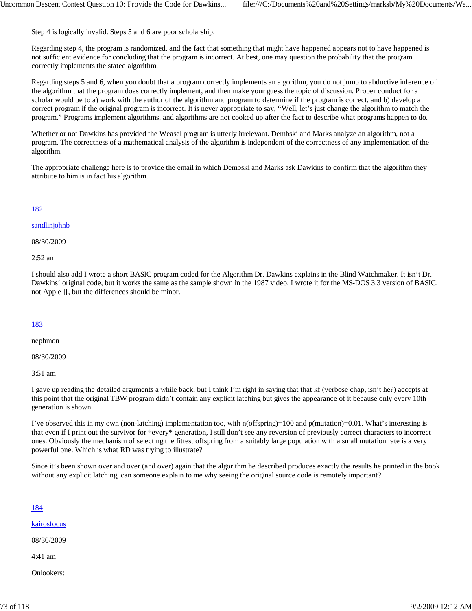Step 4 is logically invalid. Steps 5 and 6 are poor scholarship.

Regarding step 4, the program is randomized, and the fact that something that might have happened appears not to have happened is not sufficient evidence for concluding that the program is incorrect. At best, one may question the probability that the program correctly implements the stated algorithm.

Regarding steps 5 and 6, when you doubt that a program correctly implements an algorithm, you do not jump to abductive inference of the algorithm that the program does correctly implement, and then make your guess the topic of discussion. Proper conduct for a scholar would be to a) work with the author of the algorithm and program to determine if the program is correct, and b) develop a correct program if the original program is incorrect. It is never appropriate to say, "Well, let's just change the algorithm to match the program." Programs implement algorithms, and algorithms are not cooked up after the fact to describe what programs happen to do.

Whether or not Dawkins has provided the Weasel program is utterly irrelevant. Dembski and Marks analyze an algorithm, not a program. The correctness of a mathematical analysis of the algorithm is independent of the correctness of any implementation of the algorithm.

The appropriate challenge here is to provide the email in which Dembski and Marks ask Dawkins to confirm that the algorithm they attribute to him is in fact his algorithm.

# 182

#### sandlinjohnb

08/30/2009

2:52 am

I should also add I wrote a short BASIC program coded for the Algorithm Dr. Dawkins explains in the Blind Watchmaker. It isn't Dr. Dawkins' original code, but it works the same as the sample shown in the 1987 video. I wrote it for the MS-DOS 3.3 version of BASIC, not Apple ][, but the differences should be minor.

# 183

nephmon

08/30/2009

3:51 am

I gave up reading the detailed arguments a while back, but I think I'm right in saying that that kf (verbose chap, isn't he?) accepts at this point that the original TBW program didn't contain any explicit latching but gives the appearance of it because only every 10th generation is shown.

I've observed this in my own (non-latching) implementation too, with n(offspring)=100 and p(mutation)=0.01. What's interesting is that even if I print out the survivor for \*every\* generation, I still don't see any reversion of previously correct characters to incorrect ones. Obviously the mechanism of selecting the fittest offspring from a suitably large population with a small mutation rate is a very powerful one. Which is what RD was trying to illustrate?

Since it's been shown over and over (and over) again that the algorithm he described produces exactly the results he printed in the book without any explicit latching, can someone explain to me why seeing the original source code is remotely important?

# 184

kairosfocus

08/30/2009

4:41 am

Onlookers: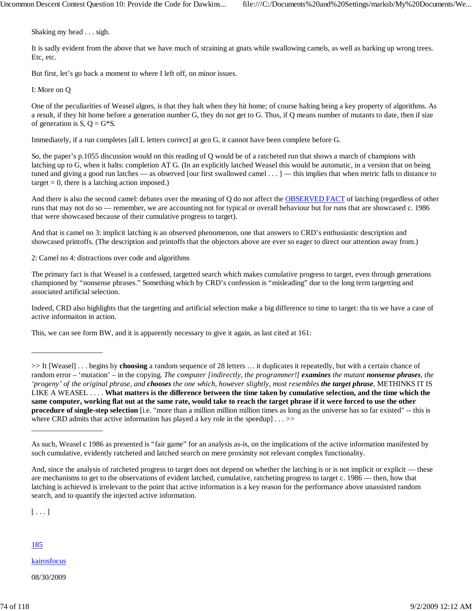Shaking my head . . . sigh.

It is sadly evident from the above that we have much of straining at gnats while swallowing camels, as well as barking up wrong trees. Etc, etc.

But first, let's go back a moment to where I left off, on minor issues.

I: More on Q

One of the peculiarities of Weasel algors, is that they halt when they hit home; of course halting being a key property of algorithms. As a result, if they hit home before a generation number G, they do not get to G. Thus, if Q means number of mutants to date, then if size of generation is  $S$ ,  $Q = G*S$ .

Immediately, if a run completes [all L letters correct] at gen G, it cannot have been complete before G.

So, the paper's p.1055 discussion would on this reading of Q would be of a ratcheted run that shows a march of champions with latching up to G, when it halts: completion AT G. (In an explicitly latched Weasel this would be automatic, in a version that on being tuned and giving a good run latches — as observed [our first swallowed camel . . . ] — this implies that when metric falls to distance to  $target = 0$ , there is a latching action imposed.)

And there is also the second camel: debates over the meaning of Q do not affect the OBSERVED FACT of latching (regardless of other runs that may not do so — remember, we are accounting not for typical or overall behaviour but for runs that are showcased c. 1986 that were showcased because of their cumulative progress to target).

And that is camel no 3: implicit latching is an observed phenomenon, one that answers to CRD's enthusiastic description and showcased printoffs. (The description and printoffs that the objectors above are ever so eager to direct our attention away from.)

2: Camel no 4: distractions over code and algorithms

The primary fact is that Weasel is a confessed, targetted search which makes cumulative progress to target, even through generations championed by "nonsense phrases." Something which by CRD's confession is "misleading" due to the long term targetting and associated artificial selection.

Indeed, CRD also highlights that the targetting and artificial selection make a big difference to time to target: tha tis we have a case of active informaiton in action.

This, we can see form BW, and it is apparently necessary to give it again, as last cited at 161:

>> It [Weasel] . . . begins by **choosing** a random sequence of 28 letters … it duplicates it repeatedly, but with a certain chance of random error – 'mutation' – in the copying. *The computer [indirectly, the programmer!] examines the mutant nonsense phrases, the 'progeny' of the original phrase, and chooses the one which, however slightly, most resembles the target phrase*, METHINKS IT IS LIKE A WEASEL . . . . **What matters is the difference between the time taken by cumulative selection, and the time which the same computer, working flat out at the same rate, would take to reach the target phrase if it were forced to use the other procedure of single-step selection** [i.e. "more than a million million million times as long as the universe has so far existed" -- this is where CRD admits that active information has played a key role in the speedup] . . . >>

 $[\ldots]$ 

\_\_\_\_\_\_\_\_\_\_\_\_\_\_\_\_\_\_\_

\_\_\_\_\_\_\_\_\_\_\_\_\_\_\_\_\_\_\_

185

kairosfocus

08/30/2009

As such, Weasel c 1986 as presented is "fair game" for an analysis as-is, on the implications of the active information manifested by such cumulative, evidently ratcheted and latched search on mere proximity not relevant complex functionality.

And, since the analysis of ratcheted progress to target does not depend on whether the latching is or is not implicit or explicit — these are mechanisms to get to the observations of evident latched, cumulative, ratcheting progress to target c. 1986 — then, how that latching is achieved is irrelevant to the point that active information is a key reason for the performance above unassisted random search, and to quantify the injected active information.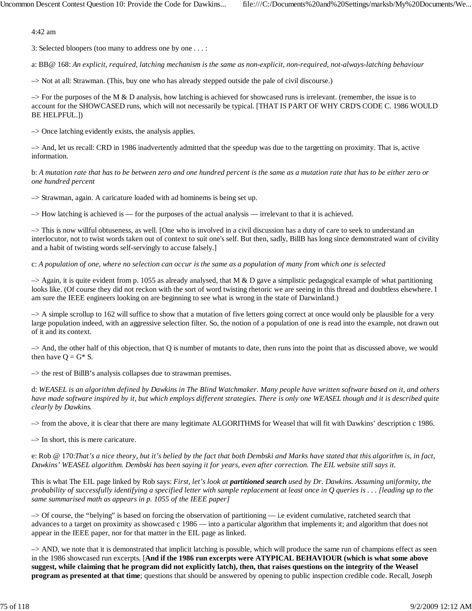4:42 am

3: Selected bloopers (too many to address one by one . . . :

a: BB@ 168: *An explicit, required, latching mechanism is the same as non-explicit, non-required, not-always-latching behaviour*

–> Not at all: Strawman. (This, buy one who has already stepped outside the pale of civil discourse.)

 $\rightarrow$  For the purposes of the M & D analysis, how latching is achieved for showcased runs is irrelevant. (remember, the issue is to account for the SHOWCASED runs, which will not necessarily be typical. [THAT IS PART OF WHY CRD'S CODE C. 1986 WOULD BE HELPFUL.])

–> Once latching evidently exists, the analysis applies.

–> And, let us recall: CRD in 1986 inadvertently admitted that the speedup was due to the targetting on proximity. That is, active information.

b: *A mutation rate that has to be between zero and one hundred percent is the same as a mutation rate that has to be either zero or one hundred percent*

–> Strawman, again. A caricature loaded with ad hominems is being set up.

–> How latching is achieved is — for the purposes of the actual analysis — irrelevant to that it is achieved.

–> This is now willful obtuseness, as well. [One who is involved in a civil discussion has a duty of care to seek to understand an interlocutor, not to twist words taken out of context to suit one's self. But then, sadly, BillB has long since demonstrated want of civility and a habit of twisting words self-servingly to accuse falsely.]

c: *A population of one, where no selection can occur is the same as a population of many from which one is selected*

 $\rightarrow$  Again, it is quite evident from p. 1055 as already analysed, that M & D gave a simplistic pedagogical example of what partitioning looks like. (Of course they did not reckon with the sort of word twisting rhetoric we are seeing in this thread and doubtless elsewhere. I am sure the IEEE engineers looking on are beginning to see what is wrong in the state of Darwinland.)

–> A simple scrollup to 162 will suffice to show that a mutation of five letters going correct at once would only be plausible for a very large population indeed, with an aggressive selection filter. So, the notion of a population of one is read into the example, not drawn out of it and its context.

–> And, the other half of this objection, that Q is number of mutants to date, then runs into the point that as discussed above, we would then have  $Q = G^* S$ .

–> the rest of BillB's analysis collapses due to strawman premises.

d: *WEASEL is an algorithm defined by Dawkins in The Blind Watchmaker. Many people have written software based on it, and others have made software inspired by it, but which employs different strategies. There is only one WEASEL though and it is described quite clearly by Dawkins.*

–> from the above, it is clear that there are many legitimate ALGORITHMS for Weasel that will fit with Dawkins' description c 1986.

 $\Rightarrow$  In short, this is mere caricature.

e: Rob @ 170:*That's a nice theory, but it's belied by the fact that both Dembski and Marks have stated that this algorithm is, in fact, Dawkins' WEASEL algorithm. Dembski has been saying it for years, even after correction. The EIL website still says it.*

This is what The EIL page linked by Rob says: *First, let's look at partitioned search used by Dr. Dawkins. Assuming uniformity, the probability of successfully identifying a specified letter with sample replacement at least once in Q queries is . . . [leading up to the same summarised math as appears in p. 1055 of the IEEE paper]*

–> Of course, the "belying" is based on forcing the observation of partitioning — i.e evident cumulative, ratcheted search that advances to a target on proximity as showcased c 1986 — into a particular algorithm that implements it; and algorithm that does not appear in the IEEE paper, nor for that matter in the EIL page as linked.

–> AND, we note that it is demonstrated that implicit latching is possible, which will produce the same run of champions effect as seen in the 1986 showcased run excerpts. [**And if the 1986 run excerpts were ATYPICAL BEHAVIOUR (which is what some above suggest, while claiming that he program did not explicitly latch), then, that raises questions on the integrity of the Weasel program as presented at that time**; questions that should be answered by opening to public inspection credible code. Recall, Joseph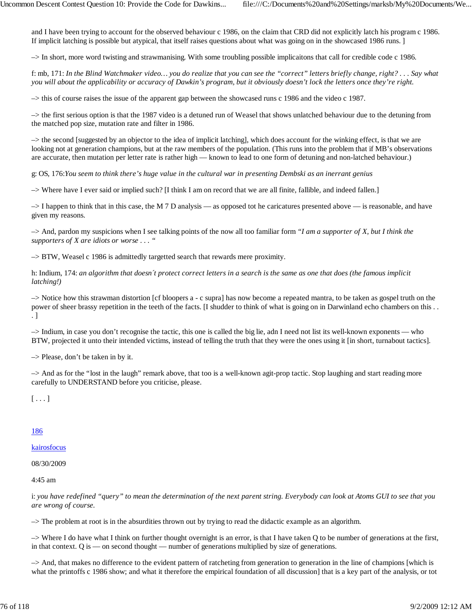and I have been trying to account for the observed behaviour c 1986, on the claim that CRD did not explicitly latch his program c 1986. If implicit latching is possible but atypical, that itself raises questions about what was going on in the showcased 1986 runs. ]

–> In short, more word twisting and strawmanising. With some troubling possible implicaitons that call for credible code c 1986.

f: mb, 171: *In the Blind Watchmaker video… you do realize that you can see the "correct" letters briefly change, right? . . . Say what you will about the applicability or accuracy of Dawkin's program, but it obviously doesn't lock the letters once they're right.*

–> this of course raises the issue of the apparent gap between the showcased runs c 1986 and the video c 1987.

–> the first serious option is that the 1987 video is a detuned run of Weasel that shows unlatched behaviour due to the detuning from the matched pop size, mutation rate and filter in 1986.

–> the second [suggested by an objector to the idea of implicit latching], which does account for the winking effect, is that we are looking not at generation champions, but at the raw members of the population. (This runs into the problem that if MB's observations are accurate, then mutation per letter rate is rather high — known to lead to one form of detuning and non-latched behaviour.)

g: OS, 176:*You seem to think there's huge value in the cultural war in presenting Dembski as an inerrant genius*

–> Where have I ever said or implied such? [I think I am on record that we are all finite, fallible, and indeed fallen.]

 $\rightarrow$  I happen to think that in this case, the M 7 D analysis — as opposed tot he caricatures presented above — is reasonable, and have given my reasons.

–> And, pardon my suspicions when I see talking points of the now all too familiar form *"I am a supporter of X, but I think the supporters of X are idiots or worse . . . "*

–> BTW, Weasel c 1986 is admittedly targetted search that rewards mere proximity.

h: Indium, 174: *an algorithm that doesn´t protect correct letters in a search is the same as one that does (the famous implicit latching!)*

–> Notice how this strawman distortion [cf bloopers a - c supra] has now become a repeated mantra, to be taken as gospel truth on the power of sheer brassy repetition in the teeth of the facts. [I shudder to think of what is going on in Darwinland echo chambers on this . . . ]

–> Indium, in case you don't recognise the tactic, this one is called the big lie, adn I need not list its well-known exponents — who BTW, projected it unto their intended victims, instead of telling the truth that they were the ones using it [in short, turnabout tactics].

–> Please, don't be taken in by it.

–> And as for the "lost in the laugh" remark above, that too is a well-known agit-prop tactic. Stop laughing and start reading more carefully to UNDERSTAND before you criticise, please.

 $[\ldots]$ 

# 186

kairosfocus

08/30/2009

4:45 am

i: *you have redefined "query" to mean the determination of the next parent string. Everybody can look at Atoms GUI to see that you are wrong of course.*

–> The problem at root is in the absurdities thrown out by trying to read the didactic example as an algorithm.

–> Where I do have what I think on further thought overnight is an error, is that I have taken Q to be number of generations at the first, in that context. Q is — on second thought — number of generations multiplied by size of generations.

–> And, that makes no difference to the evident pattern of ratcheting from generation to generation in the line of champions [which is what the printoffs c 1986 show; and what it therefore the empirical foundation of all discussion] that is a key part of the analysis, or tot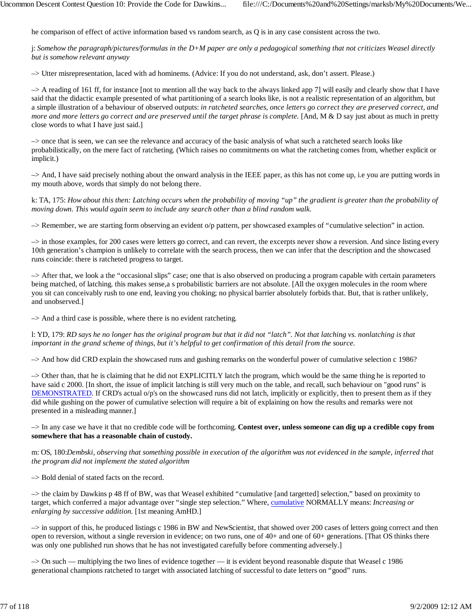he comparison of effect of active information based vs random search, as Q is in any case consistent across the two.

j: *Somehow the paragraph/pictures/formulas in the D+M paper are only a pedagogical something that not criticizes Weasel directly but is somehow relevant anyway*

–> Utter misrepresentation, laced with ad hominems. (Advice: If you do not understand, ask, don't assert. Please.)

–> A reading of 161 ff, for instance [not to mention all the way back to the always linked app 7] will easily and clearly show that I have said that the didactic example presented of what partitioning of a search looks like, is not a realistic representation of an algorithm, but a simple illustration of a behaviour of observed outputs: *in ratcheted searches, once letters go correct they are preserved correct, and more and more letters go correct and are preserved until the target phrase is complete.* [And, M & D say just about as much in pretty close words to what I have just said.]

–> once that is seen, we can see the relevance and accuracy of the basic analysis of what such a ratcheted search looks like probabilistically, on the mere fact of ratcheting. (Which raises no commitments on what the ratcheting comes from, whether explicit or implicit.)

–> And, I have said precisely nothing about the onward analysis in the IEEE paper, as this has not come up, i.e you are putting words in my mouth above, words that simply do not belong there.

k: TA, 175: *How about this then: Latching occurs when the probability of moving "up" the gradient is greater than the probability of moving down. This would again seem to include any search other than a blind random walk.*

–> Remember, we are starting form observing an evident o/p pattern, per showcased examples of "cumulative selection" in action.

–> in those examples, for 200 cases were letters go correct, and can revert, the excerpts never show a reversion. And since listing every 10th generation's champion is unlikely to correlate with the search process, then we can infer that the description and the showcased runs coincide: there is ratcheted progress to target.

–> After that, we look a the "occasional slips" case; one that is also observed on producing a program capable with certain parameters being matched, of latching. this makes sense,a s probabilistic barriers are not absolute. [All the oxygen molecules in the room where you sit can conceivably rush to one end, leaving you choking; no physical barrier absolutely forbids that. But, that is rather unlikely, and unobserved.]

–> And a third case is possible, where there is no evident ratcheting.

l: YD, 179: *RD says he no longer has the original program but that it did not "latch". Not that latching vs. nonlatching is that important in the grand scheme of things, but it's helpful to get confirmation of this detail from the source.*

–> And how did CRD explain the showcased runs and gushing remarks on the wonderful power of cumulative selection c 1986?

–> Other than, that he is claiming that he did not EXPLICITLY latch the program, which would be the same thing he is reported to have said c 2000. [In short, the issue of implicit latching is still very much on the table, and recall, such behaviour on "good runs" is DEMONSTRATED. If CRD's actual o/p's on the showcased runs did not latch, implicitly or explicitly, then to present them as if they did while gushing on the power of cumulative selection will require a bit of explaining on how the results and remarks were not presented in a misleading manner.]

–> In any case we have it that no credible code will be forthcoming. **Contest over, unless someone can dig up a credible copy from somewhere that has a reasonable chain of custody.**

m: OS, 180:*Dembski, observing that something possible in execution of the algorithm was not evidenced in the sample, inferred that the program did not implement the stated algorithm*

–> Bold denial of stated facts on the record.

–> the claim by Dawkins p 48 ff of BW, was that Weasel exhibited "cumulative [and targetted] selection," based on proximity to target, which conferred a major advantage over "single step selection." Where, cumulative NORMALLY means: *Increasing or enlarging by successive addition.* [1st meaning AmHD.]

–> in support of this, he produced listings c 1986 in BW and NewScientist, that showed over 200 cases of letters going correct and then open to reversion, without a single reversion in evidence; on two runs, one of 40+ and one of 60+ generations. [That OS thinks there was only one published run shows that he has not investigated carefully before commenting adversely.]

–> On such — multiplying the two lines of evidence together — it is evident beyond reasonable dispute that Weasel c 1986 generational champions ratcheted to target with associated latching of successful to date letters on "good" runs.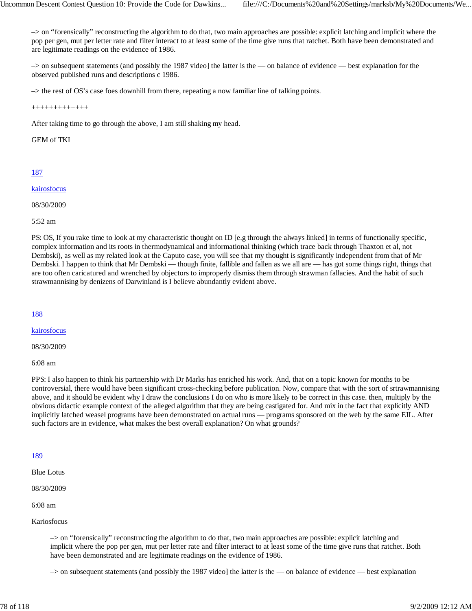–> on "forensically" reconstructing the algorithm to do that, two main approaches are possible: explicit latching and implicit where the pop per gen, mut per letter rate and filter interact to at least some of the time give runs that ratchet. Both have been demonstrated and are legitimate readings on the evidence of 1986.

–> on subsequent statements (and possibly the 1987 video] the latter is the — on balance of evidence — best explanation for the observed published runs and descriptions c 1986.

–> the rest of OS's case foes downhill from there, repeating a now familiar line of talking points.

+++++++++++++

After taking time to go through the above, I am still shaking my head.

# GEM of TKI

# 187

# kairosfocus

08/30/2009

5:52 am

PS: OS, If you rake time to look at my characteristic thought on ID [e.g through the always linked] in terms of functionally specific, complex information and its roots in thermodynamical and informational thinking (which trace back through Thaxton et al, not Dembski), as well as my related look at the Caputo case, you will see that my thought is significantly independent from that of Mr Dembski. I happen to think that Mr Dembski — though finite, fallible and fallen as we all are — has got some things right, things that are too often caricatured and wrenched by objectors to improperly dismiss them through strawman fallacies. And the habit of such strawmannising by denizens of Darwinland is I believe abundantly evident above.

# 188

kairosfocus

08/30/2009

6:08 am

PPS: I also happen to think his partnership with Dr Marks has enriched his work. And, that on a topic known for months to be controversial, there would have been significant cross-checking before publication. Now, compare that with the sort of srtrawmannising above, and it should be evident why I draw the conclusions I do on who is more likely to be correct in this case. then, multiply by the obvious didactic example context of the alleged algorithm that they are being castigated for. And mix in the fact that explicitly AND implicitly latched weasel programs have been demonstrated on actual runs — programs sponsored on the web by the same EIL. After such factors are in evidence, what makes the best overall explanation? On what grounds?

# 189

Blue Lotus

08/30/2009

6:08 am

Kariosfocus

–> on "forensically" reconstructing the algorithm to do that, two main approaches are possible: explicit latching and implicit where the pop per gen, mut per letter rate and filter interact to at least some of the time give runs that ratchet. Both have been demonstrated and are legitimate readings on the evidence of 1986.

 $\rightarrow$  on subsequent statements (and possibly the 1987 video] the latter is the — on balance of evidence — best explanation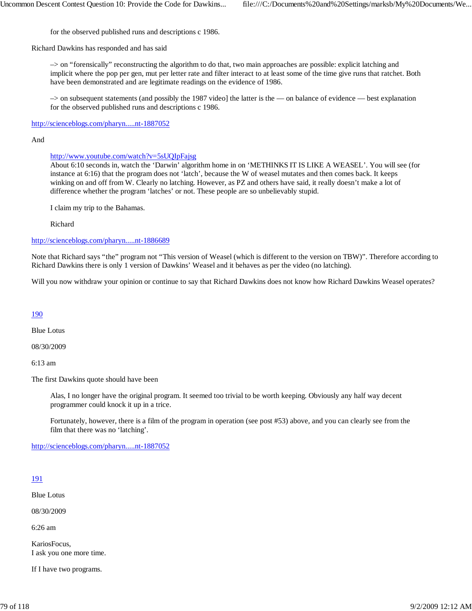for the observed published runs and descriptions c 1986.

Richard Dawkins has responded and has said

–> on "forensically" reconstructing the algorithm to do that, two main approaches are possible: explicit latching and implicit where the pop per gen, mut per letter rate and filter interact to at least some of the time give runs that ratchet. Both have been demonstrated and are legitimate readings on the evidence of 1986.

–> on subsequent statements (and possibly the 1987 video] the latter is the — on balance of evidence — best explanation for the observed published runs and descriptions c 1986.

http://scienceblogs.com/pharyn.....nt-1887052

#### And

# http://www.youtube.com/watch?v=5sUQIpFajsg

About 6:10 seconds in, watch the 'Darwin' algorithm home in on 'METHINKS IT IS LIKE A WEASEL'. You will see (for instance at 6:16) that the program does not 'latch', because the W of weasel mutates and then comes back. It keeps winking on and off from W. Clearly no latching. However, as PZ and others have said, it really doesn't make a lot of difference whether the program 'latches' or not. These people are so unbelievably stupid.

I claim my trip to the Bahamas.

Richard

http://scienceblogs.com/pharyn.....nt-1886689

Note that Richard says "the" program not "This version of Weasel (which is different to the version on TBW)". Therefore according to Richard Dawkins there is only 1 version of Dawkins' Weasel and it behaves as per the video (no latching).

Will you now withdraw your opinion or continue to say that Richard Dawkins does not know how Richard Dawkins Weasel operates?

# 190

Blue Lotus

08/30/2009

6:13 am

The first Dawkins quote should have been

Alas, I no longer have the original program. It seemed too trivial to be worth keeping. Obviously any half way decent programmer could knock it up in a trice.

Fortunately, however, there is a film of the program in operation (see post #53) above, and you can clearly see from the film that there was no 'latching'.

http://scienceblogs.com/pharyn.....nt-1887052

# 191

Blue Lotus

08/30/2009

6:26 am

KariosFocus, I ask you one more time.

If I have two programs.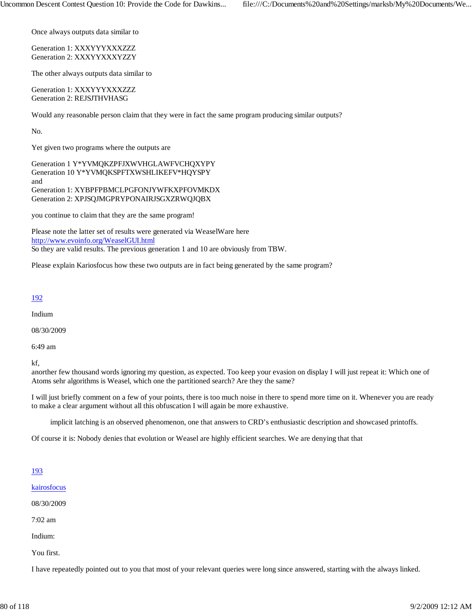Once always outputs data similar to

Generation 1: XXXYYYXXXZZZ Generation 2: XXXYYXXXYZZY

The other always outputs data similar to

Generation 1: XXXYYYXXXZZZ Generation 2: REJSJTHVHASG

Would any reasonable person claim that they were in fact the same program producing similar outputs?

No.

Yet given two programs where the outputs are

Generation 1 Y\*YVMQKZPFJXWVHGLAWFVCHQXYPY Generation 10 Y\*YVMQKSPFTXWSHLIKEFV\*HQYSPY and Generation 1: XYBPFPBMCLPGFONJYWFKXPFOVMKDX Generation 2: XPJSQJMGPRYPONAIRJSGXZRWQJQBX

you continue to claim that they are the same program!

Please note the latter set of results were generated via WeaselWare here http://www.evoinfo.org/WeaselGUI.html So they are valid results. The previous generation 1 and 10 are obviously from TBW.

Please explain Kariosfocus how these two outputs are in fact being generated by the same program?

#### 192

Indium

08/30/2009

6:49 am

kf,

anorther few thousand words ignoring my question, as expected. Too keep your evasion on display I will just repeat it: Which one of Atoms sehr algorithms is Weasel, which one the partitioned search? Are they the same?

I will just briefly comment on a few of your points, there is too much noise in there to spend more time on it. Whenever you are ready to make a clear argument without all this obfuscation I will again be more exhaustive.

implicit latching is an observed phenomenon, one that answers to CRD's enthusiastic description and showcased printoffs.

Of course it is: Nobody denies that evolution or Weasel are highly efficient searches. We are denying that that

# 193

kairosfocus

08/30/2009

7:02 am

Indium:

You first.

I have repeatedly pointed out to you that most of your relevant queries were long since answered, starting with the always linked.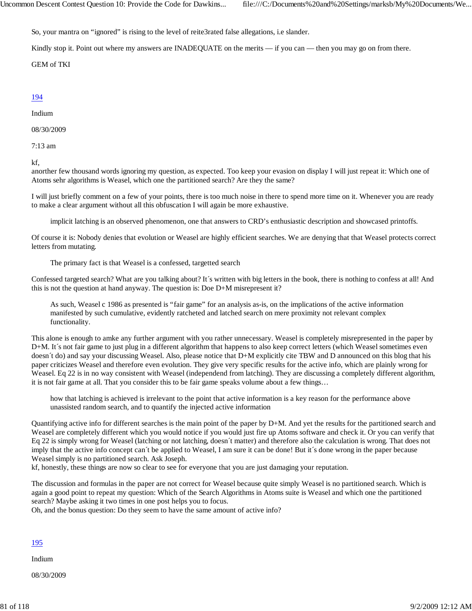So, your mantra on "ignored" is rising to the level of reite3rated false allegations, i.e slander.

Kindly stop it. Point out where my answers are INADEQUATE on the merits — if you can — then you may go on from there.

GEM of TKI

# 194

Indium

08/30/2009

7:13 am

kf,

anorther few thousand words ignoring my question, as expected. Too keep your evasion on display I will just repeat it: Which one of Atoms sehr algorithms is Weasel, which one the partitioned search? Are they the same?

I will just briefly comment on a few of your points, there is too much noise in there to spend more time on it. Whenever you are ready to make a clear argument without all this obfuscation I will again be more exhaustive.

implicit latching is an observed phenomenon, one that answers to CRD's enthusiastic description and showcased printoffs.

Of course it is: Nobody denies that evolution or Weasel are highly efficient searches. We are denying that that Weasel protects correct letters from mutating.

The primary fact is that Weasel is a confessed, targetted search

Confessed targeted search? What are you talking about? It´s written with big letters in the book, there is nothing to confess at all! And this is not the question at hand anyway. The question is: Doe D+M misrepresent it?

As such, Weasel c 1986 as presented is "fair game" for an analysis as-is, on the implications of the active information manifested by such cumulative, evidently ratcheted and latched search on mere proximity not relevant complex functionality.

This alone is enough to amke any further argument with you rather unnecessary. Weasel is completely misrepresented in the paper by D+M. It's not fair game to just plug in a different algorithm that happens to also keep correct letters (which Weasel sometimes even doesn't do) and say your discussing Weasel. Also, please notice that D+M explicitly cite TBW and D announced on this blog that his paper criticizes Weasel and therefore even evolution. They give very specific results for the active info, which are plainly wrong for Weasel. Eq 22 is in no way consistent with Weasel (independend from latching). They are discussing a completely different algorithm, it is not fair game at all. That you consider this to be fair game speaks volume about a few things…

how that latching is achieved is irrelevant to the point that active information is a key reason for the performance above unassisted random search, and to quantify the injected active information

Quantifying active info for different searches is the main point of the paper by D+M. And yet the results for the partitioned search and Weasel are completely different which you would notice if you would just fire up Atoms software and check it. Or you can verify that Eq 22 is simply wrong for Weasel (latching or not latching, doesn´t matter) and therefore also the calculation is wrong. That does not imply that the active info concept can´t be applied to Weasel, I am sure it can be done! But it´s done wrong in the paper because Weasel simply is no partitioned search. Ask Joseph.

kf, honestly, these things are now so clear to see for everyone that you are just damaging your reputation.

The discussion and formulas in the paper are not correct for Weasel because quite simply Weasel is no partitioned search. Which is again a good point to repeat my question: Which of the Search Algorithms in Atoms suite is Weasel and which one the partitioned search? Maybe asking it two times in one post helps you to focus.

Oh, and the bonus question: Do they seem to have the same amount of active info?

# 195

Indium

08/30/2009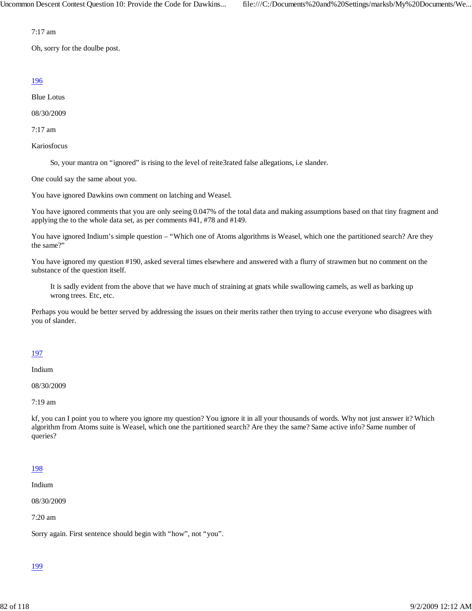7:17 am

Oh, sorry for the doulbe post.

# 196

Blue Lotus

08/30/2009

7:17 am

Kariosfocus

So, your mantra on "ignored" is rising to the level of reite3rated false allegations, i.e slander.

One could say the same about you.

You have ignored Dawkins own comment on latching and Weasel.

You have ignored comments that you are only seeing 0.047% of the total data and making assumptions based on that tiny fragment and applying the to the whole data set, as per comments #41, #78 and #149.

You have ignored Indium's simple question – "Which one of Atoms algorithms is Weasel, which one the partitioned search? Are they the same?"

You have ignored my question #190, asked several times elsewhere and answered with a flurry of strawmen but no comment on the substance of the question itself.

It is sadly evident from the above that we have much of straining at gnats while swallowing camels, as well as barking up wrong trees. Etc, etc.

Perhaps you would be better served by addressing the issues on their merits rather then trying to accuse everyone who disagrees with you of slander.

# 197

Indium

08/30/2009

7:19 am

kf, you can I point you to where you ignore my question? You ignore it in all your thousands of words. Why not just answer it? Which algorithm from Atoms suite is Weasel, which one the partitioned search? Are they the same? Same active info? Same number of queries?

# 198

Indium

08/30/2009

7:20 am

Sorry again. First sentence should begin with "how", not "you".

# 199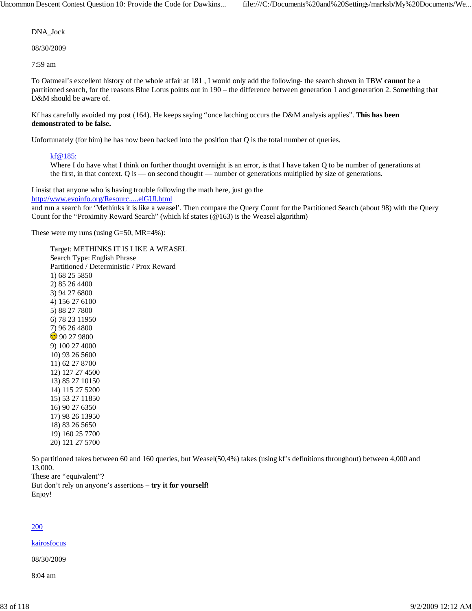DNA\_Jock

08/30/2009

7:59 am

To Oatmeal's excellent history of the whole affair at 181 , I would only add the following- the search shown in TBW **cannot** be a partitioned search, for the reasons Blue Lotus points out in 190 – the difference between generation 1 and generation 2. Something that D&M should be aware of.

Kf has carefully avoided my post (164). He keeps saying "once latching occurs the D&M analysis applies". **This has been demonstrated to be false.**

Unfortunately (for him) he has now been backed into the position that Q is the total number of queries.

# kf@185:

Where I do have what I think on further thought overnight is an error, is that I have taken Q to be number of generations at the first, in that context. Q is — on second thought — number of generations multiplied by size of generations.

I insist that anyone who is having trouble following the math here, just go the http://www.evoinfo.org/Resourc.....elGUI.html

and run a search for 'Methinks it is like a weasel'. Then compare the Query Count for the Partitioned Search (about 98) with the Query Count for the "Proximity Reward Search" (which kf states  $(\mathcal{Q}163)$  is the Weasel algorithm)

These were my runs (using G=50, MR=4%):

So partitioned takes between 60 and 160 queries, but Weasel(50,4%) takes (using kf's definitions throughout) between 4,000 and 13,000.

These are "equivalent"?

But don't rely on anyone's assertions – **try it for yourself!** Enjoy!

# 200

# kairosfocus

08/30/2009

8:04 am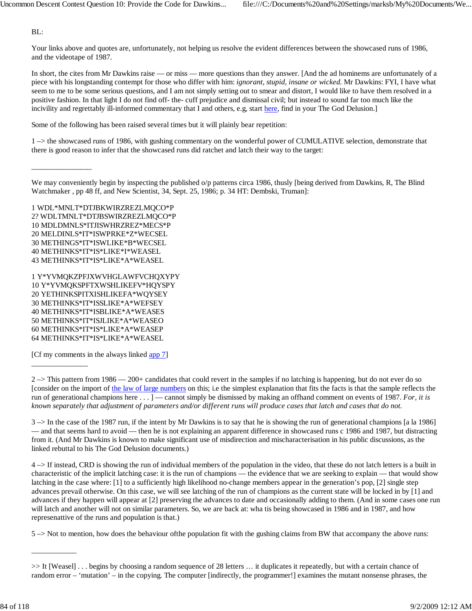BL:

\_\_\_\_\_\_\_\_\_\_\_\_\_\_\_\_

\_\_\_\_\_\_\_\_\_\_\_\_\_\_\_

\_\_\_\_\_\_\_\_\_\_\_\_

Your links above and quotes are, unfortunately, not helping us resolve the evident differences between the showcased runs of 1986, and the videotape of 1987.

In short, the cites from Mr Dawkins raise — or miss — more questions than they answer. [And the ad hominems are unfortunately of a piece with his longstanding contempt for those who differ with him: *ignorant, stupid, insane or wicked.* Mr Dawkins: FYI, I have what seem to me to be some serious questions, and I am not simply setting out to smear and distort, I would like to have them resolved in a positive fashion. In that light I do not find off- the- cuff prejudice and dismissal civil; but instead to sound far too much like the incivility and regrettably ill-informed commentary that I and others, e.g, start here, find in your The God Delusion.]

Some of the following has been raised several times but it will plainly bear repetition:

1 –> the showcased runs of 1986, with gushing commentary on the wonderful power of CUMULATIVE selection, demonstrate that there is good reason to infer that the showcased runs did ratchet and latch their way to the target:

1 WDL\*MNLT\*DTJBKWIRZREZLMQCO\*P 2? WDLTMNLT\*DTJBSWIRZREZLMQCO\*P 10 MDLDMNLS\*ITJISWHRZREZ\*MECS\*P 20 MELDINLS\*IT\*ISWPRKE\*Z\*WECSEL 30 METHINGS\*IT\*ISWLIKE\*B\*WECSEL 40 METHINKS\*IT\*IS\*LIKE\*I\*WEASEL 43 METHINKS\*IT\*IS\*LIKE\*A\*WEASEL

1 Y\*YVMQKZPFJXWVHGLAWFVCHQXYPY 10 Y\*YVMQKSPFTXWSHLIKEFV\*HQYSPY 20 YETHINKSPITXISHLIKEFA\*WQYSEY 30 METHINKS\*IT\*ISSLIKE\*A\*WEFSEY 40 METHINKS\*IT\*ISBLIKE\*A\*WEASES 50 METHINKS\*IT\*ISJLIKE\*A\*WEASEO 60 METHINKS\*IT\*IS\*LIKE\*A\*WEASEP 64 METHINKS\*IT\*IS\*LIKE\*A\*WEASEL

[Cf my comments in the always linked app 7]

3 –> In the case of the 1987 run, if the intent by Mr Dawkins is to say that he is showing the run of generational champions [a la 1986] — and that seems hard to avoid — then he is not explaining an apparent difference in showcased runs c 1986 and 1987, but distracting from it. (And Mr Dawkins is known to make significant use of misdirection and mischaracterisation in his public discussions, as the linked rebuttal to his The God Delusion documents.)

4 –> If instead, CRD is showing the run of individual members of the population in the video, that these do not latch letters is a built in characteristic of the implicit latching case: it is the run of champions — the evidence that we are seeking to explain — that would show latching in the case where: [1] to a sufficiently high likelihood no-change members appear in the generation's pop, [2] single step advances prevail otherwise. On this case, we will see latching of the run of champions as the current state will be locked in by [1] and advances if they happen will appear at [2] preserving the advances to date and occasionally adding to them. (And in some cases one run will latch and another will not on similar parameters. So, we are back at: wha tis being showcased in 1986 and in 1987, and how represenattive of the runs and population is that.)

5 –> Not to mention, how does the behaviour ofthe population fit with the gushing claims from BW that accompany the above runs:

We may conveniently begin by inspecting the published o/p patterns circa 1986, thusly [being derived from Dawkins, R, The Blind Watchmaker , pp 48 ff, and New Scientist, 34, Sept. 25, 1986; p. 34 HT: Dembski, Truman]:

 $2 \rightarrow$  This pattern from 1986 — 200+ candidates that could revert in the samples if no latching is happening, but do not ever do so [consider on the import of the law of large numbers on this; i.e the simplest explanation that fits the facts is that the sample reflects the run of generational champions here . . . ] — cannot simply be dismissed by making an offhand comment on events of 1987. *For, it is known separately that adjustment of parameters and/or different runs will produce cases that latch and cases that do not.*

<sup>&</sup>gt;> It [Weasel] . . . begins by choosing a random sequence of 28 letters … it duplicates it repeatedly, but with a certain chance of random error – 'mutation' – in the copying. The computer [indirectly, the programmer!] examines the mutant nonsense phrases, the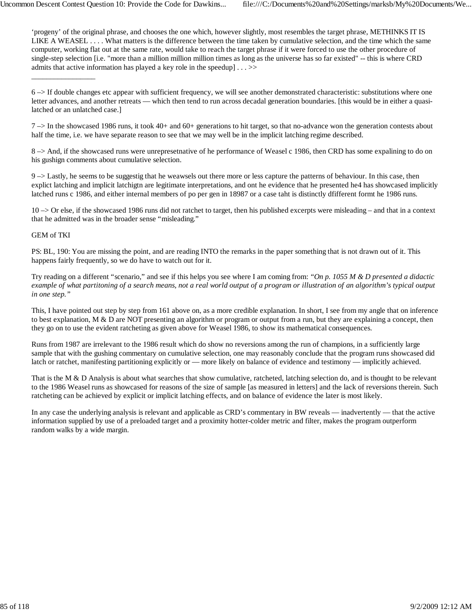'progeny' of the original phrase, and chooses the one which, however slightly, most resembles the target phrase, METHINKS IT IS LIKE A WEASEL . . . . What matters is the difference between the time taken by cumulative selection, and the time which the same computer, working flat out at the same rate, would take to reach the target phrase if it were forced to use the other procedure of single-step selection [i.e. "more than a million million million times as long as the universe has so far existed" -- this is where CRD admits that active information has played a key role in the speedup  $|\ldots \rangle$ 

6 –> If double changes etc appear with sufficient frequency, we will see another demonstrated characteristic: substitutions where one letter advances, and another retreats — which then tend to run across decadal generation boundaries. [this would be in either a quasilatched or an unlatched case.]

 $7 \rightarrow$  In the showcased 1986 runs, it took 40+ and 60+ generations to hit target, so that no-advance won the generation contests about half the time, i.e. we have separate reason to see that we may well be in the implicit latching regime described.

8 –> And, if the showcased runs were unrepresetnative of he performance of Weasel c 1986, then CRD has some expalining to do on his gushign comments about cumulative selection.

9 –> Lastly, he seems to be suggestig that he weawsels out there more or less capture the patterns of behaviour. In this case, then explict latching and implicit latchigtn are legitimate interpretations, and ont he evidence that he presented he4 has showcased implicitly latched runs c 1986, and either internal members of po per gen in 18987 or a case taht is distinctly dfifferent formt he 1986 runs.

10 –> Or else, if the showcased 1986 runs did not ratchet to target, then his published excerpts were misleading – and that in a context that he admitted was in the broader sense "misleading."

# GEM of TKI

\_\_\_\_\_\_\_\_\_\_\_\_\_\_\_\_\_

PS: BL, 190: You are missing the point, and are reading INTO the remarks in the paper something that is not drawn out of it. This happens fairly frequently, so we do have to watch out for it.

Try reading on a different "scenario," and see if this helps you see where I am coming from: *"On p. 1055 M & D presented a didactic example of what partitoning of a search means, not a real world output of a program or illustration of an algorithm's typical output in one step."*

This, I have pointed out step by step from 161 above on, as a more credible explanation. In short, I see from my angle that on inference to best explanation,  $M \& D$  are NOT presenting an algorithm or program or output from a run, but they are explaining a concept, then they go on to use the evident ratcheting as given above for Weasel 1986, to show its mathematical consequences.

Runs from 1987 are irrelevant to the 1986 result which do show no reversions among the run of champions, in a sufficiently large sample that with the gushing commentary on cumulative selection, one may reasonably conclude that the program runs showcased did latch or ratchet, manifesting partitioning explicitly or — more likely on balance of evidence and testimony — implicitly achieved.

That is the M & D Analysis is about what searches that show cumulative, ratcheted, latching selection do, and is thought to be relevant to the 1986 Weasel runs as showcased for reasons of the size of sample [as measured in letters] and the lack of reversions therein. Such ratcheting can be achieved by explicit or implicit latching effects, and on balance of evidence the later is most likely.

In any case the underlying analysis is relevant and applicable as CRD's commentary in BW reveals — inadvertently — that the active information supplied by use of a preloaded target and a proximity hotter-colder metric and filter, makes the program outperform random walks by a wide margin.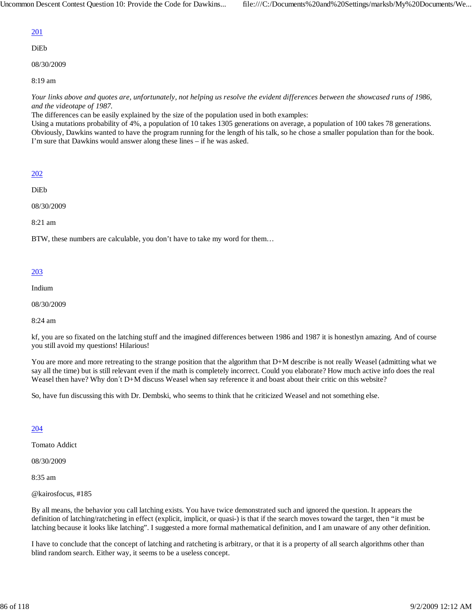# 201

DiEb

08/30/2009

8:19 am

*Your links above and quotes are, unfortunately, not helping us resolve the evident differences between the showcased runs of 1986, and the videotape of 1987.*

The differences can be easily explained by the size of the population used in both examples:

Using a mutations probability of 4%, a population of 10 takes 1305 generations on average, a population of 100 takes 78 generations. Obviously, Dawkins wanted to have the program running for the length of his talk, so he chose a smaller population than for the book. I'm sure that Dawkins would answer along these lines – if he was asked.

# 202

DiEb

08/30/2009

8:21 am

BTW, these numbers are calculable, you don't have to take my word for them…

# 203

Indium

08/30/2009

8:24 am

kf, you are so fixated on the latching stuff and the imagined differences between 1986 and 1987 it is honestlyn amazing. And of course you still avoid my questions! Hilarious!

You are more and more retreating to the strange position that the algorithm that D+M describe is not really Weasel (admitting what we say all the time) but is still relevant even if the math is completely incorrect. Could you elaborate? How much active info does the real Weasel then have? Why don´t D+M discuss Weasel when say reference it and boast about their critic on this website?

So, have fun discussing this with Dr. Dembski, who seems to think that he criticized Weasel and not something else.

# 204

Tomato Addict

08/30/2009

8:35 am

@kairosfocus, #185

By all means, the behavior you call latching exists. You have twice demonstrated such and ignored the question. It appears the definition of latching/ratcheting in effect (explicit, implicit, or quasi-) is that if the search moves toward the target, then "it must be latching because it looks like latching". I suggested a more formal mathematical definition, and I am unaware of any other definition.

I have to conclude that the concept of latching and ratcheting is arbitrary, or that it is a property of all search algorithms other than blind random search. Either way, it seems to be a useless concept.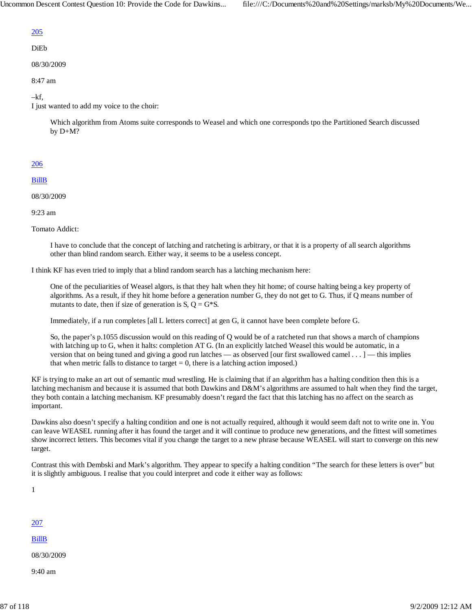# 205

# DiEb

08/30/2009

8:47 am

# –kf,

I just wanted to add my voice to the choir:

Which algorithm from Atoms suite corresponds to Weasel and which one corresponds tpo the Partitioned Search discussed by D+M?

# 206

#### BillB

08/30/2009

9:23 am

Tomato Addict:

I have to conclude that the concept of latching and ratcheting is arbitrary, or that it is a property of all search algorithms other than blind random search. Either way, it seems to be a useless concept.

I think KF has even tried to imply that a blind random search has a latching mechanism here:

One of the peculiarities of Weasel algors, is that they halt when they hit home; of course halting being a key property of algorithms. As a result, if they hit home before a generation number G, they do not get to G. Thus, if Q means number of mutants to date, then if size of generation is  $S$ ,  $Q = G*S$ .

Immediately, if a run completes [all L letters correct] at gen G, it cannot have been complete before G.

So, the paper's p.1055 discussion would on this reading of Q would be of a ratcheted run that shows a march of champions with latching up to G, when it halts: completion AT G. (In an explicitly latched Weasel this would be automatic, in a version that on being tuned and giving a good run latches — as observed [our first swallowed camel . . . ] — this implies that when metric falls to distance to target  $= 0$ , there is a latching action imposed.)

KF is trying to make an art out of semantic mud wrestling. He is claiming that if an algorithm has a halting condition then this is a latching mechanism and because it is assumed that both Dawkins and D&M's algorithms are assumed to halt when they find the target, they both contain a latching mechanism. KF presumably doesn't regard the fact that this latching has no affect on the search as important.

Dawkins also doesn't specify a halting condition and one is not actually required, although it would seem daft not to write one in. You can leave WEASEL running after it has found the target and it will continue to produce new generations, and the fittest will sometimes show incorrect letters. This becomes vital if you change the target to a new phrase because WEASEL will start to converge on this new target.

Contrast this with Dembski and Mark's algorithm. They appear to specify a halting condition "The search for these letters is over" but it is slightly ambiguous. I realise that you could interpret and code it either way as follows:

1

# 207

BillB

08/30/2009

9:40 am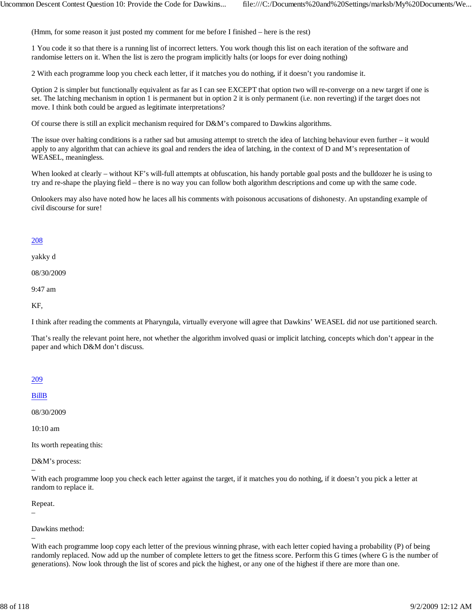(Hmm, for some reason it just posted my comment for me before I finished – here is the rest)

1 You code it so that there is a running list of incorrect letters. You work though this list on each iteration of the software and randomise letters on it. When the list is zero the program implicitly halts (or loops for ever doing nothing)

2 With each programme loop you check each letter, if it matches you do nothing, if it doesn't you randomise it.

Option 2 is simpler but functionally equivalent as far as I can see EXCEPT that option two will re-converge on a new target if one is set. The latching mechanism in option 1 is permanent but in option 2 it is only permanent (i.e. non reverting) if the target does not move. I think both could be argued as legitimate interpretations?

Of course there is still an explicit mechanism required for D&M's compared to Dawkins algorithms.

The issue over halting conditions is a rather sad but amusing attempt to stretch the idea of latching behaviour even further  $-$  it would apply to any algorithm that can achieve its goal and renders the idea of latching, in the context of D and M's representation of WEASEL, meaningless.

When looked at clearly – without KF's will-full attempts at obfuscation, his handy portable goal posts and the bulldozer he is using to try and re-shape the playing field – there is no way you can follow both algorithm descriptions and come up with the same code.

Onlookers may also have noted how he laces all his comments with poisonous accusations of dishonesty. An upstanding example of civil discourse for sure!

# 208

yakky d

08/30/2009

9:47 am

KF,

I think after reading the comments at Pharyngula, virtually everyone will agree that Dawkins' WEASEL did *not* use partitioned search.

That's really the relevant point here, not whether the algorithm involved quasi or implicit latching, concepts which don't appear in the paper and which D&M don't discuss.

#### 209

BillB

08/30/2009

10:10 am

Its worth repeating this:

D&M's process:

With each programme loop you check each letter against the target, if it matches you do nothing, if it doesn't you pick a letter at random to replace it.

Repeat.

–

–

–

Dawkins method:

With each programme loop copy each letter of the previous winning phrase, with each letter copied having a probability (P) of being randomly replaced. Now add up the number of complete letters to get the fitness score. Perform this G times (where G is the number of generations). Now look through the list of scores and pick the highest, or any one of the highest if there are more than one.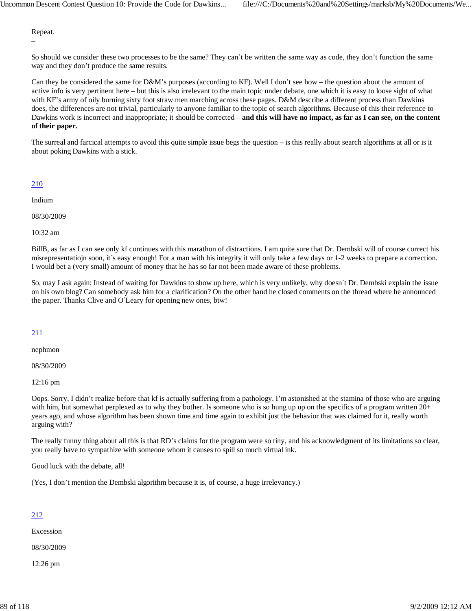Repeat.

–

So should we consider these two processes to be the same? They can't be written the same way as code, they don't function the same way and they don't produce the same results.

Can they be considered the same for D&M's purposes (according to KF). Well I don't see how – the question about the amount of active info is very pertinent here – but this is also irrelevant to the main topic under debate, one which it is easy to loose sight of what with KF's army of oily burning sixty foot straw men marching across these pages. D&M describe a different process than Dawkins does, the differences are not trivial, particularly to anyone familiar to the topic of search algorithms. Because of this their reference to Dawkins work is incorrect and inappropriate; it should be corrected – **and this will have no impact, as far as I can see, on the content of their paper.**

The surreal and farcical attempts to avoid this quite simple issue begs the question – is this really about search algorithms at all or is it about poking Dawkins with a stick.

#### 210

Indium

08/30/2009

10:32 am

BillB, as far as I can see only kf continues with this marathon of distractions. I am quite sure that Dr. Dembski will of course correct his misrepresentatiojn soon, it's easy enough! For a man with his integrity it will only take a few days or 1-2 weeks to prepare a correction. I would bet a (very small) amount of money that he has so far not been made aware of these problems.

So, may I ask again: Instead of waiting for Dawkins to show up here, which is very unlikely, why doesn´t Dr. Dembski explain the issue on his own blog? Can somebody ask him for a clarification? On the other hand he closed comments on the thread where he announced the paper. Thanks Clive and O´Leary for opening new ones, btw!

# 211

nephmon

08/30/2009

12:16 pm

Oops. Sorry, I didn't realize before that kf is actually suffering from a pathology. I'm astonished at the stamina of those who are arguing with him, but somewhat perplexed as to why they bother. Is someone who is so hung up up on the specifics of a program written  $20+$ years ago, and whose algorithm has been shown time and time again to exhibit just the behavior that was claimed for it, really worth arguing with?

The really funny thing about all this is that RD's claims for the program were so tiny, and his acknowledgment of its limitations so clear, you really have to sympathize with someone whom it causes to spill so much virtual ink.

Good luck with the debate, all!

(Yes, I don't mention the Dembski algorithm because it is, of course, a huge irrelevancy.)

# 212

Excession

08/30/2009

12:26 pm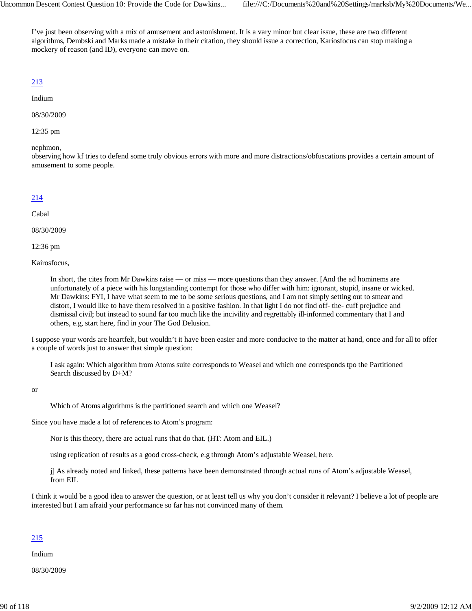I've just been observing with a mix of amusement and astonishment. It is a vary minor but clear issue, these are two different algorithms, Dembski and Marks made a mistake in their citation, they should issue a correction, Kariosfocus can stop making a mockery of reason (and ID), everyone can move on.

# 213

#### Indium

08/30/2009

12:35 pm

nephmon,

observing how kf tries to defend some truly obvious errors with more and more distractions/obfuscations provides a certain amount of amusement to some people.

# 214

# Cabal

08/30/2009

12:36 pm

Kairosfocus,

In short, the cites from Mr Dawkins raise — or miss — more questions than they answer. [And the ad hominems are unfortunately of a piece with his longstanding contempt for those who differ with him: ignorant, stupid, insane or wicked. Mr Dawkins: FYI, I have what seem to me to be some serious questions, and I am not simply setting out to smear and distort, I would like to have them resolved in a positive fashion. In that light I do not find off- the- cuff prejudice and dismissal civil; but instead to sound far too much like the incivility and regrettably ill-informed commentary that I and others, e.g, start here, find in your The God Delusion.

I suppose your words are heartfelt, but wouldn't it have been easier and more conducive to the matter at hand, once and for all to offer a couple of words just to answer that simple question:

I ask again: Which algorithm from Atoms suite corresponds to Weasel and which one corresponds tpo the Partitioned Search discussed by D+M?

or

Which of Atoms algorithms is the partitioned search and which one Weasel?

Since you have made a lot of references to Atom's program:

Nor is this theory, there are actual runs that do that. (HT: Atom and EIL.)

using replication of results as a good cross-check, e.g through Atom's adjustable Weasel, here.

j] As already noted and linked, these patterns have been demonstrated through actual runs of Atom's adjustable Weasel, from EIL

I think it would be a good idea to answer the question, or at least tell us why you don't consider it relevant? I believe a lot of people are interested but I am afraid your performance so far has not convinced many of them.

# 215

Indium

08/30/2009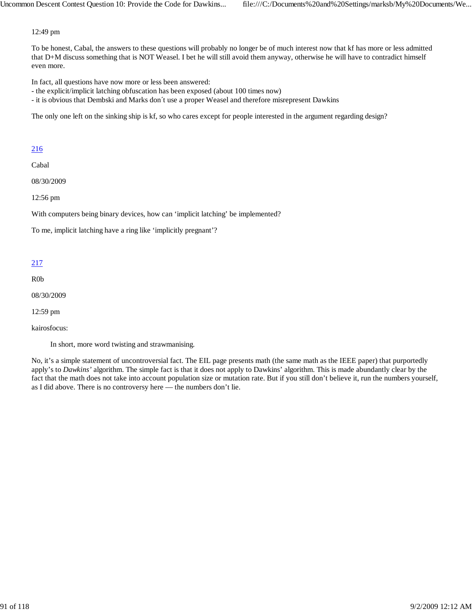12:49 pm

To be honest, Cabal, the answers to these questions will probably no longer be of much interest now that kf has more or less admitted that D+M discuss something that is NOT Weasel. I bet he will still avoid them anyway, otherwise he will have to contradict himself even more.

In fact, all questions have now more or less been answered:

- the explicit/implicit latching obfuscation has been exposed (about 100 times now)
- it is obvious that Dembski and Marks don´t use a proper Weasel and therefore misrepresent Dawkins

The only one left on the sinking ship is kf, so who cares except for people interested in the argument regarding design?

# 216

Cabal

08/30/2009

12:56 pm

With computers being binary devices, how can 'implicit latching' be implemented?

To me, implicit latching have a ring like 'implicitly pregnant'?

# 217

R0b

08/30/2009

12:59 pm

kairosfocus:

In short, more word twisting and strawmanising.

No, it's a simple statement of uncontroversial fact. The EIL page presents math (the same math as the IEEE paper) that purportedly apply's to *Dawkins'* algorithm. The simple fact is that it does not apply to Dawkins' algorithm. This is made abundantly clear by the fact that the math does not take into account population size or mutation rate. But if you still don't believe it, run the numbers yourself, as I did above. There is no controversy here — the numbers don't lie.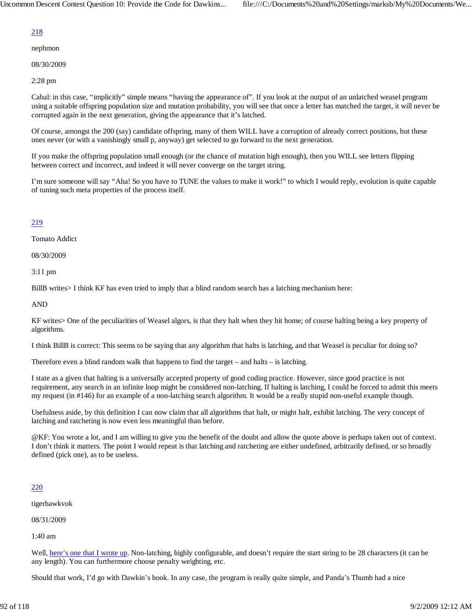# 218

nephmon

08/30/2009

2:28 pm

Cabal: in this case, "implicitly" simple means "having the appearance of". If you look at the output of an unlatched weasel program using a suitable offspring population size and mutation probability, you will see that once a letter has matched the target, it will never be corrupted again in the next generation, giving the appearance that it's latched.

Of course, amongst the 200 (say) candidate offspring, many of them WILL have a corruption of already correct positions, but these ones never (or with a vanishingly small p, anyway) get selected to go forward to the next generation.

If you make the offspring population small enough (or the chance of mutation high enough), then you WILL see letters flipping between correct and incorrect, and indeed it will never converge on the target string.

I'm sure someone will say "Aha! So you have to TUNE the values to make it work!" to which I would reply, evolution is quite capable of tuning such meta properties of the process itself.

# 219

Tomato Addict

08/30/2009

3:11 pm

BillB writes> I think KF has even tried to imply that a blind random search has a latching mechanism here:

AND

KF writes> One of the peculiarities of Weasel algors, is that they halt when they hit home; of course halting being a key property of algorithms.

I think BillB is correct: This seems to be saying that any algorithm that halts is latching, and that Weasel is peculiar for doing so?

Therefore even a blind random walk that happens to find the target – and halts – is latching.

I state as a given that halting is a universally accepted property of good coding practice. However, since good practice is not requirement, any search in an infinite loop might be considered non-latching. If halting is latching, I could be forced to admit this meets my request (in #146) for an example of a non-latching search algorithm. It would be a really stupid non-useful example though.

Usefulness aside, by this definition I can now claim that all algorithms that halt, or might halt, exhibit latching. The very concept of latching and ratcheting is now even less meaningful than before.

@KF: You wrote a lot, and I am willing to give you the benefit of the doubt and allow the quote above is perhaps taken out of context. I don't think it matters. The point I would repeat is that latching and ratcheting are either undefined, arbitrarily defined, or so broadly defined (pick one), as to be useless.

# 220

tigerhawkvok

08/31/2009

1:40 am

Well, here's one that I wrote up. Non-latching, highly configurable, and doesn't require the start string to be 28 characters (it can be any length). You can furthermore choose penalty weighting, etc.

Should that work, I'd go with Dawkin's book. In any case, the program is really quite simple, and Panda's Thumb had a nice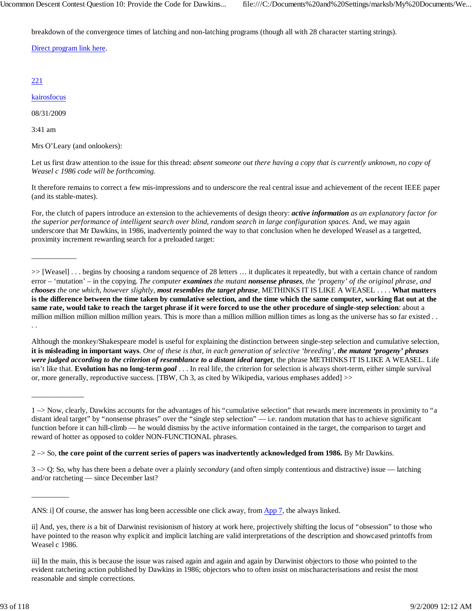breakdown of the convergence times of latching and non-latching programs (though all with 28 character starting strings).

Direct program link here.

# 221

kairosfocus

08/31/2009

\_\_\_\_\_\_\_\_\_\_\_\_

\_\_\_\_\_\_\_\_\_\_\_\_\_\_

\_\_\_\_\_\_\_\_\_\_

3:41 am

Mrs O'Leary (and onlookers):

Let us first draw attention to the issue for this thread: *absent someone out there having a copy that is currently unknown, no copy of Weasel c 1986 code will be forthcoming.*

It therefore remains to correct a few mis-impressions and to underscore the real central issue and achievement of the recent IEEE paper (and its stable-mates).

For, the clutch of papers introduce an extension to the achievements of design theory: *active information as an explanatory factor for the superior performance of intelligent search over blind, random search in large configuration spaces.* And, we may again underscore that Mr Dawkins, in 1986, inadvertently pointed the way to that conclusion when he developed Weasel as a targetted, proximity increment rewarding search for a preloaded target:

>> [Weasel] . . . begins by choosing a random sequence of 28 letters … it duplicates it repeatedly, but with a certain chance of random error – 'mutation' – in the copying. *The computer examines the mutant nonsense phrases, the 'progeny' of the original phrase, and chooses the one which, however slightly, most resembles the target phrase*, METHINKS IT IS LIKE A WEASEL . . . . **What matters is the difference between the time taken by cumulative selection, and the time which the same computer, working flat out at the same rate, would take to reach the target phrase if it were forced to use the other procedure of single-step selection**: about a million million million million years. This is more than a million million million times as long as the universe has so far existed . . . .

Although the monkey/Shakespeare model is useful for explaining the distinction between single-step selection and cumulative selection, **it is misleading in important ways**. *One of these is that, in each generation of selective 'breeding', the mutant 'progeny' phrases were judged according to the criterion of resemblance to a distant ideal target*, the phrase METHINKS IT IS LIKE A WEASEL. Life isn't like that. **Evolution has no long-term** *goal* . . . In real life, the criterion for selection is always short-term, either simple survival or, more generally, reproductive success. [TBW, Ch 3, as cited by Wikipedia, various emphases added] >>

2 –> So, **the core point of the current series of papers was inadvertently acknowledged from 1986.** By Mr Dawkins.

3 –> Q: So, why has there been a debate over a plainly *secondary* (and often simply contentious and distractive) issue — latching and/or ratcheting — since December last?

<sup>1 –&</sup>gt; Now, clearly, Dawkins accounts for the advantages of his "cumulative selection" that rewards mere increments in proximity to "a distant ideal target" by "nonsense phrases" over the "single step selection" — i.e. random mutation that has to achieve significant function before it can hill-climb — he would dismiss by the active information contained in the target, the comparison to target and reward of hotter as opposed to colder NON-FUNCTIONAL phrases.

ANS: i] Of course, the answer has long been accessible one click away, from App 7, the always linked.

ii] And, yes, there *is* a bit of Darwinist revisionism of history at work here, projectively shifting the locus of "obsession" to those who have pointed to the reason why explicit and implicit latching are valid interpretations of the description and showcased printoffs from Weasel c 1986.

iii] In the main, this is because the issue was raised again and again and again by Darwinist objectors to those who pointed to the evident ratcheting action published by Dawkins in 1986; objectors who to often insist on mischaracterisations and resist the most reasonable and simple corrections.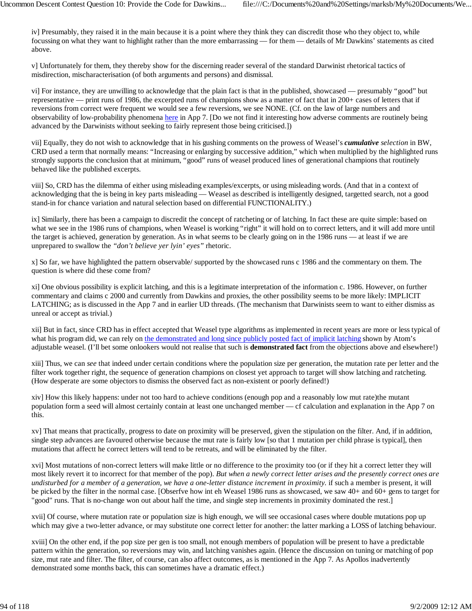iv] Presumably, they raised it in the main because it is a point where they think they can discredit those who they object to, while focussing on what they want to highlight rather than the more embarrassing — for them — details of Mr Dawkins' statements as cited above.

v] Unfortunately for them, they thereby show for the discerning reader several of the standard Darwinist rhetorical tactics of misdirection, mischaracterisation (of both arguments and persons) and dismissal.

vi] For instance, they are unwilling to acknowledge that the plain fact is that in the published, showcased — presumably "good" but representative — print runs of 1986, the excerpted runs of champions show as a matter of fact that in 200+ cases of letters that if reversions from correct were frequent we would see a few reversions, we see NONE. (Cf. on the law of large numbers and observability of low-probability phenomena here in App 7. [Do we not find it interesting how adverse comments are routinely being advanced by the Darwinists without seeking to fairly represent those being criticised.])

vii] Equally, they do not wish to acknowledge that in his gushing comments on the prowess of Weasel's *cumulative selection* in BW, CRD used a term that normally means: "Increasing or enlarging by successive addition," which when multiplied by the highlighted runs strongly supports the conclusion that at minimum, "good" runs of weasel produced lines of generational champions that routinely behaved like the published excerpts.

viii] So, CRD has the dilemma of either using misleading examples/excerpts, or using misleading words. (And that in a context of acknowledging that the is being in key parts misleading — Weasel as described is intelligently designed, targetted search, not a good stand-in for chance variation and natural selection based on differential FUNCTIONALITY.)

ix] Similarly, there has been a campaign to discredit the concept of ratcheting or of latching. In fact these are quite simple: based on what we see in the 1986 runs of champions, when Weasel is working "right" it will hold on to correct letters, and it will add more until the target is achieved, generation by generation. As in what seems to be clearly going on in the 1986 runs — at least if we are unprepared to swallow the *"don't believe yer lyin' eyes"* rhetoric.

x] So far, we have highlighted the pattern observable/ supported by the showcased runs c 1986 and the commentary on them. The question is where did these come from?

xi] One obvious possibility is explicit latching, and this is a legitimate interpretation of the information c. 1986. However, on further commentary and claims c 2000 and currently from Dawkins and proxies, the other possibility seems to be more likely: IMPLICIT LATCHING; as is discussed in the App 7 and in earlier UD threads. (The mechanism that Darwinists seem to want to either dismiss as unreal or accept as trivial.)

xii] But in fact, since CRD has in effect accepted that Weasel type algorithms as implemented in recent years are more or less typical of what his program did, we can rely on the demonstrated and long since publicly posted fact of implicit latching shown by Atom's adjustable weasel. (I'll bet some onlookers would not realise that such is **demonstrated fact** from the objections above and elsewhere!)

xiii] Thus, we can *see* that indeed under certain conditions where the population size per generation, the mutation rate per letter and the filter work together right, the sequence of generation champions on closest yet approach to target will show latching and ratcheting. (How desperate are some objectors to dismiss the observed fact as non-existent or poorly defined!)

xiv] How this likely happens: under not too hard to achieve conditions (enough pop and a reasonably low mut rate)the mutant population form a seed will almost certainly contain at least one unchanged member — cf calculation and explanation in the App 7 on this.

xv] That means that practically, progress to date on proximity will be preserved, given the stipulation on the filter. And, if in addition, single step advances are favoured otherwise because the mut rate is fairly low [so that 1 mutation per child phrase is typical], then mutations that affectt he correct letters will tend to be retreats, and will be eliminated by the filter.

xvi] Most mutations of non-correct letters will make little or no difference to the proximity too (or if they hit a correct letter they will most likely revert it to incorrect for that member of the pop). *But when a newly correct letter arises and the presently correct ones are undisturbed for a member of a generation, we have a one-letter distance increment in proximity.* if such a member is present, it will be picked by the filter in the normal case. [Obserfve how int eh Weasel 1986 runs as showcased, we saw 40+ and 60+ gens to target for "good" runs. That is no-change won out about half the time, and single step increments in proximity dominated the rest.]

xvii] Of course, where mutation rate or population size is high enough, we will see occasional cases where double mutations pop up which may give a two-letter advance, or may substitute one correct letter for another: the latter marking a LOSS of latching behaviour.

xviii] On the other end, if the pop size per gen is too small, not enough members of population will be present to have a predictable pattern within the generation, so reversions may win, and latching vanishes again. (Hence the discussion on tuning or matching of pop size, mut rate and filter. The filter, of course, can also affect outcomes, as is mentioned in the App 7. As Apollos inadvertently demonstrated some months back, this can sometimes have a dramatic effect.)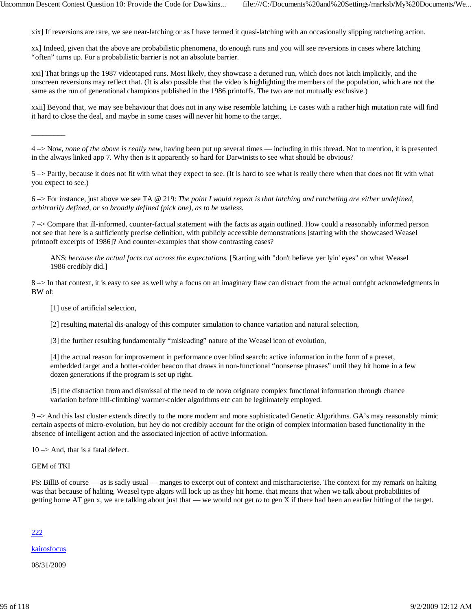xix] If reversions are rare, we see near-latching or as I have termed it quasi-latching with an occasionally slipping ratcheting action.

xx] Indeed, given that the above are probabilistic phenomena, do enough runs and you will see reversions in cases where latching "often" turns up. For a probabilistic barrier is not an absolute barrier.

xxi] That brings up the 1987 videotaped runs. Most likely, they showcase a detuned run, which does not latch implicitly, and the onscreen reversions may reflect that. (It is also possible that the video is highlighting the members of the population, which are not the same as the run of generational champions published in the 1986 printoffs. The two are not mutually exclusive.)

xxii] Beyond that, we may see behaviour that does not in any wise resemble latching, i.e cases with a rather high mutation rate will find it hard to close the deal, and maybe in some cases will never hit home to the target.

4 –> Now, *none of the above is really new*, having been put up several times — including in this thread. Not to mention, it is presented in the always linked app 7. Why then is it apparently so hard for Darwinists to see what should be obvious?

5 –> Partly, because it does not fit with what they expect to see. (It is hard to see what is really there when that does not fit with what you expect to see.)

6 –> For instance, just above we see TA @ 219: *The point I would repeat is that latching and ratcheting are either undefined, arbitrarily defined, or so broadly defined (pick one), as to be useless.*

 $7 \rightarrow$  Compare that ill-informed, counter-factual statement with the facts as again outlined. How could a reasonably informed person not see that here is a sufficiently precise definition, with publicly accessible demonstrations [starting with the showcased Weasel printooff excerpts of 1986]? And counter-examples that show contrasting cases?

ANS: *because the actual facts cut across the expectations.* [Starting with "don't believe yer lyin' eyes" on what Weasel 1986 credibly did.]

 $8 \rightarrow$  In that context, it is easy to see as well why a focus on an imaginary flaw can distract from the actual outright acknowledgments in BW of:

[1] use of artificial selection,

[2] resulting material dis-analogy of this computer simulation to chance variation and natural selection,

[3] the further resulting fundamentally "misleading" nature of the Weasel icon of evolution,

[4] the actual reason for improvement in performance over blind search: active information in the form of a preset, embedded target and a hotter-colder beacon that draws in non-functional "nonsense phrases" until they hit home in a few dozen generations if the program is set up right.

[5] the distraction from and dismissal of the need to de novo originate complex functional information through chance variation before hill-climbing/ warmer-colder algorithms etc can be legitimately employed.

9 –> And this last cluster extends directly to the more modern and more sophisticated Genetic Algorithms. GA's may reasonably mimic certain aspects of micro-evolution, but hey do not credibly account for the origin of complex information based functionality in the absence of intelligent action and the associated injection of active information.

 $10 \rightarrow$  And, that is a fatal defect.

GEM of TKI

 $\overline{\phantom{a}}$  ,  $\overline{\phantom{a}}$  ,  $\overline{\phantom{a}}$  ,  $\overline{\phantom{a}}$  ,  $\overline{\phantom{a}}$  ,  $\overline{\phantom{a}}$  ,  $\overline{\phantom{a}}$  ,  $\overline{\phantom{a}}$  ,  $\overline{\phantom{a}}$  ,  $\overline{\phantom{a}}$  ,  $\overline{\phantom{a}}$  ,  $\overline{\phantom{a}}$  ,  $\overline{\phantom{a}}$  ,  $\overline{\phantom{a}}$  ,  $\overline{\phantom{a}}$  ,  $\overline{\phantom{a}}$ 

PS: BillB of course — as is sadly usual — manges to excerpt out of context and mischaracterise. The context for my remark on halting was that because of halting, Weasel type algors will lock up as they hit home. that means that when we talk about probabilities of getting home AT gen x, we are talking about just that — we would not get *to* to gen X if there had been an earlier hitting of the target.

#### 222

kairosfocus

08/31/2009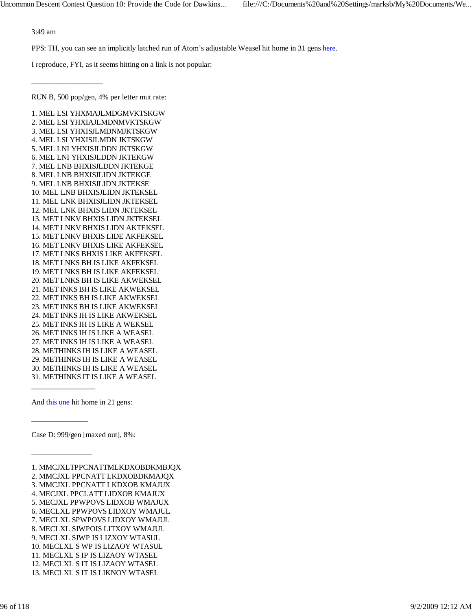3:49 am

\_\_\_\_\_\_\_\_\_\_\_\_\_\_\_\_\_\_\_

PPS: TH, you can see an implicitly latched run of Atom's adjustable Weasel hit home in 31 gens here.

I reproduce, FYI, as it seems hitting on a link is not popular:

RUN B, 500 pop/gen, 4% per letter mut rate:

1. MEL LSI YHXMAJLMDGMVKTSKGW 2. MEL LSI YHXIAJLMDNMVKTSKGW 3. MEL LSI YHXISJLMDNMJKTSKGW 4. MEL LSI YHXISJLMDN JKTSKGW 5. MEL LNI YHXISJLDDN JKTSKGW 6. MEL LNI YHXISJLDDN JKTEKGW 7. MEL LNB BHXISJLDDN JKTEKGE 8. MEL LNB BHXISJLIDN JKTEKGE 9. MEL LNB BHXISJLIDN JKTEKSE 10. MEL LNB BHXISJLIDN JKTEKSEL 11. MEL LNK BHXISJLIDN JKTEKSEL 12. MEL LNK BHXIS LIDN JKTEKSEL 13. MET LNKV BHXIS LIDN JKTEKSEL 14. MET LNKV BHXIS LIDN AKTEKSEL 15. MET LNKV BHXIS LIDE AKFEKSEL 16. MET LNKV BHXIS LIKE AKFEKSEL 17. MET LNKS BHXIS LIKE AKFEKSEL 18. MET LNKS BH IS LIKE AKFEKSEL 19. MET LNKS BH IS LIKE AKFEKSEL 20. MET LNKS BH IS LIKE AKWEKSEL 21. MET INKS BH IS LIKE AKWEKSEL 22. MET INKS BH IS LIKE AKWEKSEL 23. MET INKS BH IS LIKE AKWEKSEL 24. MET INKS IH IS LIKE AKWEKSEL 25. MET INKS IH IS LIKE A WEKSEL 26. MET INKS IH IS LIKE A WEASEL 27. MET INKS IH IS LIKE A WEASEL 28. METHINKS IH IS LIKE A WEASEL 29. METHINKS IH IS LIKE A WEASEL 30. METHINKS IH IS LIKE A WEASEL 31. METHINKS IT IS LIKE A WEASEL

And this one hit home in 21 gens:

\_\_\_\_\_\_\_\_\_\_\_\_\_\_\_\_\_

\_\_\_\_\_\_\_\_\_\_\_\_\_\_\_

 $\overline{\phantom{a}}$  ,  $\overline{\phantom{a}}$  ,  $\overline{\phantom{a}}$  ,  $\overline{\phantom{a}}$  ,  $\overline{\phantom{a}}$  ,  $\overline{\phantom{a}}$  ,  $\overline{\phantom{a}}$  ,  $\overline{\phantom{a}}$  ,  $\overline{\phantom{a}}$  ,  $\overline{\phantom{a}}$  ,  $\overline{\phantom{a}}$  ,  $\overline{\phantom{a}}$  ,  $\overline{\phantom{a}}$  ,  $\overline{\phantom{a}}$  ,  $\overline{\phantom{a}}$  ,  $\overline{\phantom{a}}$ 

Case D: 999/gen [maxed out], 8%:

1. MMCJXLTPPCNATTMLKDXOBDKMBJQX 2. MMCJXL PPCNATT LKDXOBDKMAJQX 3. MMCJXL PPCNATT LKDXOB KMAJUX 4. MECJXL PPCLATT LIDXOB KMAJUX 5. MECJXL PPWPOVS LIDXOB WMAJUX 6. MECLXL PPWPOVS LIDXOY WMAJUL 7. MECLXL SPWPOVS LIDXOY WMAJUL 8. MECLXL SJWPOIS LITXOY WMAJUL 9. MECLXL SJWP IS LIZXOY WTASUL 10. MECLXL S WP IS LIZAOY WTASUL 11. MECLXL S IP IS LIZAOY WTASEL 12. MECLXL S IT IS LIZAOY WTASEL 13. MECLXL S IT IS LIKNOY WTASEL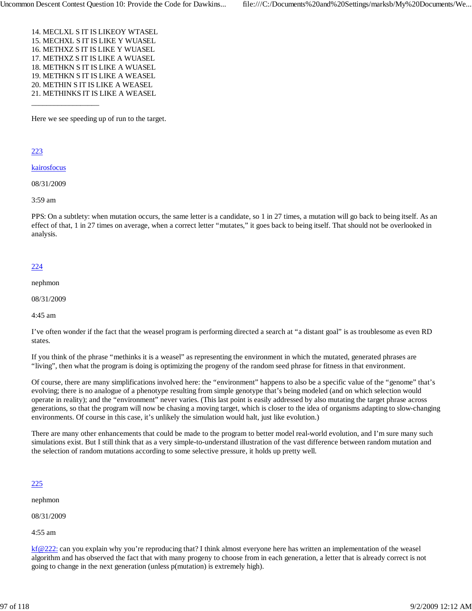14. MECLXL S IT IS LIKEOY WTASEL 15. MECHXL S IT IS LIKE Y WUASEL 16. METHXZ S IT IS LIKE Y WUASEL 17. METHXZ S IT IS LIKE A WUASEL 18. METHKN S IT IS LIKE A WUASEL 19. METHKN S IT IS LIKE A WEASEL 20. METHIN S IT IS LIKE A WEASEL 21. METHINKS IT IS LIKE A WEASEL

Here we see speeding up of run to the target.

223

kairosfocus

\_\_\_\_\_\_\_\_\_\_\_\_\_\_\_\_\_\_

08/31/2009

3:59 am

PPS: On a subtlety: when mutation occurs, the same letter is a candidate, so 1 in 27 times, a mutation will go back to being itself. As an effect of that, 1 in 27 times on average, when a correct letter "mutates," it goes back to being itself. That should not be overlooked in analysis.

#### 224

nephmon

08/31/2009

4:45 am

I've often wonder if the fact that the weasel program is performing directed a search at "a distant goal" is as troublesome as even RD states.

If you think of the phrase "methinks it is a weasel" as representing the environment in which the mutated, generated phrases are "living", then what the program is doing is optimizing the progeny of the random seed phrase for fitness in that environment.

Of course, there are many simplifications involved here: the "environment" happens to also be a specific value of the "genome" that's evolving; there is no analogue of a phenotype resulting from simple genotype that's being modeled (and on which selection would operate in reality); and the "environment" never varies. (This last point is easily addressed by also mutating the target phrase across generations, so that the program will now be chasing a moving target, which is closer to the idea of organisms adapting to slow-changing environments. Of course in this case, it's unlikely the simulation would halt, just like evolution.)

There are many other enhancements that could be made to the program to better model real-world evolution, and I'm sure many such simulations exist. But I still think that as a very simple-to-understand illustration of the vast difference between random mutation and the selection of random mutations according to some selective pressure, it holds up pretty well.

#### 225

nephmon

08/31/2009

4:55 am

kf@222: can you explain why you're reproducing that? I think almost everyone here has written an implementation of the weasel algorithm and has observed the fact that with many progeny to choose from in each generation, a letter that is already correct is not going to change in the next generation (unless p(mutation) is extremely high).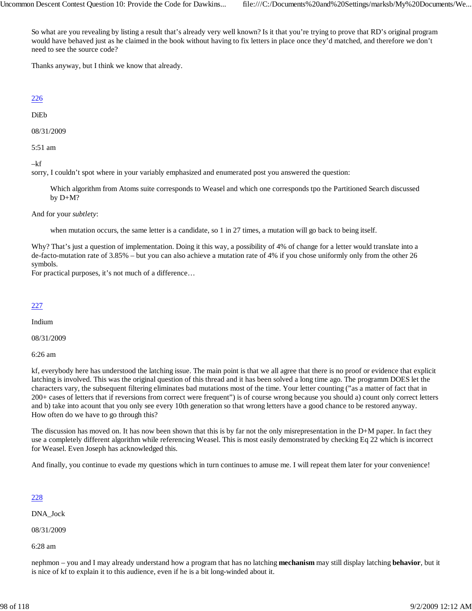So what are you revealing by listing a result that's already very well known? Is it that you're trying to prove that RD's original program would have behaved just as he claimed in the book without having to fix letters in place once they'd matched, and therefore we don't need to see the source code?

Thanks anyway, but I think we know that already.

# 226

DiEb

08/31/2009

5:51 am

–kf

sorry, I couldn't spot where in your variably emphasized and enumerated post you answered the question:

Which algorithm from Atoms suite corresponds to Weasel and which one corresponds tpo the Partitioned Search discussed by D+M?

And for your *subtlety*:

when mutation occurs, the same letter is a candidate, so 1 in 27 times, a mutation will go back to being itself.

Why? That's just a question of implementation. Doing it this way, a possibility of 4% of change for a letter would translate into a de-facto-mutation rate of 3.85% – but you can also achieve a mutation rate of 4% if you chose uniformly only from the other 26 symbols.

For practical purposes, it's not much of a difference…

# 227

Indium

08/31/2009

6:26 am

kf, everybody here has understood the latching issue. The main point is that we all agree that there is no proof or evidence that explicit latching is involved. This was the original question of this thread and it has been solved a long time ago. The programm DOES let the characters vary, the subsequent filtering eliminates bad mutations most of the time. Your letter counting ("as a matter of fact that in 200+ cases of letters that if reversions from correct were frequent") is of course wrong because you should a) count only correct letters and b) take into acount that you only see every 10th generation so that wrong letters have a good chance to be restored anyway. How often do we have to go through this?

The discussion has moved on. It has now been shown that this is by far not the only misrepresentation in the D+M paper. In fact they use a completely different algorithm while referencing Weasel. This is most easily demonstrated by checking Eq 22 which is incorrect for Weasel. Even Joseph has acknowledged this.

And finally, you continue to evade my questions which in turn continues to amuse me. I will repeat them later for your convenience!

# 228

DNA\_Jock

08/31/2009

6:28 am

nephmon – you and I may already understand how a program that has no latching **mechanism** may still display latching **behavior**, but it is nice of kf to explain it to this audience, even if he is a bit long-winded about it.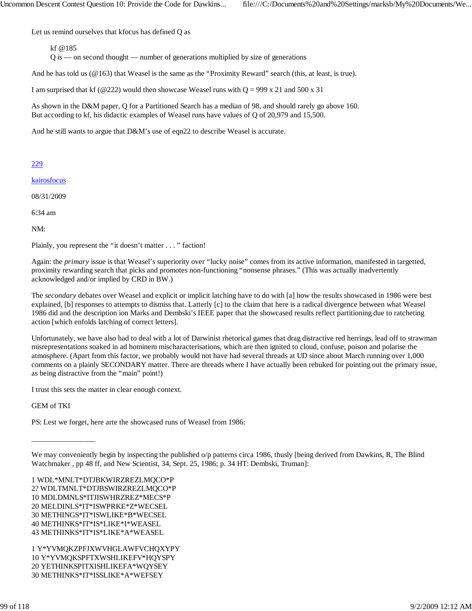Let us remind ourselves that kfocus has defined Q as

kf @185

 $\overline{Q}$  is — on second thought — number of generations multiplied by size of generations

And he has told us (@163) that Weasel is the same as the "Proximity Reward" search (this, at least, is true).

I am surprised that kf (@222) would then showcase Weasel runs with  $Q = 999 \times 21$  and  $500 \times 31$ 

As shown in the D&M paper, Q for a Partitioned Search has a median of 98, and should rarely go above 160. But according to kf, his didactic examples of Weasel runs have values of Q of 20,979 and 15,500.

And he still wants to argue that D&M's use of eqn22 to describe Weasel is accurate.

229

kairosfocus

08/31/2009

6:34 am

NM:

Plainly, you represent the "it doesn't matter . . . " faction!

Again: the *primary* issue is that Weasel's superiority over "lucky noise" comes from its active information, manifested in targetted, proximity rewarding search that picks and promotes non-functioning "nonsense phrases." (This was actually inadvertently acknowledged and/or implied by CRD in BW.)

The *secondary* debates over Weasel and explicit or implicit latching have to do with [a] how the results showcased in 1986 were best explained, [b] responses to attempts to dismiss that. Latterly [c] to the claim that here is a radical divergence between what Weasel 1986 did and the description ion Marks and Dembski's IEEE paper that the showcased results reflect partitioning due to ratcheting action [which enfolds latching of correct letters].

Unfortunately, we have also had to deal with a lot of Darwinist rhetorical games that drag distractive red herrings, lead off to strawman misrepresentations soaked in ad hominem mischaracterisations, which are then ignited to cloud, confuse, poison and polarise the atmosphere. (Apart from this factor, we probably would not have had several threads at UD since about March running over 1,000 comments on a plainly SECONDARY matter. There are threads where I have actually been rebuked for pointing out the primary issue, as being distractive from the "main" point!)

I trust this sets the matter in clear enough context.

GEM of TKI

\_\_\_\_\_\_\_\_\_\_\_\_\_\_\_\_\_

PS: Lest we forget, here arte the showcased runs of Weasel from 1986:

1 WDL\*MNLT\*DTJBKWIRZREZLMQCO\*P 2? WDLTMNLT\*DTJBSWIRZREZLMQCO\*P 10 MDLDMNLS\*ITJISWHRZREZ\*MECS\*P 20 MELDINLS\*IT\*ISWPRKE\*Z\*WECSEL 30 METHINGS\*IT\*ISWLIKE\*B\*WECSEL 40 METHINKS\*IT\*IS\*LIKE\*I\*WEASEL 43 METHINKS\*IT\*IS\*LIKE\*A\*WEASEL

1 Y\*YVMQKZPFJXWVHGLAWFVCHQXYPY 10 Y\*YVMQKSPFTXWSHLIKEFV\*HQYSPY 20 YETHINKSPITXISHLIKEFA\*WQYSEY 30 METHINKS\*IT\*ISSLIKE\*A\*WEFSEY

We may conveniently begin by inspecting the published o/p patterns circa 1986, thusly [being derived from Dawkins, R, The Blind Watchmaker , pp 48 ff, and New Scientist, 34, Sept. 25, 1986; p. 34 HT: Dembski, Truman]: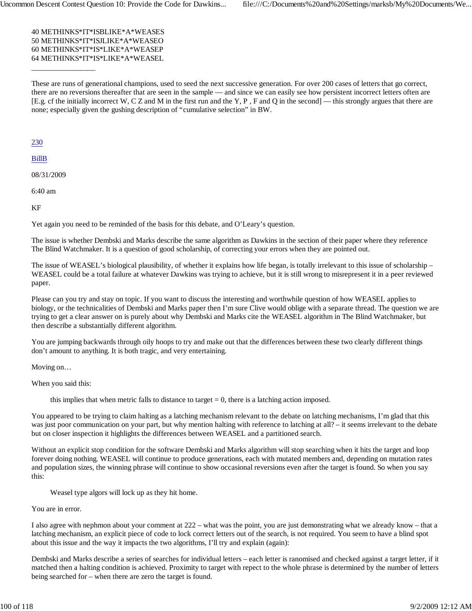40 METHINKS\*IT\*ISBLIKE\*A\*WEASES 50 METHINKS\*IT\*ISJLIKE\*A\*WEASEO 60 METHINKS\*IT\*IS\*LIKE\*A\*WEASEP 64 METHINKS\*IT\*IS\*LIKE\*A\*WEASEL

These are runs of generational champions, used to seed the next successive generation. For over 200 cases of letters that go correct, there are no reversions thereafter that are seen in the sample — and since we can easily see how persistent incorrect letters often are [E.g. cf the initially incorrect W, C Z and M in the first run and the Y, P , F and Q in the second] — this strongly argues that there are none; especially given the gushing description of "cumulative selection" in BW.

230

BillB

08/31/2009

 $\overline{\phantom{a}}$  ,  $\overline{\phantom{a}}$  ,  $\overline{\phantom{a}}$  ,  $\overline{\phantom{a}}$  ,  $\overline{\phantom{a}}$  ,  $\overline{\phantom{a}}$  ,  $\overline{\phantom{a}}$  ,  $\overline{\phantom{a}}$  ,  $\overline{\phantom{a}}$  ,  $\overline{\phantom{a}}$  ,  $\overline{\phantom{a}}$  ,  $\overline{\phantom{a}}$  ,  $\overline{\phantom{a}}$  ,  $\overline{\phantom{a}}$  ,  $\overline{\phantom{a}}$  ,  $\overline{\phantom{a}}$ 

6:40 am

KF

Yet again you need to be reminded of the basis for this debate, and O'Leary's question.

The issue is whether Dembski and Marks describe the same algorithm as Dawkins in the section of their paper where they reference The Blind Watchmaker. It is a question of good scholarship, of correcting your errors when they are pointed out.

The issue of WEASEL's biological plausibility, of whether it explains how life began, is totally irrelevant to this issue of scholarship – WEASEL could be a total failure at whatever Dawkins was trying to achieve, but it is still wrong to misrepresent it in a peer reviewed paper.

Please can you try and stay on topic. If you want to discuss the interesting and worthwhile question of how WEASEL applies to biology, or the technicalities of Dembski and Marks paper then I'm sure Clive would oblige with a separate thread. The question we are trying to get a clear answer on is purely about why Dembski and Marks cite the WEASEL algorithm in The Blind Watchmaker, but then describe a substantially different algorithm.

You are jumping backwards through oily hoops to try and make out that the differences between these two clearly different things don't amount to anything. It is both tragic, and very entertaining.

Moving on…

When you said this:

this implies that when metric falls to distance to target  $= 0$ , there is a latching action imposed.

You appeared to be trying to claim halting as a latching mechanism relevant to the debate on latching mechanisms, I'm glad that this was just poor communication on your part, but why mention halting with reference to latching at all? – it seems irrelevant to the debate but on closer inspection it highlights the differences between WEASEL and a partitioned search.

Without an explicit stop condition for the software Dembski and Marks algorithm will stop searching when it hits the target and loop forever doing nothing. WEASEL will continue to produce generations, each with mutated members and, depending on mutation rates and population sizes, the winning phrase will continue to show occasional reversions even after the target is found. So when you say this:

Weasel type algors will lock up as they hit home.

You are in error.

I also agree with nephmon about your comment at 222 – what was the point, you are just demonstrating what we already know – that a latching mechanism, an explicit piece of code to lock correct letters out of the search, is not required. You seem to have a blind spot about this issue and the way it impacts the two algorithms, I'll try and explain (again):

Dembski and Marks describe a series of searches for individual letters – each letter is ranomised and checked against a target letter, if it matched then a halting condition is achieved. Proximity to target with repect to the whole phrase is determined by the number of letters being searched for – when there are zero the target is found.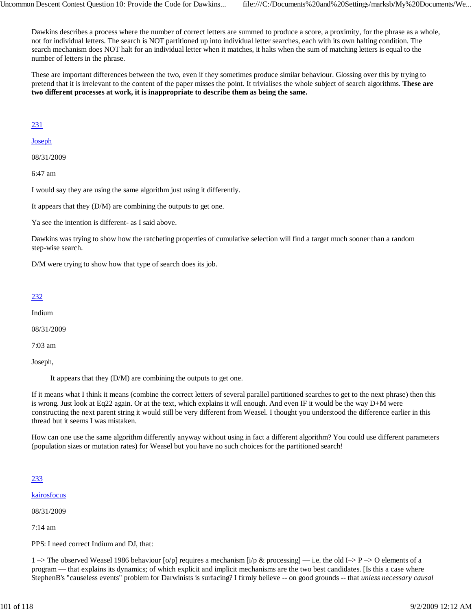Dawkins describes a process where the number of correct letters are summed to produce a score, a proximity, for the phrase as a whole, not for individual letters. The search is NOT partitioned up into individual letter searches, each with its own halting condition. The search mechanism does NOT halt for an individual letter when it matches, it halts when the sum of matching letters is equal to the number of letters in the phrase.

These are important differences between the two, even if they sometimes produce similar behaviour. Glossing over this by trying to pretend that it is irrelevant to the content of the paper misses the point. It trivialises the whole subject of search algorithms. **These are two different processes at work, it is inappropriate to describe them as being the same.**

231

Joseph

08/31/2009

6:47 am

I would say they are using the same algorithm just using it differently.

It appears that they (D/M) are combining the outputs to get one.

Ya see the intention is different- as I said above.

Dawkins was trying to show how the ratcheting properties of cumulative selection will find a target much sooner than a random step-wise search.

D/M were trying to show how that type of search does its job.

#### 232

Indium

08/31/2009

7:03 am

Joseph,

It appears that they (D/M) are combining the outputs to get one.

If it means what I think it means (combine the correct letters of several parallel partitioned searches to get to the next phrase) then this is wrong. Just look at Eq22 again. Or at the text, which explains it will enough. And even IF it would be the way D+M were constructing the next parent string it would still be very different from Weasel. I thought you understood the difference earlier in this thread but it seems I was mistaken.

How can one use the same algorithm differently anyway without using in fact a different algorithm? You could use different parameters (population sizes or mutation rates) for Weasel but you have no such choices for the partitioned search!

#### 233

kairosfocus

08/31/2009

7:14 am

PPS: I need correct Indium and DJ, that:

1 –> The observed Weasel 1986 behaviour [o/p] requires a mechanism [i/p & processing] — i.e. the old I–> P –> O elements of a program — that explains its dynamics; of which explicit and implicit mechanisms are the two best candidates. [Is this a case where StephenB's "causeless events" problem for Darwinists is surfacing? I firmly believe -- on good grounds -- that *unless necessary causal*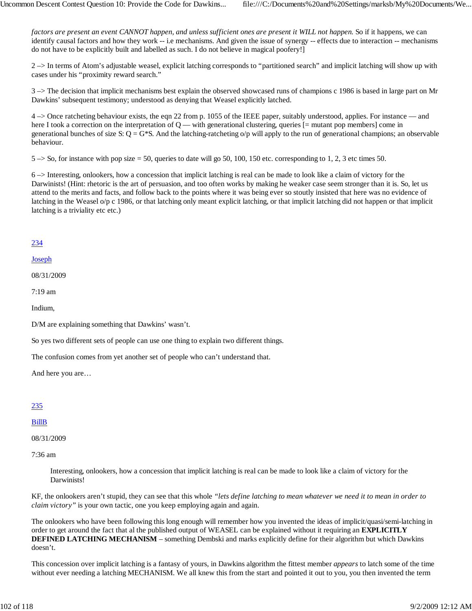*factors are present an event CANNOT happen, and unless sufficient ones are present it WILL not happen.* So if it happens, we can identify causal factors and how they work -- i.e mechanisms. And given the issue of synergy -- effects due to interaction -- mechanisms do not have to be explicitly built and labelled as such. I do not believe in magical poofery!]

2 –> In terms of Atom's adjustable weasel, explicit latching corresponds to "partitioned search" and implicit latching will show up with cases under his "proximity reward search."

3 –> The decision that implicit mechanisms best explain the observed showcased runs of champions c 1986 is based in large part on Mr Dawkins' subsequent testimony; understood as denying that Weasel explicitly latched.

4 –> Once ratcheting behaviour exists, the eqn 22 from p. 1055 of the IEEE paper, suitably understood, applies. For instance — and here I took a correction on the interpretation of  $Q$  — with generational clustering, queries  $[=$  mutant pop members] come in generational bunches of size S:  $Q = G*S$ . And the latching-ratcheting o/p will apply to the run of generational champions; an observable behaviour.

 $5 \rightarrow$  So, for instance with pop size = 50, queries to date will go 50, 100, 150 etc. corresponding to 1, 2, 3 etc times 50.

6 –> Interesting, onlookers, how a concession that implicit latching is real can be made to look like a claim of victory for the Darwinists! (Hint: rhetoric is the art of persuasion, and too often works by making he weaker case seem stronger than it is. So, let us attend to the merits and facts, and follow back to the points where it was being ever so stoutly insisted that here was no evidence of latching in the Weasel o/p c 1986, or that latching only meant explicit latching, or that implicit latching did not happen or that implicit latching is a triviality etc etc.)

# 234

#### Joseph

08/31/2009

7:19 am

Indium,

D/M are explaining something that Dawkins' wasn't.

So yes two different sets of people can use one thing to explain two different things.

The confusion comes from yet another set of people who can't understand that.

And here you are…

# 235

#### BillB

08/31/2009

7:36 am

Interesting, onlookers, how a concession that implicit latching is real can be made to look like a claim of victory for the Darwinists!

KF, the onlookers aren't stupid, they can see that this whole *"lets define latching to mean whatever we need it to mean in order to claim victory"* is your own tactic, one you keep employing again and again.

The onlookers who have been following this long enough will remember how you invented the ideas of implicit/quasi/semi-latching in order to get around the fact that al the published output of WEASEL can be explained without it requiring an **EXPLICITLY DEFINED LATCHING MECHANISM** – something Dembski and marks explicitly define for their algorithm but which Dawkins doesn't.

This concession over implicit latching is a fantasy of yours, in Dawkins algorithm the fittest member *appears* to latch some of the time without ever needing a latching MECHANISM. We all knew this from the start and pointed it out to you, you then invented the term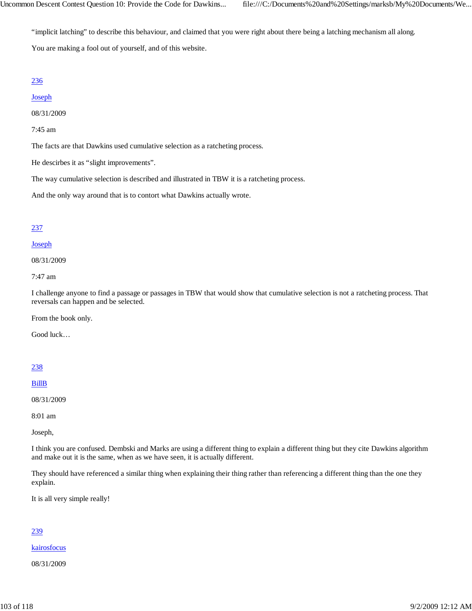"implicit latching" to describe this behaviour, and claimed that you were right about there being a latching mechanism all along.

You are making a fool out of yourself, and of this website.

# 236

# Joseph

08/31/2009

7:45 am

The facts are that Dawkins used cumulative selection as a ratcheting process.

He descirbes it as "slight improvements".

The way cumulative selection is described and illustrated in TBW it is a ratcheting process.

And the only way around that is to contort what Dawkins actually wrote.

# 237

# Joseph

08/31/2009

7:47 am

I challenge anyone to find a passage or passages in TBW that would show that cumulative selection is not a ratcheting process. That reversals can happen and be selected.

From the book only.

Good luck…

# 238

BillB

08/31/2009

8:01 am

Joseph,

I think you are confused. Dembski and Marks are using a different thing to explain a different thing but they cite Dawkins algorithm and make out it is the same, when as we have seen, it is actually different.

They should have referenced a similar thing when explaining their thing rather than referencing a different thing than the one they explain.

It is all very simple really!

# 239

kairosfocus

08/31/2009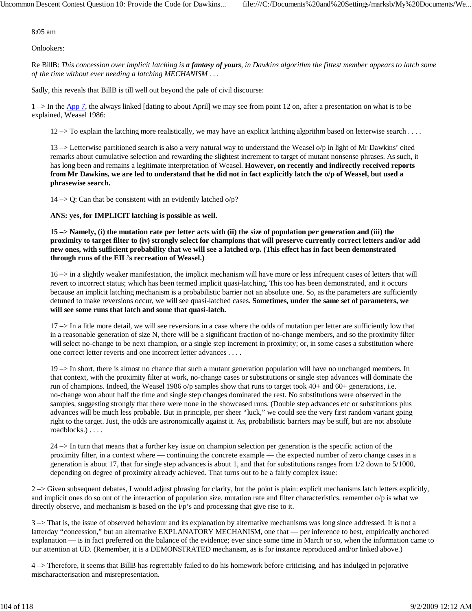8:05 am

Onlookers:

Re BillB: *This concession over implicit latching is a fantasy of yours, in Dawkins algorithm the fittest member appears to latch some of the time without ever needing a latching MECHANISM . . .*

Sadly, this reveals that BillB is till well out beyond the pale of civil discourse:

1 –> In the App 7, the always linked [dating to about April] we may see from point 12 on, after a presentation on what is to be explained, Weasel 1986:

 $12 \rightarrow$  To explain the latching more realistically, we may have an explicit latching algorithm based on letterwise search . . . .

13  $\rightarrow$  Letterwise partitioned search is also a very natural way to understand the Weasel o/p in light of Mr Dawkins' cited remarks about cumulative selection and rewarding the slightest increment to target of mutant nonsense phrases. As such, it has long been and remains a legitimate interpretation of Weasel. **However, on recently and indirectly received reports from Mr Dawkins, we are led to understand that he did not in fact explicitly latch the o/p of Weasel, but used a phrasewise search.**

 $14 \rightarrow Q$ : Can that be consistent with an evidently latched o/p?

**ANS: yes, for IMPLICIT latching is possible as well.**

**15 –> Namely, (i) the mutation rate per letter acts with (ii) the size of population per generation and (iii) the proximity to target filter to (iv) strongly select for champions that will preserve currently correct letters and/or add new ones, with sufficient probability that we will see a latched o/p. (This effect has in fact been demonstrated through runs of the EIL's recreation of Weasel.)**

 $16 \rightarrow$  in a slightly weaker manifestation, the implicit mechanism will have more or less infrequent cases of letters that will revert to incorrect status; which has been termed implicit quasi-latching. This too has been demonstrated, and it occurs because an implicit latching mechanism is a probabilistic barrier not an absolute one. So, as the parameters are sufficiently detuned to make reversions occur, we will see quasi-latched cases. **Sometimes, under the same set of parameters, we will see some runs that latch and some that quasi-latch.**

17 –> In a litle more detail, we will see reversions in a case where the odds of mutation per letter are sufficiently low that in a reasonable generation of size N, there will be a significant fraction of no-change members, and so the proximity filter will select no-change to be next champion, or a single step increment in proximity; or, in some cases a substitution where one correct letter reverts and one incorrect letter advances . . . .

19 –> In short, there is almost no chance that such a mutant generation population will have no unchanged members. In that context, with the proximity filter at work, no-change cases or substitutions or single step advances will dominate the run of champions. Indeed, the Weasel 1986 o/p samples show that runs to target took 40+ and 60+ generations, i.e. no-change won about half the time and single step changes dominated the rest. No substitutions were observed in the samples, suggesting strongly that there were none in the showcased runs. (Double step advances etc or substitutions plus advances will be much less probable. But in principle, per sheer "luck," we could see the very first random variant going right to the target. Just, the odds are astronomically against it. As, probabilistic barriers may be stiff, but are not absolute roadblocks.) . . . .

24 –> In turn that means that a further key issue on champion selection per generation is the specific action of the proximity filter, in a context where — continuing the concrete example — the expected number of zero change cases in a generation is about 17, that for single step advances is about 1, and that for substitutions ranges from 1/2 down to 5/1000, depending on degree of proximity already achieved. That turns out to be a fairly complex issue:

2 –> Given subsequent debates, I would adjust phrasing for clarity, but the point is plain: explicit mechanisms latch letters explicitly, and implicit ones do so out of the interaction of population size, mutation rate and filter characteristics. remember o/p is what we directly observe, and mechanism is based on the  $i/p$ 's and processing that give rise to it.

 $3 \rightarrow$  That is, the issue of observed behaviour and its explanation by alternative mechanisms was long since addressed. It is not a latterday "concession," but an alternative EXPLANATORY MECHANISM, one that — per inference to best, empirically anchored explanation — is in fact preferred on the balance of the evidence; ever since some time in March or so, when the information came to our attention at UD. (Remember, it is a DEMONSTRATED mechanism, as is for instance reproduced and/or linked above.)

4 –> Therefore, it seems that BillB has regrettably failed to do his homework before criticising, and has indulged in pejorative mischaracterisation and misrepresentation.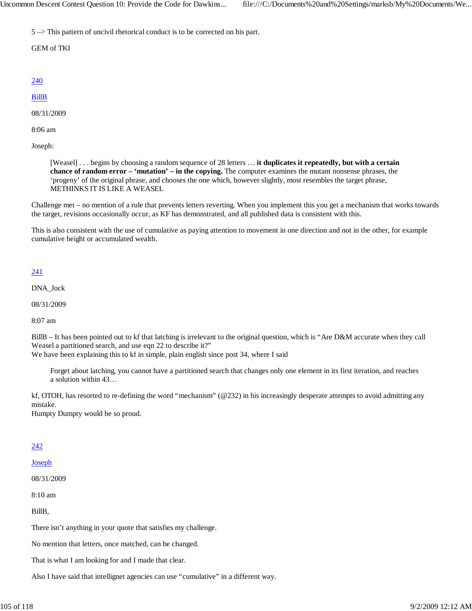5 –> This pattern of uncivil rhetorical conduct is to be corrected on his part.

GEM of TKI

# 240

# BillB

08/31/2009

8:06 am

Joseph:

[Weasel] . . . begins by choosing a random sequence of 28 letters … **it duplicates it repeatedly, but with a certain chance of random error – 'mutation' – in the copying.** The computer examines the mutant nonsense phrases, the 'progeny' of the original phrase, and chooses the one which, however slightly, most resembles the target phrase, METHINKS IT IS LIKE A WEASEL

Challenge met – no mention of a rule that prevents letters reverting. When you implement this you get a mechanism that works towards the target, revisions occasionally occur, as KF has demonstrated, and all published data is consistent with this.

This is also consistent with the use of cumulative as paying attention to movement in one direction and not in the other, for example cumulative height or accumulated wealth.

# 241

DNA\_Jock

08/31/2009

8:07 am

BillB – It has been pointed out to kf that latching is irrelevant to the original question, which is "Are D&M accurate when they call Weasel a partitioned search, and use eqn 22 to describe it?"

We have been explaining this to kf in simple, plain english since post 34, where I said

Forget about latching, you cannot have a partitioned search that changes only one element in its first iteration, and reaches a solution within 43…

kf, OTOH, has resorted to re-defining the word "mechanism" (@232) in his increasingly desperate attempts to avoid admitting any mistake.

Humpty Dumpty would be so proud.

# 242

#### Joseph

08/31/2009

8:10 am

BillB,

There isn't anything in your quote that satisfies my challenge.

No mention that letters, once matched, can be changed.

That is what I am looking for and I made that clear.

Also I have said that intellignet agencies can use "cumulative" in a different way.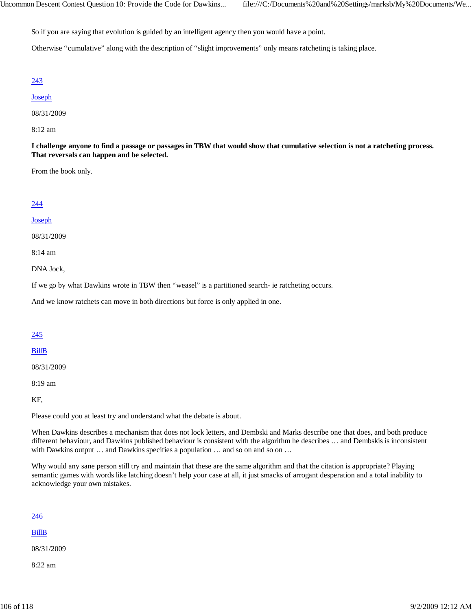So if you are saying that evolution is guided by an intelligent agency then you would have a point.

Otherwise "cumulative" along with the description of "slight improvements" only means ratcheting is taking place.

#### 243

#### Joseph

08/31/2009

8:12 am

**I challenge anyone to find a passage or passages in TBW that would show that cumulative selection is not a ratcheting process. That reversals can happen and be selected.**

From the book only.

# 244

#### Joseph

08/31/2009

8:14 am

DNA Jock,

If we go by what Dawkins wrote in TBW then "weasel" is a partitioned search- ie ratcheting occurs.

And we know ratchets can move in both directions but force is only applied in one.

# 245

#### BillB

08/31/2009

8:19 am

KF,

Please could you at least try and understand what the debate is about.

When Dawkins describes a mechanism that does not lock letters, and Dembski and Marks describe one that does, and both produce different behaviour, and Dawkins published behaviour is consistent with the algorithm he describes … and Dembskis is inconsistent with Dawkins output ... and Dawkins specifies a population ... and so on and so on ...

Why would any sane person still try and maintain that these are the same algorithm and that the citation is appropriate? Playing semantic games with words like latching doesn't help your case at all, it just smacks of arrogant desperation and a total inability to acknowledge your own mistakes.

| 246          |  |  |
|--------------|--|--|
| <b>BillB</b> |  |  |
| 08/31/2009   |  |  |
| 8:22 am      |  |  |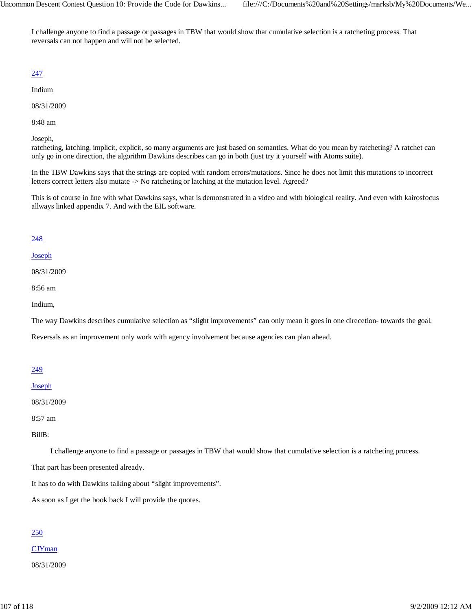I challenge anyone to find a passage or passages in TBW that would show that cumulative selection is a ratcheting process. That reversals can not happen and will not be selected.

# 247

Indium

08/31/2009

8:48 am

Joseph,

ratcheting, latching, implicit, explicit, so many arguments are just based on semantics. What do you mean by ratcheting? A ratchet can only go in one direction, the algorithm Dawkins describes can go in both (just try it yourself with Atoms suite).

In the TBW Dawkins says that the strings are copied with random errors/mutations. Since he does not limit this mutations to incorrect letters correct letters also mutate -> No ratcheting or latching at the mutation level. Agreed?

This is of course in line with what Dawkins says, what is demonstrated in a video and with biological reality. And even with kairosfocus allways linked appendix 7. And with the EIL software.

# 248

#### Joseph

08/31/2009

8:56 am

Indium,

The way Dawkins describes cumulative selection as "slight improvements" can only mean it goes in one direcetion- towards the goal.

Reversals as an improvement only work with agency involvement because agencies can plan ahead.

# 249

#### Joseph

08/31/2009

8:57 am

BillB:

I challenge anyone to find a passage or passages in TBW that would show that cumulative selection is a ratcheting process.

That part has been presented already.

It has to do with Dawkins talking about "slight improvements".

As soon as I get the book back I will provide the quotes.

# 250

CJYman

08/31/2009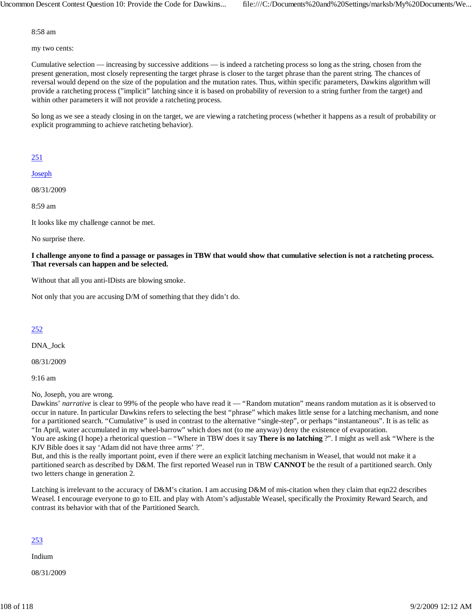8:58 am

my two cents:

Cumulative selection — increasing by successive additions — is indeed a ratcheting process so long as the string, chosen from the present generation, most closely representing the target phrase is closer to the target phrase than the parent string. The chances of reversal would depend on the size of the population and the mutation rates. Thus, within specific parameters, Dawkins algorithm will provide a ratcheting process ("implicit" latching since it is based on probability of reversion to a string further from the target) and within other parameters it will not provide a ratcheting process.

So long as we see a steady closing in on the target, we are viewing a ratcheting process (whether it happens as a result of probability or explicit programming to achieve ratcheting behavior).

# 251

**Joseph** 

08/31/2009

8:59 am

It looks like my challenge cannot be met.

No surprise there.

**I challenge anyone to find a passage or passages in TBW that would show that cumulative selection is not a ratcheting process. That reversals can happen and be selected.**

Without that all you anti-IDists are blowing smoke.

Not only that you are accusing D/M of something that they didn't do.

# 252

DNA\_Jock

08/31/2009

9:16 am

No, Joseph, you are wrong.

Dawkins' *narrative* is clear to 99% of the people who have read it — "Random mutation" means random mutation as it is observed to occur in nature. In particular Dawkins refers to selecting the best "phrase" which makes little sense for a latching mechanism, and none for a partitioned search. "Cumulative" is used in contrast to the alternative "single-step", or perhaps "instantaneous". It is as telic as "In April, water accumulated in my wheel-barrow" which does not (to me anyway) deny the existence of evaporation. You are asking (I hope) a rhetorical question – "Where in TBW does it say **There is no latching** ?". I might as well ask "Where is the KJV Bible does it say 'Adam did not have three arms' ?".

But, and this is the really important point, even if there were an explicit latching mechanism in Weasel, that would not make it a partitioned search as described by D&M. The first reported Weasel run in TBW **CANNOT** be the result of a partitioned search. Only two letters change in generation 2.

Latching is irrelevant to the accuracy of D&M's citation. I am accusing D&M of mis-citation when they claim that eqn22 describes Weasel. I encourage everyone to go to EIL and play with Atom's adjustable Weasel, specifically the Proximity Reward Search, and contrast its behavior with that of the Partitioned Search.

# 253

Indium

08/31/2009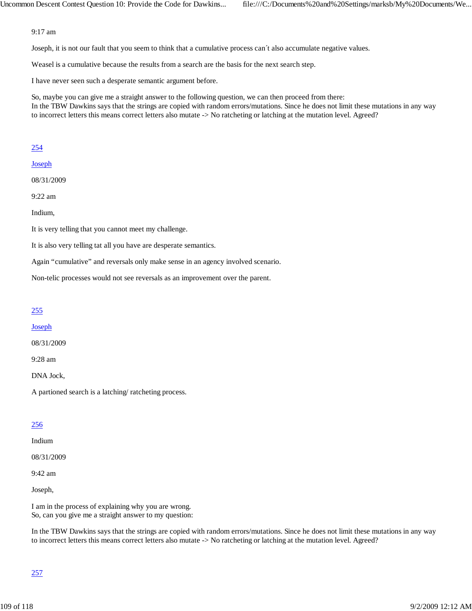### 9:17 am

Joseph, it is not our fault that you seem to think that a cumulative process can´t also accumulate negative values.

Weasel is a cumulative because the results from a search are the basis for the next search step.

I have never seen such a desperate semantic argument before.

So, maybe you can give me a straight answer to the following question, we can then proceed from there: In the TBW Dawkins says that the strings are copied with random errors/mutations. Since he does not limit these mutations in any way to incorrect letters this means correct letters also mutate -> No ratcheting or latching at the mutation level. Agreed?

### 254

### Joseph

08/31/2009

9:22 am

Indium,

It is very telling that you cannot meet my challenge.

It is also very telling tat all you have are desperate semantics.

Again "cumulative" and reversals only make sense in an agency involved scenario.

Non-telic processes would not see reversals as an improvement over the parent.

# 255

### Joseph

08/31/2009

9:28 am

DNA Jock,

A partioned search is a latching/ ratcheting process.

# 256

# Indium

08/31/2009

9:42 am

Joseph,

I am in the process of explaining why you are wrong. So, can you give me a straight answer to my question:

In the TBW Dawkins says that the strings are copied with random errors/mutations. Since he does not limit these mutations in any way to incorrect letters this means correct letters also mutate -> No ratcheting or latching at the mutation level. Agreed?

# 257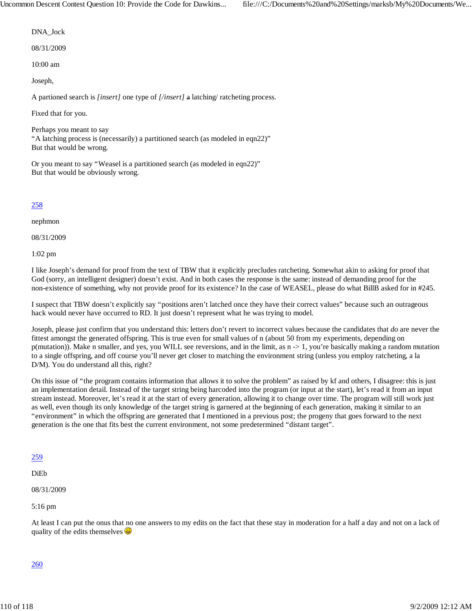DNA\_Jock

08/31/2009

10:00 am

Joseph,

A partioned search is *[insert]* one type of *[/insert]* a latching/ ratcheting process.

Fixed that for you.

Perhaps you meant to say "A latching process is (necessarily) a partitioned search (as modeled in eqn22)" But that would be wrong.

Or you meant to say "Weasel is a partitioned search (as modeled in eqn22)" But that would be obviously wrong.

258

nephmon

08/31/2009

1:02 pm

I like Joseph's demand for proof from the text of TBW that it explicitly precludes ratcheting. Somewhat akin to asking for proof that God (sorry, an intelligent designer) doesn't exist. And in both cases the response is the same: instead of demanding proof for the non-existence of something, why not provide proof for its existence? In the case of WEASEL, please do what BillB asked for in #245.

I suspect that TBW doesn't explicitly say "positions aren't latched once they have their correct values" because such an outrageous hack would never have occurred to RD. It just doesn't represent what he was trying to model.

Joseph, please just confirm that you understand this: letters don't revert to incorrect values because the candidates that *do* are never the fittest amongst the generated offspring. This is true even for small values of n (about 50 from my experiments, depending on p(mutation)). Make n smaller, and yes, you WILL see reversions, and in the limit, as n -> 1, you're basically making a random mutation to a single offspring, and off course you'll never get closer to matching the environment string (unless you employ ratcheting, a la D/M). You do understand all this, right?

On this issue of "the program contains information that allows it to solve the problem" as raised by kf and others, I disagree: this is just an implementation detail. Instead of the target string being harcoded into the program (or input at the start), let's read it from an input stream instead. Moreover, let's read it at the start of every generation, allowing it to change over time. The program will still work just as well, even though its only knowledge of the target string is garnered at the beginning of each generation, making it similar to an "environment" in which the offspring are generated that I mentioned in a previous post; the progeny that goes forward to the next generation is the one that fits best the current environment, not some predetermined "distant target".

### 259

DiEb

08/31/2009

5:16 pm

At least I can put the onus that no one answers to my edits on the fact that these stay in moderation for a half a day and not on a lack of quality of the edits themselves  $\bigcirc$ 

### 260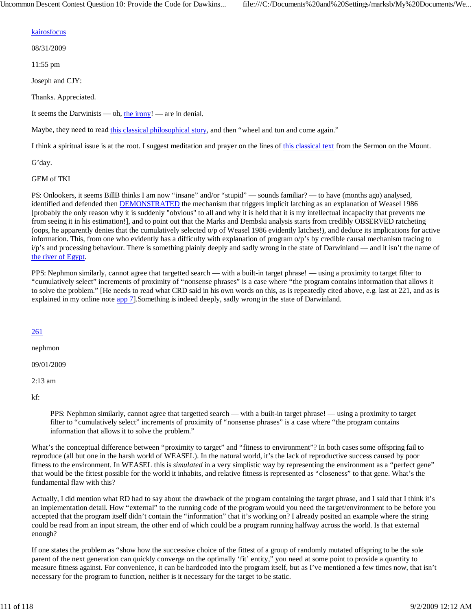### kairosfocus

08/31/2009

11:55 pm

Joseph and CJY:

Thanks. Appreciated.

It seems the Darwinists — oh, the irony! — are in denial.

Maybe, they need to read this classical philosophical story, and then "wheel and tun and come again."

I think a spiritual issue is at the root. I suggest meditation and prayer on the lines of this classical text from the Sermon on the Mount.

G'day.

GEM of TKI

PS: Onlookers, it seems BillB thinks I am now "insane" and/or "stupid" — sounds familiar? — to have (months ago) analysed, identified and defended then DEMONSTRATED the mechanism that triggers implicit latching as an explanation of Weasel 1986 [probably the only reason why it is suddenly "obvious" to all and why it is held that it is my intellectual incapacity that prevents me from seeing it in his estimation!], and to point out that the Marks and Dembski analysis starts from credibly OBSERVED ratcheting (oops, he apparently denies that the cumulatively selected o/p of Weasel 1986 evidently latches!), and deduce its implications for active information. This, from one who evidently has a difficulty with explanation of program o/p's by credible causal mechanism tracing to i/p's and processing behaviour. There is something plainly deeply and sadly wrong in the state of Darwinland — and it isn't the name of the river of Egypt.

PPS: Nephmon similarly, cannot agree that targetted search — with a built-in target phrase! — using a proximity to target filter to "cumulatively select" increments of proximity of "nonsense phrases" is a case where "the program contains information that allows it to solve the problem." [He needs to read what CRD said in his own words on this, as is repeatedly cited above, e.g. last at 221, and as is explained in my online note app 7].Something is indeed deeply, sadly wrong in the state of Darwinland.

#### 261

nephmon

09/01/2009

2:13 am

kf:

PPS: Nephmon similarly, cannot agree that targetted search — with a built-in target phrase! — using a proximity to target filter to "cumulatively select" increments of proximity of "nonsense phrases" is a case where "the program contains information that allows it to solve the problem."

What's the conceptual difference between "proximity to target" and "fitness to environment"? In both cases some offspring fail to reproduce (all but one in the harsh world of WEASEL). In the natural world, it's the lack of reproductive success caused by poor fitness to the environment. In WEASEL this is *simulated* in a very simplistic way by representing the environment as a "perfect gene" that would be the fittest possible for the world it inhabits, and relative fitness is represented as "closeness" to that gene. What's the fundamental flaw with this?

Actually, I did mention what RD had to say about the drawback of the program containing the target phrase, and I said that I think it's an implementation detail. How "external" to the running code of the program would you need the target/environment to be before you accepted that the program itself didn't contain the "information" that it's working on? I already posited an example where the string could be read from an input stream, the other end of which could be a program running halfway across the world. Is that external enough?

If one states the problem as "show how the successive choice of the fittest of a group of randomly mutated offspring to be the sole parent of the next generation can quickly converge on the optimally 'fit' entity," you need at some point to provide a quantity to measure fitness against. For convenience, it can be hardcoded into the program itself, but as I've mentioned a few times now, that isn't necessary for the program to function, neither is it necessary for the target to be static.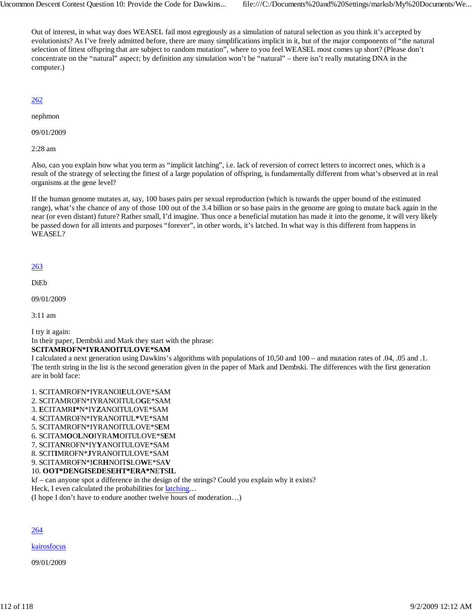Out of interest, in what way does WEASEL fail most egregiously as a simulation of natural selection as you think it's accepted by evolutionists? As I've freely admitted before, there are many simplifications implicit in it, but of the major components of "the natural selection of fittest offspring that are subject to random mutation", where to you feel WEASEL most comes up short? (Please don't concentrate on the "natural" aspect; by definition any simulation won't be "natural" – there isn't really mutating DNA in the computer.)

## 262

nephmon

09/01/2009

2:28 am

Also, can you explain how what you term as "implicit latching", i.e. lack of reversion of correct letters to incorrect ones, which is a result of the strategy of selecting the fittest of a large population of offspring, is fundamentally different from what's observed at in real organisms at the gene level?

If the human genome mutates at, say, 100 bases pairs per sexual reproduction (which is towards the upper bound of the estimated range), what's the chance of any of those 100 out of the 3.4 billion or so base pairs in the genome are going to mutate back again in the near (or even distant) future? Rather small, I'd imagine. Thus once a beneficial mutation has made it into the genome, it will very likely be passed down for all intents and purposes "forever", in other words, it's latched. In what way is this different from happens in WEASEL?

## 263

DiEb

09/01/2009

3:11 am

I try it again:

In their paper, Dembski and Mark they start with the phrase:

### **SCITAMROFN\*IYRANOITULOVE\*SAM**

I calculated a next generation using Dawkins's algorithms with populations of 10,50 and 100 – and mutation rates of .04, .05 and .1. The tenth string in the list is the second generation given in the paper of Mark and Dembski. The differences with the first generation are in bold face:

- 1. SCITAMROFN\*IYRANOI**E**ULOVE\*SAM
- 2. SCITAMROFN\*IYRANOITULO**G**E\*SAM
- 3. **E**CITAMR**I\***N\*IY**Z**ANOITULOVE\*SAM
- 4. SCITAMROFN\*IYRANOITUL**\***VE\*SAM
- 5. SCITAMROFN\*IYRANOITULOVE\*S**E**M
- 6. SCITAM**O**O**L**N**O**IYRA**M**OITULOVE\*S**E**M
- 7. SCITA**N**ROFN\*IY**Y**ANOITULOVE\*SAM
- 8. SCIT**I**MROFN\***J**YRANOITULOVE\*SAM
- 9. SCITAMROFN\*I**C**R**H**NOIT**S**LO**W**E\*SA**V**

# 10. **OOT\*DENGISEDESEHT\*ERA\*N**E**T**S**IL**

kf – can anyone spot a difference in the design of the strings? Could you explain why it exists?

Heck, I even calculated the probabilities for latching...

(I hope I don't have to endure another twelve hours of moderation…)

### 264

**kairosfocus** 

09/01/2009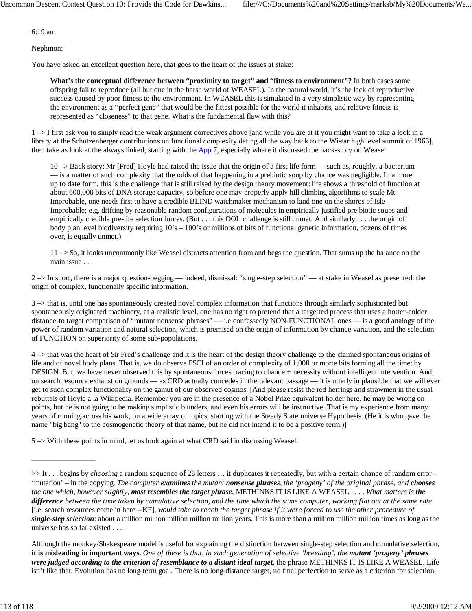6:19 am

Nephmon:

You have asked an excellent question here, that goes to the heart of the issues at stake:

**What's the conceptual difference between "proximity to target" and "fitness to environment"?** In both cases some offspring fail to reproduce (all but one in the harsh world of WEASEL). In the natural world, it's the lack of reproductive success caused by poor fitness to the environment. In WEASEL this is simulated in a very simplistic way by representing the environment as a "perfect gene" that would be the fittest possible for the world it inhabits, and relative fitness is represented as "closeness" to that gene. What's the fundamental flaw with this?

1 –> I first ask you to simply read the weak argument correctives above [and while you are at it you might want to take a look in a library at the Schutzenberger contributions on functional complexity dating all the way back to the Wistar high level summit of 1966], then take as look at the always linked, starting with the App 7, especially where it discussed the back-story on Weasel:

 $10 \rightarrow$  Back story: Mr [Fred] Hoyle had raised the issue that the origin of a first life form — such as, roughly, a bacterium — is a matter of such complexity that the odds of that happening in a prebiotic soup by chance was negligible. In a more up to date form, this is the challenge that is still raised by the design theory movement: life shows a threshold of function at about 600,000 bits of DNA storage capacity, so before one may properly apply hill climbing algorithms to scale Mt Improbable, one needs first to have a credible BLIND watchmaker mechanism to land one on the shores of Isle Improbable; e.g. drifting by reasonable random configurations of molecules in empirically justified pre biotic soups and empirically credible pre-life selection forces. (But . . . this OOL challenge is still unmet. And similarly . . . the origin of body plan level biodiversity requiring 10's – 100's or millions of bits of functional genetic information, dozens of times over, is equally unmet.)

 $11 \rightarrow$  So, it looks uncommonly like Weasel distracts attention from and begs the question. That sums up the balance on the main issue . . .

2 –> In short, there is a major question-begging — indeed, dismissal: "single-step selection" — at stake in Weasel as presented: the origin of complex, functionally specific information.

 $3 \rightarrow$  that is, until one has spontaneously created novel complex information that functions through similarly sophisticated but spontaneously originated machinery, at a realistic level, one has no right to pretend that a targetted process that uses a hotter-colder distance-to target comparison of "mutant nonsense phrases" — i.e confessedly NON-FUNCTIONAL ones — is a good analogy of the power of random variation and natural selection, which is premised on the origin of information by chance variation, and the selection of FUNCTION on superiority of some sub-populations.

4 –> that was the heart of Sir Fred's challenge and it is the heart of the design theory challenge to the claimed spontaneous origins of life and of novel body plans. That is, we do observe FSCI of an order of complexity of 1,000 or morte bits forming all the time: by DESIGN. But, we have never observed this by spontaneous forces tracing to chance + necessity without intelligent intervention. And, on search resource exhaustion grounds — as CRD actually concedes in the relevant passage — it is utterly implausible that we will ever get to such complex functionality on the gamut of our observed cosmos. [And please resist the red herrings and strawmen in the usual rebuttals of Hoyle a la Wikipedia. Remember you are in the presence of a Nobel Prize equivalent holder here. he may be wrong on points, but he is not going to be making simplistic blunders, and even his errors will be instructive. That is my experience from many years of running across his work, on a wide array of topics, starting with the Steady State universe Hypothesis. (He it is who gave the name "big bang" to the cosmogenetic theory of that name, but he did not intend it to be a positive term.)]

5 –> With these points in mind, let us look again at what CRD said in discussing Weasel:

Although the monkey/Shakespeare model is useful for explaining the distinction between single-step selection and cumulative selection, **it is misleading in important ways.** *One of these is that, in each generation of selective 'breeding', the mutant 'progeny' phrases were judged according to the criterion of resemblance to a distant ideal target,* the phrase METHINKS IT IS LIKE A WEASEL. Life isn't like that. Evolution has no long-term goal. There is no long-distance target, no final perfection to serve as a criterion for selection,

 $\overline{\phantom{a}}$  ,  $\overline{\phantom{a}}$  ,  $\overline{\phantom{a}}$  ,  $\overline{\phantom{a}}$  ,  $\overline{\phantom{a}}$  ,  $\overline{\phantom{a}}$  ,  $\overline{\phantom{a}}$  ,  $\overline{\phantom{a}}$  ,  $\overline{\phantom{a}}$  ,  $\overline{\phantom{a}}$  ,  $\overline{\phantom{a}}$  ,  $\overline{\phantom{a}}$  ,  $\overline{\phantom{a}}$  ,  $\overline{\phantom{a}}$  ,  $\overline{\phantom{a}}$  ,  $\overline{\phantom{a}}$ 

<sup>&</sup>gt;> It . . . begins by *choosing* a random sequence of 28 letters ... it duplicates it repeatedly, but with a certain chance of random error – 'mutation' – in the copying. *The computer examines the mutant nonsense phrases, the 'progeny' of the original phrase, and chooses the one which, however slightly, most resembles the target phrase*, METHINKS IT IS LIKE A WEASEL . . . . *What matters is the difference between the time taken by cumulative selection, and the time which the same computer, working flat out at the same rate* [i.e. search resources come in here --KF], *would take to reach the target phrase if it were forced to use the other procedure of single-step selection*: about a million million million million million years. This is more than a million million million times as long as the universe has so far existed . . . .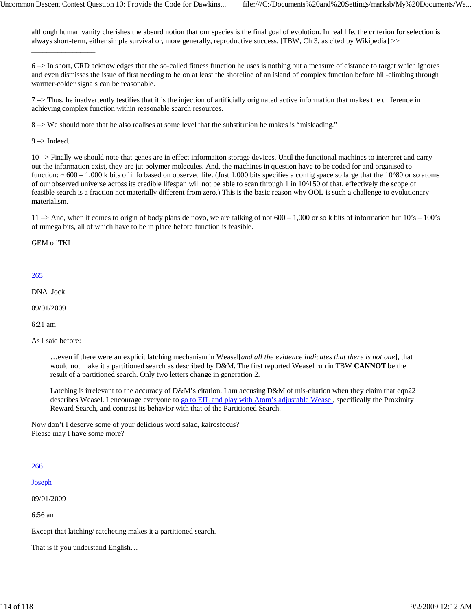although human vanity cherishes the absurd notion that our species is the final goal of evolution. In real life, the criterion for selection is always short-term, either simple survival or, more generally, reproductive success. [TBW, Ch 3, as cited by Wikipedia] >>

6 –> In short, CRD acknowledges that the so-called fitness function he uses is nothing but a measure of distance to target which ignores and even dismisses the issue of first needing to be on at least the shoreline of an island of complex function before hill-climbing through warmer-colder signals can be reasonable.

 $7 \rightarrow$  Thus, he inadvertently testifies that it is the injection of artificially originated active information that makes the difference in achieving complex function within reasonable search resources.

8 –> We should note that he also realises at some level that the substitution he makes is "misleading."

 $9 \rightarrow$  Indeed.

\_\_\_\_\_\_\_\_\_\_\_\_\_\_\_\_\_

10 –> Finally we should note that genes are in effect informaiton storage devices. Until the functional machines to interpret and carry out the information exist, they are jut polymer molecules. And, the machines in question have to be coded for and organised to function:  $\sim 600 - 1,000$  k bits of info based on observed life. (Just 1,000 bits specifies a config space so large that the 10^80 or so atoms of our observed universe across its credible lifespan will not be able to scan through 1 in 10^150 of that, effectively the scope of feasible search is a fraction not materially different from zero.) This is the basic reason why OOL is such a challenge to evolutionary materialism.

 $11 \rightarrow$  And, when it comes to origin of body plans de novo, we are talking of not 600 – 1,000 or so k bits of information but  $10's - 100's$ of mmega bits, all of which have to be in place before function is feasible.

GEM of TKI

### 265

DNA\_Jock

09/01/2009

6:21 am

As I said before:

…even if there were an explicit latching mechanism in Weasel[*and all the evidence indicates that there is not one*], that would not make it a partitioned search as described by D&M. The first reported Weasel run in TBW **CANNOT** be the result of a partitioned search. Only two letters change in generation 2.

Latching is irrelevant to the accuracy of D&M's citation. I am accusing D&M of mis-citation when they claim that eqn22 describes Weasel. I encourage everyone to go to EIL and play with Atom's adjustable Weasel, specifically the Proximity Reward Search, and contrast its behavior with that of the Partitioned Search.

Now don't I deserve some of your delicious word salad, kairosfocus? Please may I have some more?

### 266

Joseph

09/01/2009

6:56 am

Except that latching/ ratcheting makes it a partitioned search.

That is if you understand English…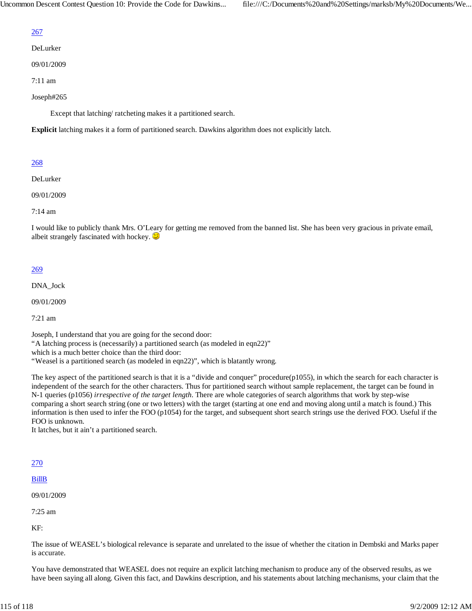# 267

DeLurker

09/01/2009

7:11 am

Joseph#265

Except that latching/ ratcheting makes it a partitioned search.

**Explicit** latching makes it a form of partitioned search. Dawkins algorithm does not explicitly latch.

## 268

DeLurker

09/01/2009

7:14 am

I would like to publicly thank Mrs. O'Leary for getting me removed from the banned list. She has been very gracious in private email, albeit strangely fascinated with hockey.  $\circledcirc$ 

### 269

DNA\_Jock

09/01/2009

7:21 am

Joseph, I understand that you are going for the second door: "A latching process is (necessarily) a partitioned search (as modeled in eqn22)" which is a much better choice than the third door: "Weasel is a partitioned search (as modeled in eqn22)", which is blatantly wrong.

The key aspect of the partitioned search is that it is a "divide and conquer" procedure(p1055), in which the search for each character is independent of the search for the other characters. Thus for partitioned search without sample replacement, the target can be found in N-1 queries (p1056) *irrespective of the target length*. There are whole categories of search algorithms that work by step-wise comparing a short search string (one or two letters) with the target (starting at one end and moving along until a match is found.) This information is then used to infer the FOO (p1054) for the target, and subsequent short search strings use the derived FOO. Useful if the FOO is unknown.

It latches, but it ain't a partitioned search.

### 270

BillB

09/01/2009

7:25 am

KF:

The issue of WEASEL's biological relevance is separate and unrelated to the issue of whether the citation in Dembski and Marks paper is accurate.

You have demonstrated that WEASEL does not require an explicit latching mechanism to produce any of the observed results, as we have been saying all along. Given this fact, and Dawkins description, and his statements about latching mechanisms, your claim that the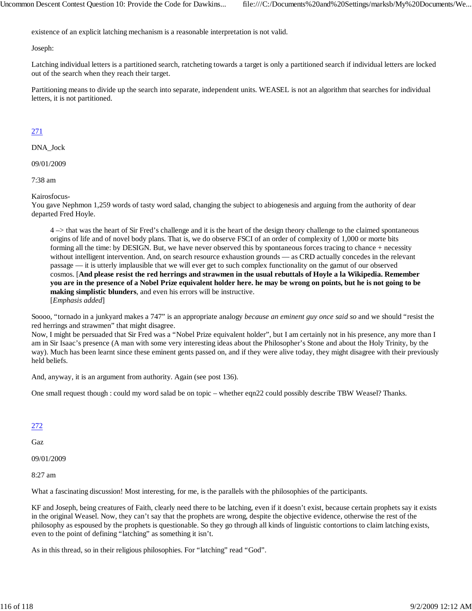existence of an explicit latching mechanism is a reasonable interpretation is not valid.

Joseph:

Latching individual letters is a partitioned search, ratcheting towards a target is only a partitioned search if individual letters are locked out of the search when they reach their target.

Partitioning means to divide up the search into separate, independent units. WEASEL is not an algorithm that searches for individual letters, it is not partitioned.

## 271

DNA\_Jock

09/01/2009

7:38 am

Kairosfocus-

You gave Nephmon 1,259 words of tasty word salad, changing the subject to abiogenesis and arguing from the authority of dear departed Fred Hoyle.

4 –> that was the heart of Sir Fred's challenge and it is the heart of the design theory challenge to the claimed spontaneous origins of life and of novel body plans. That is, we do observe FSCI of an order of complexity of 1,000 or morte bits forming all the time: by DESIGN. But, we have never observed this by spontaneous forces tracing to chance + necessity without intelligent intervention. And, on search resource exhaustion grounds — as CRD actually concedes in the relevant passage — it is utterly implausible that we will ever get to such complex functionality on the gamut of our observed cosmos. [**And please resist the red herrings and strawmen in the usual rebuttals of Hoyle a la Wikipedia. Remember you are in the presence of a Nobel Prize equivalent holder here. he may be wrong on points, but he is not going to be making simplistic blunders**, and even his errors will be instructive. [*Emphasis added*]

Soooo, "tornado in a junkyard makes a 747" is an appropriate analogy *because an eminent guy once said so* and we should "resist the red herrings and strawmen" that might disagree.

Now, I might be persuaded that Sir Fred was a "Nobel Prize equivalent holder", but I am certainly not in his presence, any more than I am in Sir Isaac's presence (A man with some very interesting ideas about the Philosopher's Stone and about the Holy Trinity, by the way). Much has been learnt since these eminent gents passed on, and if they were alive today, they might disagree with their previously held beliefs.

And, anyway, it is an argument from authority. Again (see post 136).

One small request though : could my word salad be on topic – whether eqn22 could possibly describe TBW Weasel? Thanks.

### 272

Gaz

09/01/2009

8:27 am

What a fascinating discussion! Most interesting, for me, is the parallels with the philosophies of the participants.

KF and Joseph, being creatures of Faith, clearly need there to be latching, even if it doesn't exist, because certain prophets say it exists in the original Weasel. Now, they can't say that the prophets are wrong, despite the objective evidence, otherwise the rest of the philosophy as espoused by the prophets is questionable. So they go through all kinds of linguistic contortions to claim latching exists, even to the point of defining "latching" as something it isn't.

As in this thread, so in their religious philosophies. For "latching" read "God".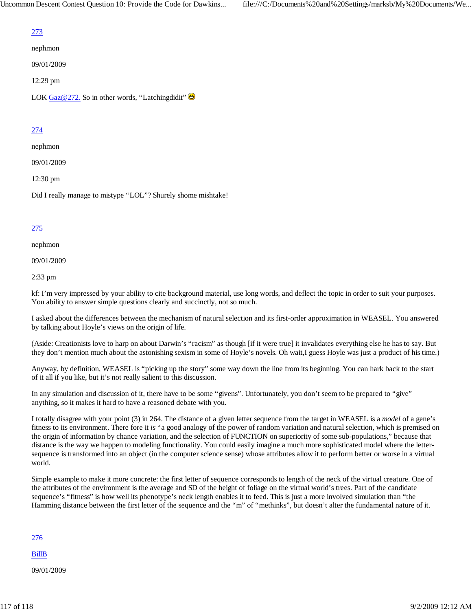# 273

nephmon

09/01/2009

12:29 pm

LOK Gaz@272. So in other words, "Latchingdidit"  $\bigoplus$ 

# 274

nephmon

09/01/2009

12:30 pm

Did I really manage to mistype "LOL"? Shurely shome mishtake!

## 275

nephmon

09/01/2009

2:33 pm

kf: I'm very impressed by your ability to cite background material, use long words, and deflect the topic in order to suit your purposes. You ability to answer simple questions clearly and succinctly, not so much.

I asked about the differences between the mechanism of natural selection and its first-order approximation in WEASEL. You answered by talking about Hoyle's views on the origin of life.

(Aside: Creationists love to harp on about Darwin's "racism" as though [if it were true] it invalidates everything else he has to say. But they don't mention much about the astonishing sexism in some of Hoyle's novels. Oh wait,I guess Hoyle was just a product of his time.)

Anyway, by definition, WEASEL is "picking up the story" some way down the line from its beginning. You can hark back to the start of it all if you like, but it's not really salient to this discussion.

In any simulation and discussion of it, there have to be some "givens". Unfortunately, you don't seem to be prepared to "give" anything, so it makes it hard to have a reasoned debate with you.

I totally disagree with your point (3) in 264. The distance of a given letter sequence from the target in WEASEL is a *model* of a gene's fitness to its environment. There fore it *is* "a good analogy of the power of random variation and natural selection, which is premised on the origin of information by chance variation, and the selection of FUNCTION on superiority of some sub-populations," because that distance is the way we happen to modeling functionality. You could easily imagine a much more sophisticated model where the lettersequence is transformed into an object (in the computer science sense) whose attributes allow it to perform better or worse in a virtual world.

Simple example to make it more concrete: the first letter of sequence corresponds to length of the neck of the virtual creature. One of the attributes of the environment is the average and SD of the height of foliage on the virtual world's trees. Part of the candidate sequence's "fitness" is how well its phenotype's neck length enables it to feed. This is just a more involved simulation than "the Hamming distance between the first letter of the sequence and the "m" of "methinks", but doesn't alter the fundamental nature of it.

276

BillB

09/01/2009